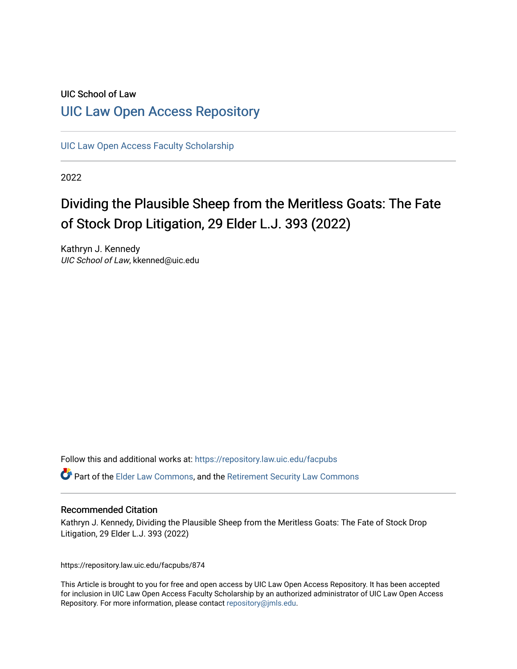# UIC School of Law [UIC Law Open Access Repository](https://repository.law.uic.edu/)

[UIC Law Open Access Faculty Scholarship](https://repository.law.uic.edu/facpubs)

2022

# Dividing the Plausible Sheep from the Meritless Goats: The Fate of Stock Drop Litigation, 29 Elder L.J. 393 (2022)

Kathryn J. Kennedy UIC School of Law, kkenned@uic.edu

Follow this and additional works at: [https://repository.law.uic.edu/facpubs](https://repository.law.uic.edu/facpubs?utm_source=repository.law.uic.edu%2Ffacpubs%2F874&utm_medium=PDF&utm_campaign=PDFCoverPages) 

Part of the [Elder Law Commons](https://network.bepress.com/hgg/discipline/842?utm_source=repository.law.uic.edu%2Ffacpubs%2F874&utm_medium=PDF&utm_campaign=PDFCoverPages), and the [Retirement Security Law Commons](https://network.bepress.com/hgg/discipline/873?utm_source=repository.law.uic.edu%2Ffacpubs%2F874&utm_medium=PDF&utm_campaign=PDFCoverPages)

# Recommended Citation

Kathryn J. Kennedy, Dividing the Plausible Sheep from the Meritless Goats: The Fate of Stock Drop Litigation, 29 Elder L.J. 393 (2022)

https://repository.law.uic.edu/facpubs/874

This Article is brought to you for free and open access by UIC Law Open Access Repository. It has been accepted for inclusion in UIC Law Open Access Faculty Scholarship by an authorized administrator of UIC Law Open Access Repository. For more information, please contact [repository@jmls.edu.](mailto:repository@jmls.edu)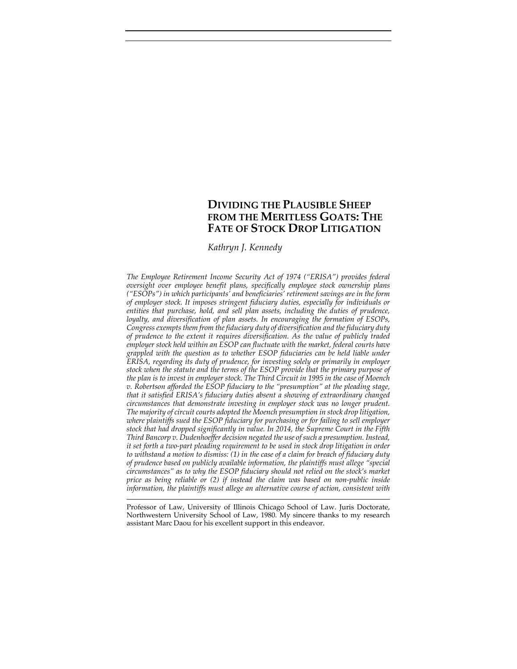# **DIVIDING THE PLAUSIBLE SHEEP FROM THE MERITLESS GOATS: THE FATE OF STOCK DROP LITIGATION**

*Kathryn J. Kennedy*\*

*The Employee Retirement Income Security Act of 1974 ("ERISA") provides federal oversight over employee benefit plans, specifically employee stock ownership plans ("ESOPs") in which participants' and beneficiaries' retirement savings are in the form of employer stock. It imposes stringent fiduciary duties, especially for individuals or entities that purchase, hold, and sell plan assets, including the duties of prudence, loyalty, and diversification of plan assets. In encouraging the formation of ESOPs, Congress exempts them from thefiduciary duty of diversification and the fiduciary duty of prudence to the extent it requires diversification. As the value of publicly traded employer stock held within an ESOP can fluctuate with the market, federal courts have grappled with the question as to whether ESOP fiduciaries can be held liable under ERISA, regarding its duty of prudence, for investing solely or primarily in employer stock when the statute and the terms of the ESOP provide that the primary purpose of the plan is to invest in employer stock. The Third Circuit in 1995 in the case of Moench v. Robertson afforded the ESOP fiduciary to the "presumption" at the pleading stage, that it satisfied ERISA's fiduciary duties absent a showing of extraordinary changed circumstances that demonstrate investing in employer stock was no longer prudent. The majority of circuit courts adopted the Moench presumption in stock drop litigation, where plaintiffs sued the ESOP fiduciary for purchasing or for failing to sell employer stock that had dropped significantly in value. In 2014, the Supreme Court in the Fifth Third Bancorp v. Dudenhoeffer decision negated the use of such a presumption. Instead, it set forth a two‐part pleading requirement to be used in stock drop litigation in order to withstand a motion to dismiss: (1) in the case of a claim for breach of fiduciary duty of prudence based on publicly available information, the plaintiffs must allege "special circumstances" as to why the ESOP fiduciary should not relied on the stock's market price as being reliable or (2) if instead the claim was based on non‐public inside information, the plaintiffs must allege an alternative course of action, consistent with*

Professor of Law, University of Illinois Chicago School of Law. Juris Doctorate, Northwestern University School of Law, 1980. My sincere thanks to my research assistant Marc Daou for his excellent support in this endeavor.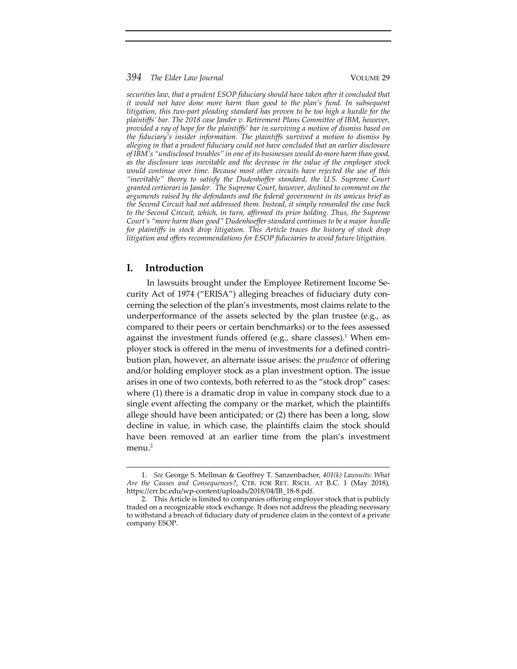*securities law, that a prudent ESOP fiduciary should have taken after it concluded that it would not have done more harm than good to the plan's fund. In subsequent litigation, this two‐part pleading standard has proven to be too high a hurdle for the plaintiffs' bar. The 2018 case Jander v. Retirement Plans Committee of IBM, however, provided a ray of hope for the plaintiffs' bar in surviving a motion of dismiss based on the fiduciary's insider information. The plaintiffs survived a motion to dismiss by alleging in that a prudent fiduciary could not have concluded that an earlier disclosure of IBM's "undisclosed troubles" in one of its businesses would do more harm than good, as the disclosure was inevitable and the decrease in the value of the employer stock would continue over time. Because most other circuits have rejected the use of this "inevitable" theory to satisfy the Dudenhoffer standard, the U.S. Supreme Court granted certiorari in Jander. The Supreme Court, however, declined to comment on the arguments raised by the defendants and the federal government in its amicus brief as the Second Circuit had not addressed them. Instead, it simply remanded the case back to the Second Circuit, which, in turn, affirmed its prior holding. Thus, the Supreme Court's "more harm than good" Dudenhoeffer standard continues to be a major hurdle for plaintiffs in stock drop litigation. This Article traces the history of stock drop litigation and offers recommendations for ESOP fiduciaries to avoid future litigation.*

# **I. Introduction**

In lawsuits brought under the Employee Retirement Income Se‐ curity Act of 1974 ("ERISA") alleging breaches of fiduciary duty con‐ cerning the selection of the plan's investments, most claims relate to the underperformance of the assets selected by the plan trustee (e.g., as compared to their peers or certain benchmarks) or to the fees assessed against the investment funds offered (e.g., share classes).<sup>1</sup> When employer stock is offered in the menu of investments for a defined contri‐ bution plan, however, an alternate issue arises: the *prudence* of offering and/or holding employer stock as a plan investment option. The issue arises in one of two contexts, both referred to as the "stock drop" cases: where (1) there is a dramatic drop in value in company stock due to a single event affecting the company or the market, which the plaintiffs allege should have been anticipated; or (2) there has been a long, slow decline in value, in which case, the plaintiffs claim the stock should have been removed at an earlier time from the plan's investment menu.<sup>2</sup>

<sup>1.</sup> *See* George S. Mellman & Geoffrey T. Sanzenbacher, *401(k) Lawsuits: What Are the Causes and Consequences?*, CTR. FOR RET. RSCH. AT B.C. 1 (May 2018), https://crr.bc.edu/wp‐content/uploads/2018/04/IB\_18‐8.pdf.

<sup>2.</sup> This Article is limited to companies offering employer stock that is publicly traded on a recognizable stock exchange. It does not address the pleading necessary to withstand a breach of fiduciary duty of prudence claim in the context of a private company ESOP.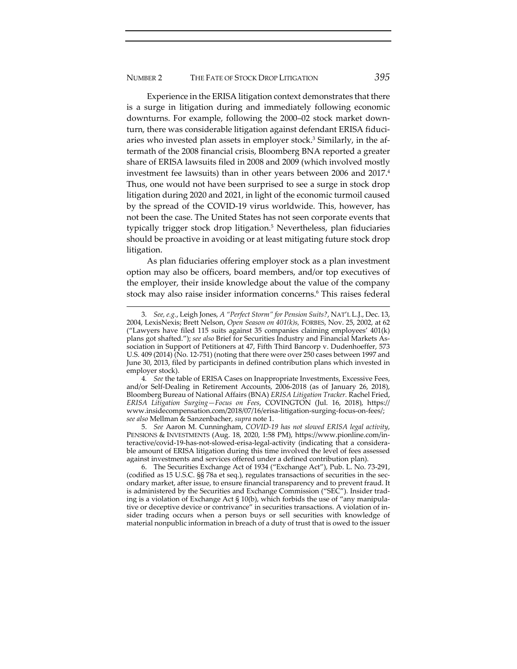Experience in the ERISA litigation context demonstrates that there is a surge in litigation during and immediately following economic downturns. For example, following the 2000–02 stock market down‐ turn, there was considerable litigation against defendant ERISA fiduciaries who invested plan assets in employer stock.<sup>3</sup> Similarly, in the aftermath of the 2008 financial crisis, Bloomberg BNA reported a greater share of ERISA lawsuits filed in 2008 and 2009 (which involved mostly investment fee lawsuits) than in other years between 2006 and  $2017<sup>4</sup>$ Thus, one would not have been surprised to see a surge in stock drop litigation during 2020 and 2021, in light of the economic turmoil caused by the spread of the COVID‐19 virus worldwide. This, however, has not been the case. The United States has not seen corporate events that typically trigger stock drop litigation.<sup>5</sup> Nevertheless, plan fiduciaries should be proactive in avoiding or at least mitigating future stock drop litigation.

As plan fiduciaries offering employer stock as a plan investment option may also be officers, board members, and/or top executives of the employer, their inside knowledge about the value of the company stock may also raise insider information concerns.6 This raises federal

4*. See* the table of ERISA Cases on Inappropriate Investments, Excessive Fees, and/or Self‐Dealing in Retirement Accounts, 2006‐2018 (as of January 26, 2018), Bloomberg Bureau of National Affairs (BNA) *ERISA Litigation Tracker.* Rachel Fried, *ERISA Litigation Surging—Focus on Fees*, COVINGTON (Jul. 16, 2018), https:// www.insidecompensation.com/2018/07/16/erisa‐litigation‐surging‐focus‐on‐fees/; *see also* Mellman & Sanzenbacher, *supra* note 1.

5. *See* Aaron M. Cunningham, *COVID‐19 has not slowed ERISA legal activity*, PENSIONS & INVESTMENTS (Aug. 18, 2020, 1:58 PM), https://www.pionline.com/in‐ teractive/covid‐19‐has‐not‐slowed‐erisa‐legal‐activity (indicating that a considera‐ ble amount of ERISA litigation during this time involved the level of fees assessed against investments and services offered under a defined contribution plan).

6. The Securities Exchange Act of 1934 ("Exchange Act"), Pub. L. No. 73‐291, (codified as 15 U.S.C. §§ 78a et seq.), regulates transactions of securities in the sec‐ ondary market, after issue, to ensure financial transparency and to prevent fraud. It is administered by the Securities and Exchange Commission ("SEC"). Insider trading is a violation of Exchange Act  $\S 10(b)$ , which forbids the use of "any manipulative or deceptive device or contrivance" in securities transactions. A violation of in‐ sider trading occurs when a person buys or sell securities with knowledge of material nonpublic information in breach of a duty of trust that is owed to the issuer

<sup>3</sup>*. See, e.g.*, Leigh Jones, *A "Perfect Storm" for Pension Suits?*, NAT'L L.J., Dec. 13, 2004, LexisNexis; Brett Nelson, *Open Season on 401(k)s,* FORBES, Nov. 25, 2002, at 62 ("Lawyers have filed 115 suits against 35 companies claiming employees' 401(k) plans got shafted."); *see also* Brief for Securities Industry and Financial Markets As‐ sociation in Support of Petitioners at 47, Fifth Third Bancorp v. Dudenhoeffer, 573 U.S. 409 (2014) (No. 12‐751) (noting that there were over 250 cases between 1997 and June 30, 2013, filed by participants in defined contribution plans which invested in employer stock).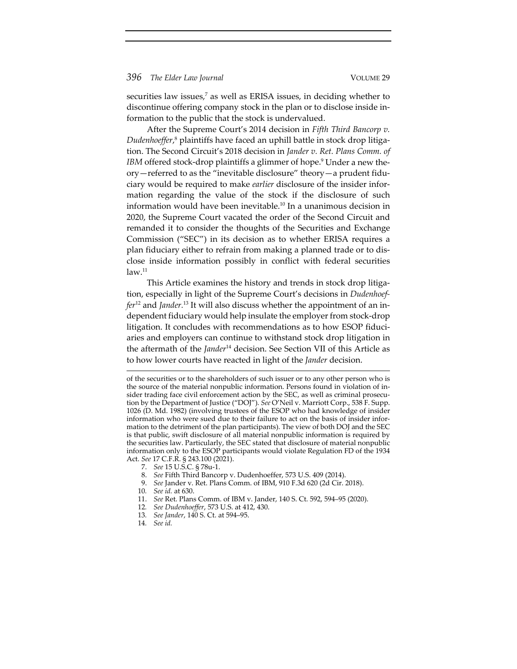securities law issues,<sup>7</sup> as well as ERISA issues, in deciding whether to discontinue offering company stock in the plan or to disclose inside in‐ formation to the public that the stock is undervalued.

After the Supreme Court's 2014 decision in *Fifth Third Bancorp v. Dudenhoeffer*, <sup>8</sup> plaintiffs have faced an uphill battle in stock drop litiga‐ tion. The Second Circuit's 2018 decision in *Jander v. Ret. Plans Comm. of IBM* offered stock-drop plaintiffs a glimmer of hope.<sup>9</sup> Under a new theory—referred to as the "inevitable disclosure" theory—a prudent fidu‐ ciary would be required to make *earlier* disclosure of the insider infor‐ mation regarding the value of the stock if the disclosure of such information would have been inevitable.<sup>10</sup> In a unanimous decision in 2020, the Supreme Court vacated the order of the Second Circuit and remanded it to consider the thoughts of the Securities and Exchange Commission ("SEC") in its decision as to whether ERISA requires a plan fiduciary either to refrain from making a planned trade or to dis‐ close inside information possibly in conflict with federal securities  $law.<sup>11</sup>$ 

This Article examines the history and trends in stock drop litigation, especially in light of the Supreme Court's decisions in *Dudenhoef‐ fer*<sup>12</sup> and *Jander.*<sup>13</sup> It will also discuss whether the appointment of an in‐ dependent fiduciary would help insulate the employer from stock-drop litigation. It concludes with recommendations as to how ESOP fiduciaries and employers can continue to withstand stock drop litigation in the aftermath of the *Jander*<sup>14</sup> decision. See Section VII of this Article as to how lower courts have reacted in light of the *Jander* decision.

- 8. *See* Fifth Third Bancorp v. Dudenhoeffer, 573 U.S. 409 (2014).
- 9. *See* Jander v. Ret. Plans Comm. of IBM, 910 F.3d 620 (2d Cir. 2018).

- 11. *See* Ret. Plans Comm. of IBM v. Jander, 140 S. Ct. 592, 594–95 (2020).
- 12*. See Dudenhoeffer*, 573 U.S. at 412, 430.
- 13*. See Jander*, 140 S. Ct. at 594–95.
- 14*. See id.*

of the securities or to the shareholders of such issuer or to any other person who is the source of the material nonpublic information. Persons found in violation of in‐ sider trading face civil enforcement action by the SEC, as well as criminal prosecution by the Department of Justice ("DOJ"). *See* O'Neil v. Marriott Corp., 538 F. Supp. 1026 (D. Md. 1982) (involving trustees of the ESOP who had knowledge of insider information who were sued due to their failure to act on the basis of insider information to the detriment of the plan participants). The view of both DOJ and the SEC is that public, swift disclosure of all material nonpublic information is required by the securities law. Particularly, the SEC stated that disclosure of material nonpublic information only to the ESOP participants would violate Regulation FD of the 1934 Act. *See* 17 C.F.R. § 243.100 (2021).

<sup>7.</sup> *See* 15 U.S.C. § 78u‐1.

<sup>10</sup>*. See id.* at 630.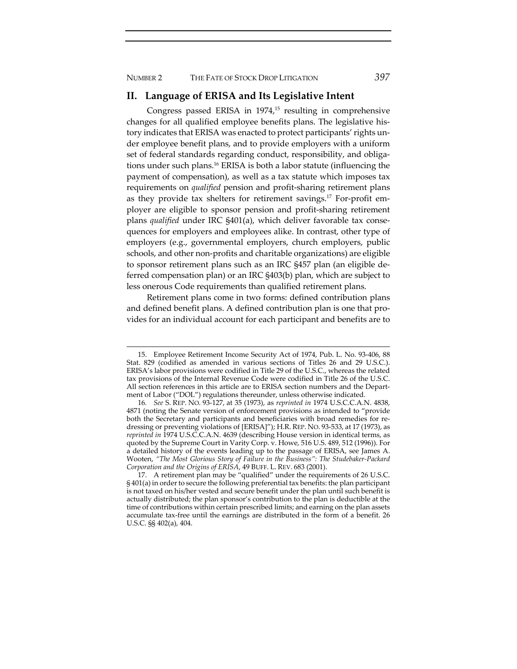NUMBER 2 THE FATE OF STOCK DROP LITIGATION *397*

# **II. Language of ERISA and Its Legislative Intent**

Congress passed ERISA in  $1974<sub>1</sub>^{15}$  resulting in comprehensive changes for all qualified employee benefits plans. The legislative his‐ tory indicates that ERISA was enacted to protect participants' rights under employee benefit plans, and to provide employers with a uniform set of federal standards regarding conduct, responsibility, and obligations under such plans.16 ERISA is both a labor statute (influencing the payment of compensation), as well as a tax statute which imposes tax requirements on *qualified* pension and profit‐sharing retirement plans as they provide tax shelters for retirement savings.<sup>17</sup> For-profit employer are eligible to sponsor pension and profit‐sharing retirement plans *qualified* under IRC §401(a), which deliver favorable tax conse‐ quences for employers and employees alike. In contrast, other type of employers (e.g., governmental employers, church employers, public schools, and other non‐profits and charitable organizations) are eligible to sponsor retirement plans such as an IRC §457 plan (an eligible de‐ ferred compensation plan) or an IRC §403(b) plan, which are subject to less onerous Code requirements than qualified retirement plans.

Retirement plans come in two forms: defined contribution plans and defined benefit plans. A defined contribution plan is one that provides for an individual account for each participant and benefits are to

<sup>15.</sup> Employee Retirement Income Security Act of 1974, Pub. L. No. 93‐406, 88 Stat. 829 (codified as amended in various sections of Titles 26 and 29 U.S.C.). ERISA's labor provisions were codified in Title 29 of the U.S.C., whereas the related tax provisions of the Internal Revenue Code were codified in Title 26 of the U.S.C. All section references in this article are to ERISA section numbers and the Depart‐ ment of Labor ("DOL") regulations thereunder, unless otherwise indicated.

<sup>16</sup>*. See* S. REP. NO. 93‐127, at 35 (1973), as *reprinted in* 1974 U.S.C.C.A.N. 4838, 4871 (noting the Senate version of enforcement provisions as intended to "provide both the Secretary and participants and beneficiaries with broad remedies for redressing or preventing violations of [ERISA]"); H.R. REP. NO. 93‐533, at 17 (1973), as *reprinted in* 1974 U.S.C.C.A.N. 4639 (describing House version in identical terms, as quoted by the Supreme Court in Varity Corp. v. Howe, 516 U.S. 489, 512 (1996)). For a detailed history of the events leading up to the passage of ERISA, see James A. Wooten, *"The Most Glorious Story of Failure in the Business": The Studebaker‐Packard Corporation and the Origins of ERISA*, 49 BUFF. L. REV. 683 (2001).

<sup>17.</sup> A retirement plan may be "qualified" under the requirements of 26 U.S.C. § 401(a) in order to secure the following preferential tax benefits: the plan participant is not taxed on his/her vested and secure benefit under the plan until such benefit is actually distributed; the plan sponsor's contribution to the plan is deductible at the time of contributions within certain prescribed limits; and earning on the plan assets accumulate tax‐free until the earnings are distributed in the form of a benefit. 26 U.S.C. §§ 402(a), 404.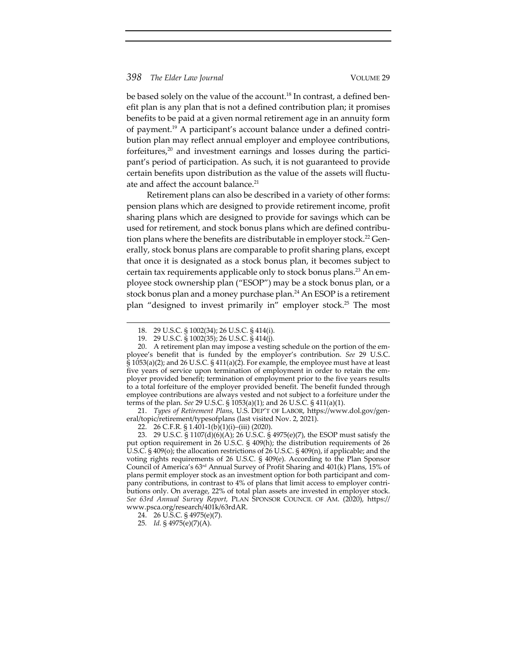be based solely on the value of the account.<sup>18</sup> In contrast, a defined benefit plan is any plan that is not a defined contribution plan; it promises benefits to be paid at a given normal retirement age in an annuity form of payment.19 A participant's account balance under a defined contri‐ bution plan may reflect annual employer and employee contributions, forfeitures, $20$  and investment earnings and losses during the participant's period of participation. As such, it is not guaranteed to provide certain benefits upon distribution as the value of the assets will fluctuate and affect the account balance.<sup>21</sup>

Retirement plans can also be described in a variety of other forms: pension plans which are designed to provide retirement income, profit sharing plans which are designed to provide for savings which can be used for retirement, and stock bonus plans which are defined contribution plans where the benefits are distributable in employer stock.<sup>22</sup> Generally, stock bonus plans are comparable to profit sharing plans, except that once it is designated as a stock bonus plan, it becomes subject to certain tax requirements applicable only to stock bonus plans.<sup>23</sup> An employee stock ownership plan ("ESOP") may be a stock bonus plan, or a stock bonus plan and a money purchase plan.<sup>24</sup> An ESOP is a retirement plan "designed to invest primarily in" employer stock.<sup>25</sup> The most

21. *Types of Retirement Plans*, U.S. DEP'T OF LABOR, https://www.dol.gov/gen‐ eral/topic/retirement/typesofplans (last visited Nov. 2, 2021).

22. 26 C.F.R. § 1.401‐1(b)(1)(i)–(iii) (2020).

23. 29 U.S.C. § 1107(d)(6)(A); 26 U.S.C. § 4975(e)(7), the ESOP must satisfy the put option requirement in 26 U.S.C. § 409(h); the distribution requirements of 26 U.S.C. § 409(o); the allocation restrictions of 26 U.S.C. § 409(n), if applicable; and the voting rights requirements of 26 U.S.C. § 409(e). According to the Plan Sponsor Council of America's 63rd Annual Survey of Profit Sharing and 401(k) Plans, 15% of plans permit employer stock as an investment option for both participant and com‐ pany contributions, in contrast to 4% of plans that limit access to employer contri‐ butions only. On average, 22% of total plan assets are invested in employer stock. *See 63rd Annual Survey Report,* PLAN SPONSOR COUNCIL OF AM. (2020), https:// www.psca.org/research/401k/63rdAR.

<sup>18.</sup> 29 U.S.C. § 1002(34); 26 U.S.C. § 414(i).

<sup>19.</sup> 29 U.S.C. § 1002(35); 26 U.S.C. § 414(j).

<sup>20.</sup> A retirement plan may impose a vesting schedule on the portion of the employee's benefit that is funded by the employer's contribution. *See* 29 U.S.C. § 1053(a)(2); and 26 U.S.C. § 411(a)(2). For example, the employee must have at least five years of service upon termination of employment in order to retain the employer provided benefit; termination of employment prior to the five years results to a total forfeiture of the employer provided benefit. The benefit funded through employee contributions are always vested and not subject to a forfeiture under the terms of the plan. *See* 29 U.S.C. § 1053(a)(1); and 26 U.S.C. § 411(a)(1).

<sup>24.</sup> 26 U.S.C. § 4975(e)(7).

<sup>25</sup>*. Id.* § 4975(e)(7)(A).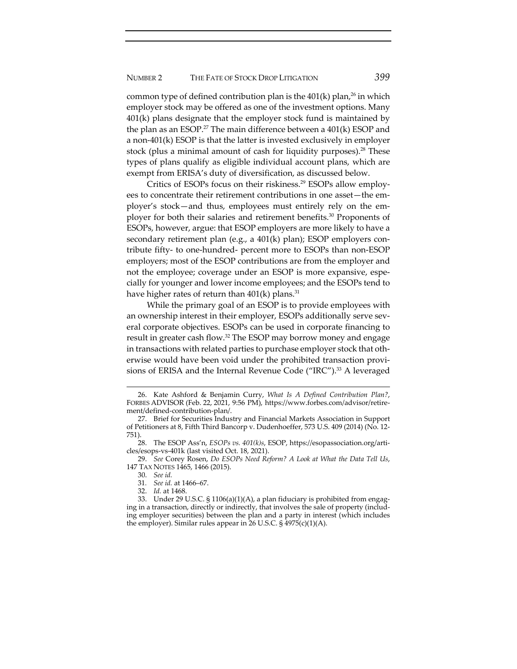common type of defined contribution plan is the  $401(k)$  plan,<sup>26</sup> in which employer stock may be offered as one of the investment options. Many 401(k) plans designate that the employer stock fund is maintained by the plan as an ESOP.<sup>27</sup> The main difference between a  $401(k)$  ESOP and a non‐401(k) ESOP is that the latter is invested exclusively in employer stock (plus a minimal amount of cash for liquidity purposes).<sup>28</sup> These types of plans qualify as eligible individual account plans, which are exempt from ERISA's duty of diversification, as discussed below.

Critics of ESOPs focus on their riskiness.<sup>29</sup> ESOPs allow employees to concentrate their retirement contributions in one asset—the employer's stock—and thus, employees must entirely rely on the em‐ ployer for both their salaries and retirement benefits.30 Proponents of ESOPs, however, argue: that ESOP employers are more likely to have a secondary retirement plan (e.g., a 401(k) plan); ESOP employers contribute fifty‐ to one‐hundred‐ percent more to ESOPs than non‐ESOP employers; most of the ESOP contributions are from the employer and not the employee; coverage under an ESOP is more expansive, espe‐ cially for younger and lower income employees; and the ESOPs tend to have higher rates of return than  $401(k)$  plans.<sup>31</sup>

While the primary goal of an ESOP is to provide employees with an ownership interest in their employer, ESOPs additionally serve several corporate objectives. ESOPs can be used in corporate financing to result in greater cash flow.<sup>32</sup> The ESOP may borrow money and engage in transactions with related parties to purchase employer stock that otherwise would have been void under the prohibited transaction provisions of ERISA and the Internal Revenue Code ("IRC").<sup>33</sup> A leveraged

<sup>26.</sup> Kate Ashford & Benjamin Curry, *What Is A Defined Contribution Plan?*, FORBES ADVISOR (Feb. 22, 2021, 9:56 PM), https://www.forbes.com/advisor/retire‐ ment/defined‐contribution‐plan/.

<sup>27.</sup> Brief for Securities Industry and Financial Markets Association in Support of Petitioners at 8, Fifth Third Bancorp v. Dudenhoeffer, 573 U.S. 409 (2014) (No. 12‐ 751).

<sup>28.</sup> The ESOP Ass'n, *ESOPs vs. 401(k)s*, ESOP, https://esopassociation.org/arti‐ cles/esops‐vs‐401k (last visited Oct. 18, 2021).

<sup>29.</sup> *See* Corey Rosen, *Do ESOPs Need Reform? A Look at What the Data Tell Us*, 147 TAX NOTES 1465, 1466 (2015).

<sup>30.</sup> *See id.*

<sup>31</sup>*. See id.* at 1466–67.

<sup>32.</sup> *Id.* at 1468.

<sup>33.</sup> Under 29 U.S.C. § 1106(a)(1)(A), a plan fiduciary is prohibited from engaging in a transaction, directly or indirectly, that involves the sale of property (includ‐ ing employer securities) between the plan and a party in interest (which includes the employer). Similar rules appear in 26 U.S.C. § 4975(c)(1)(A).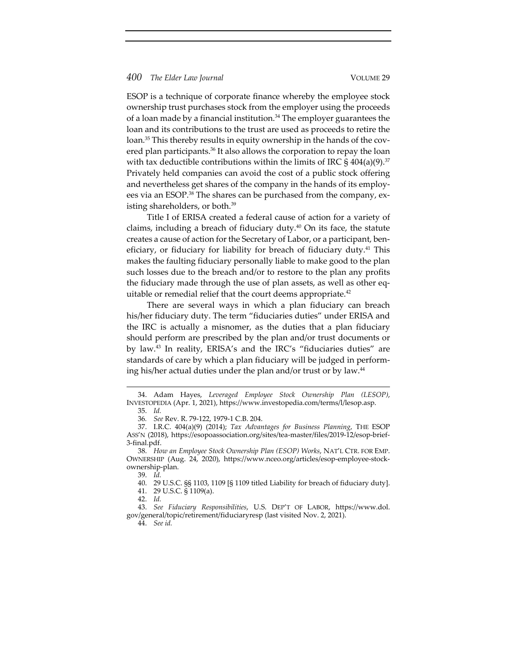ESOP is a technique of corporate finance whereby the employee stock ownership trust purchases stock from the employer using the proceeds of a loan made by a financial institution.<sup>34</sup> The employer guarantees the loan and its contributions to the trust are used as proceeds to retire the loan.<sup>35</sup> This thereby results in equity ownership in the hands of the covered plan participants.<sup>36</sup> It also allows the corporation to repay the loan with tax deductible contributions within the limits of IRC  $\S$  404(a)(9).<sup>37</sup> Privately held companies can avoid the cost of a public stock offering and nevertheless get shares of the company in the hands of its employ‐ ees via an ESOP.<sup>38</sup> The shares can be purchased from the company, existing shareholders, or both.<sup>39</sup>

Title I of ERISA created a federal cause of action for a variety of claims, including a breach of fiduciary duty. $40$  On its face, the statute creates a cause of action for the Secretary of Labor, or a participant, beneficiary, or fiduciary for liability for breach of fiduciary duty.<sup>41</sup> This makes the faulting fiduciary personally liable to make good to the plan such losses due to the breach and/or to restore to the plan any profits the fiduciary made through the use of plan assets, as well as other eq‐ uitable or remedial relief that the court deems appropriate.<sup>42</sup>

There are several ways in which a plan fiduciary can breach his/her fiduciary duty. The term "fiduciaries duties" under ERISA and the IRC is actually a misnomer, as the duties that a plan fiduciary should perform are prescribed by the plan and/or trust documents or by law.43 In reality, ERISA's and the IRC's "fiduciaries duties" are standards of care by which a plan fiduciary will be judged in perform‐ ing his/her actual duties under the plan and/or trust or by law.<sup>44</sup>

<sup>34.</sup> Adam Hayes, *Leveraged Employee Stock Ownership Plan (LESOP)*, INVESTOPEDIA (Apr. 1, 2021), https://www.investopedia.com/terms/l/lesop.asp. 35. *Id.*

<sup>36</sup>*. See* Rev. R. 79‐122, 1979‐1 C.B. 204.

<sup>37.</sup> I.R.C. 404(a)(9) (2014); *Tax Advantages for Business Planning*, THE ESOP ASS'N (2018), https://esopoassociation.org/sites/tea‐master/files/2019‐12/esop‐brief‐ 3‐final.pdf.

<sup>38.</sup> *How an Employee Stock Ownership Plan (ESOP) Works*, NAT'L CTR. FOR EMP. OWNERSHIP (Aug. 24, 2020), https://www.nceo.org/articles/esop‐employee‐stock‐ ownership‐plan.

<sup>39.</sup> *Id.*

<sup>40.</sup> 29 U.S.C. §§ 1103, 1109 [§ 1109 titled Liability for breach of fiduciary duty].

<sup>41.</sup> 29 U.S.C. § 1109(a).

<sup>42.</sup> *Id.*

<sup>43.</sup> *See Fiduciary Responsibilities*, U.S. DEP'T OF LABOR, https://www.dol. gov/general/topic/retirement/fiduciaryresp (last visited Nov. 2, 2021).

<sup>44.</sup> *See id.*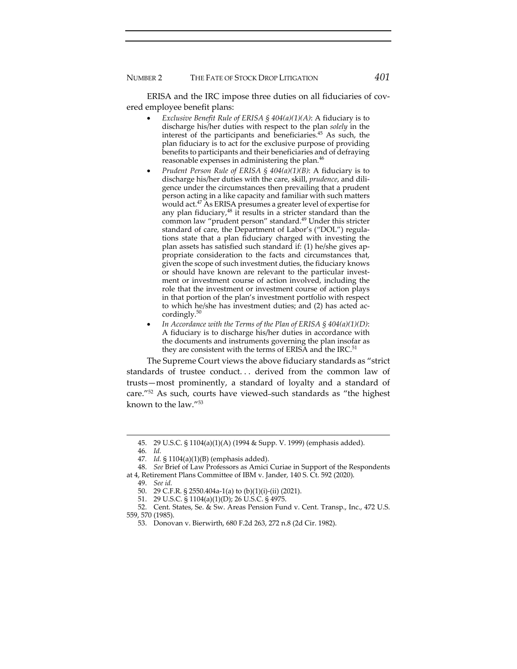ERISA and the IRC impose three duties on all fiduciaries of covered employee benefit plans:

- *Exclusive Benefit Rule of ERISA § 404(a)(1)(A)*: A fiduciary is to discharge his/her duties with respect to the plan *solely* in the interest of the participants and beneficiaries.<sup>45</sup> As such, the plan fiduciary is to act for the exclusive purpose of providing benefits to participants and their beneficiaries and of defraying reasonable expenses in administering the plan.<sup>46</sup>
- *Prudent Person Rule of ERISA § 404(a)(1)(B)*: A fiduciary is to discharge his/her duties with the care, skill, *prudence*, and dili‐ gence under the circumstances then prevailing that a prudent person acting in a like capacity and familiar with such matters would act. $47$  As ERISA presumes a greater level of expertise for any plan fiduciary, $48$  it results in a stricter standard than the common law "prudent person" standard.<sup>49</sup> Under this stricter standard of care, the Department of Labor's ("DOL") regula‐ tions state that a plan fiduciary charged with investing the plan assets has satisfied such standard if: (1) he/she gives ap‐ propriate consideration to the facts and circumstances that, given the scope of such investment duties, the fiduciary knows or should have known are relevant to the particular investment or investment course of action involved, including the role that the investment or investment course of action plays in that portion of the plan's investment portfolio with respect to which he/she has investment duties; and (2) has acted ac‐ cordingly. $50$
- *In Accordance with the Terms of the Plan of ERISA § 404(a)(1)(D)*: A fiduciary is to discharge his/her duties in accordance with the documents and instruments governing the plan insofar as they are consistent with the terms of ERISA and the IRC.<sup>51</sup>

The Supreme Court views the above fiduciary standards as "strict standards of trustee conduct. . . derived from the common law of trusts—most prominently, a standard of loyalty and a standard of care."<sup>52</sup> As such, courts have viewed-such standards as "the highest" known to the law."53

<sup>45.</sup> 29 U.S.C. § 1104(a)(1)(A) (1994 & Supp. V. 1999) (emphasis added).

<sup>46</sup>*. Id.*

<sup>47</sup>*. Id.* § 1104(a)(1)(B) (emphasis added).

<sup>48.</sup> *See* Brief of Law Professors as Amici Curiae in Support of the Respondents at 4, Retirement Plans Committee of IBM v. Jander, 140 S. Ct. 592 (2020).

<sup>49.</sup> *See id.*

<sup>50.</sup> 29 C.F.R. § 2550.404a‐1(a) to (b)(1)(i)‐(ii) (2021).

<sup>51.</sup> 29 U.S.C. § 1104(a)(1)(D); 26 U.S.C. § 4975.

<sup>52.</sup> Cent. States, Se. & Sw. Areas Pension Fund v. Cent. Transp., Inc., 472 U.S. 559, 570 (1985).

<sup>53.</sup> Donovan v. Bierwirth, 680 F.2d 263, 272 n.8 (2d Cir. 1982).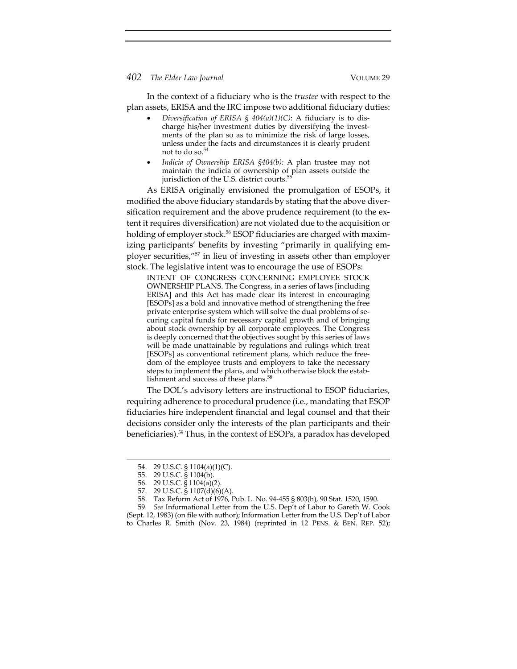In the context of a fiduciary who is the *trustee* with respect to the plan assets, ERISA and the IRC impose two additional fiduciary duties:

- *Diversification of ERISA § 404(a)(1)(C)*: A fiduciary is to dis‐ charge his/her investment duties by diversifying the investments of the plan so as to minimize the risk of large losses, unless under the facts and circumstances it is clearly prudent not to do so.<sup>5</sup>
- *Indicia of Ownership ERISA §404(b):* A plan trustee may not maintain the indicia of ownership of plan assets outside the jurisdiction of the U.S. district courts.<sup>55</sup>

As ERISA originally envisioned the promulgation of ESOPs, it modified the above fiduciary standards by stating that the above diversification requirement and the above prudence requirement (to the extent it requires diversification) are not violated due to the acquisition or holding of employer stock.<sup>56</sup> ESOP fiduciaries are charged with maximizing participants' benefits by investing "primarily in qualifying employer securities,"57 in lieu of investing in assets other than employer stock. The legislative intent was to encourage the use of ESOPs:

INTENT OF CONGRESS CONCERNING EMPLOYEE STOCK OWNERSHIP PLANS. The Congress, in a series of laws [including ERISA] and this Act has made clear its interest in encouraging [ESOPs] as a bold and innovative method of strengthening the free private enterprise system which will solve the dual problems of se‐ curing capital funds for necessary capital growth and of bringing about stock ownership by all corporate employees. The Congress is deeply concerned that the objectives sought by this series of laws will be made unattainable by regulations and rulings which treat [ESOPs] as conventional retirement plans, which reduce the freedom of the employee trusts and employers to take the necessary steps to implement the plans, and which otherwise block the estab‐ lishment and success of these plans.<sup>58</sup>

The DOL's advisory letters are instructional to ESOP fiduciaries, requiring adherence to procedural prudence (i.e., mandating that ESOP fiduciaries hire independent financial and legal counsel and that their decisions consider only the interests of the plan participants and their beneficiaries).59 Thus, in the context of ESOPs, a paradox has developed

<sup>54.</sup> 29 U.S.C. § 1104(a)(1)(C).

<sup>55.</sup> 29 U.S.C. § 1104(b).

<sup>56.</sup> 29 U.S.C. § 1104(a)(2).

<sup>57.</sup> 29 U.S.C. § 1107(d)(6)(A).

<sup>58.</sup> Tax Reform Act of 1976, Pub. L. No. 94‐455 § 803(h), 90 Stat. 1520, 1590.

<sup>59</sup>*. See* Informational Letter from the U.S. Dep't of Labor to Gareth W. Cook (Sept. 12, 1983) (on file with author); Information Letter from the U.S. Dep't of Labor to Charles R. Smith (Nov. 23, 1984) (reprinted in 12 PENS. & BEN. REP. 52);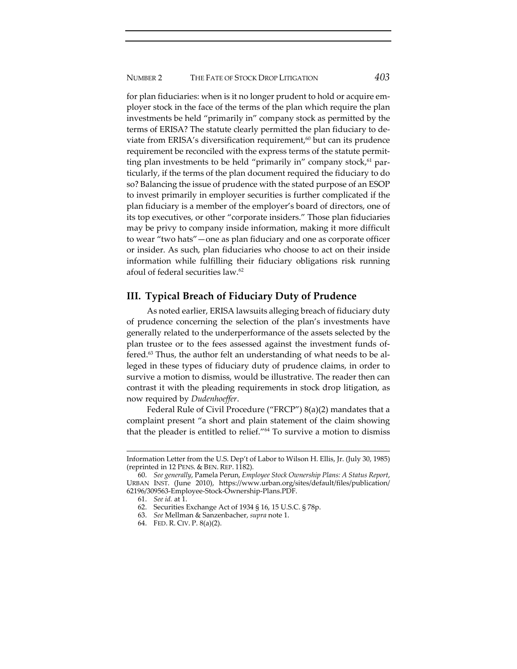for plan fiduciaries: when is it no longer prudent to hold or acquire employer stock in the face of the terms of the plan which require the plan investments be held "primarily in" company stock as permitted by the terms of ERISA? The statute clearly permitted the plan fiduciary to de‐ viate from ERISA's diversification requirement, $60$  but can its prudence requirement be reconciled with the express terms of the statute permit‐ ting plan investments to be held "primarily in" company stock, $61$  particularly, if the terms of the plan document required the fiduciary to do so? Balancing the issue of prudence with the stated purpose of an ESOP to invest primarily in employer securities is further complicated if the plan fiduciary is a member of the employer's board of directors, one of its top executives, or other "corporate insiders." Those plan fiduciaries may be privy to company inside information, making it more difficult to wear "two hats"—one as plan fiduciary and one as corporate officer or insider. As such, plan fiduciaries who choose to act on their inside information while fulfilling their fiduciary obligations risk running afoul of federal securities law.62

# **III. Typical Breach of Fiduciary Duty of Prudence**

As noted earlier, ERISA lawsuits alleging breach of fiduciary duty of prudence concerning the selection of the plan's investments have generally related to the underperformance of the assets selected by the plan trustee or to the fees assessed against the investment funds of‐ fered.<sup>63</sup> Thus, the author felt an understanding of what needs to be alleged in these types of fiduciary duty of prudence claims, in order to survive a motion to dismiss, would be illustrative. The reader then can contrast it with the pleading requirements in stock drop litigation, as now required by *Dudenhoeffer*.

Federal Rule of Civil Procedure ("FRCP") 8(a)(2) mandates that a complaint present "a short and plain statement of the claim showing that the pleader is entitled to relief."64 To survive a motion to dismiss

- 63. *See* Mellman & Sanzenbacher, *supra* note 1.
- 64. FED. R. CIV. P. 8(a)(2).

Information Letter from the U.S. Dep't of Labor to Wilson H. Ellis, Jr. (July 30, 1985) (reprinted in 12 PENS. & BEN. REP. 1182).

<sup>60.</sup> *See generally*, Pamela Perun, *Employee Stock Ownership Plans: A Status Report*, URBAN INST. (June 2010), https://www.urban.org/sites/default/files/publication/ 62196/309563‐Employee‐Stock‐Ownership‐Plans.PDF.

<sup>61.</sup> *See id.* at 1.

<sup>62.</sup> Securities Exchange Act of 1934 § 16, 15 U.S.C. § 78p.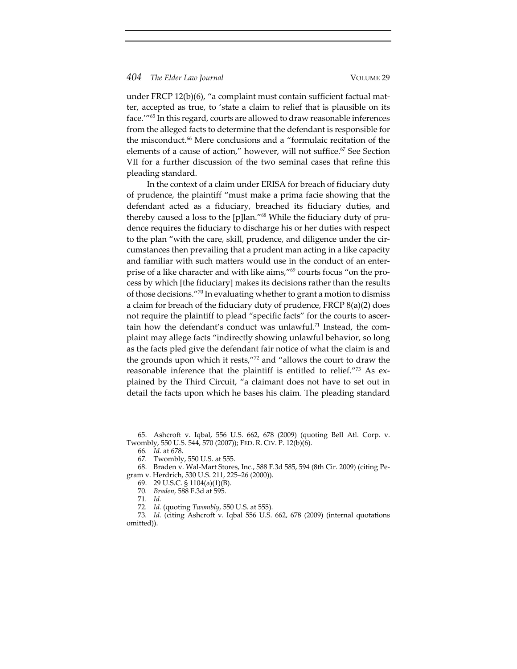under FRCP 12(b)(6), "a complaint must contain sufficient factual matter, accepted as true, to 'state a claim to relief that is plausible on its face.'"65 In this regard, courts are allowed to draw reasonable inferences from the alleged facts to determine that the defendant is responsible for the misconduct.<sup>66</sup> Mere conclusions and a "formulaic recitation of the elements of a cause of action," however, will not suffice.<sup>67</sup> See Section VII for a further discussion of the two seminal cases that refine this pleading standard.

In the context of a claim under ERISA for breach of fiduciary duty of prudence, the plaintiff "must make a prima facie showing that the defendant acted as a fiduciary, breached its fiduciary duties, and thereby caused a loss to the [p]lan."<sup>68</sup> While the fiduciary duty of prudence requires the fiduciary to discharge his or her duties with respect to the plan "with the care, skill, prudence, and diligence under the cir‐ cumstances then prevailing that a prudent man acting in a like capacity and familiar with such matters would use in the conduct of an enter‐ prise of a like character and with like aims,"<sup>69</sup> courts focus "on the process by which [the fiduciary] makes its decisions rather than the results of those decisions."<sup>70</sup> In evaluating whether to grant a motion to dismiss a claim for breach of the fiduciary duty of prudence, FRCP 8(a)(2) does not require the plaintiff to plead "specific facts" for the courts to ascertain how the defendant's conduct was unlawful.<sup>71</sup> Instead, the complaint may allege facts "indirectly showing unlawful behavior, so long as the facts pled give the defendant fair notice of what the claim is and the grounds upon which it rests,"72 and "allows the court to draw the reasonable inference that the plaintiff is entitled to relief."<sup>73</sup> As explained by the Third Circuit, "a claimant does not have to set out in detail the facts upon which he bases his claim. The pleading standard

<sup>65.</sup> Ashcroft v. Iqbal, 556 U.S. 662, 678 (2009) (quoting Bell Atl. Corp. v. Twombly, 550 U.S. 544, 570 (2007)); FED. R. CIV. P. 12(b)(6).

<sup>66</sup>*. Id.* at 678. 67*.* Twombly, 550 U.S. at 555.

<sup>68.</sup> Braden v. Wal‐Mart Stores, Inc., 588 F.3d 585, 594 (8th Cir. 2009) (citing Pe‐ gram v. Herdrich, 530 U.S. 211, 225–26 (2000)).

<sup>69.</sup> 29 U.S.C. § 1104(a)(1)(B).

<sup>70</sup>*. Braden*, 588 F.3d at 595.

<sup>71</sup>*. Id.*

<sup>72</sup>*. Id.* (quoting *Twombly*, 550 U.S. at 555).

<sup>73</sup>*. Id.* (citing Ashcroft v. Iqbal 556 U.S. 662, 678 (2009) (internal quotations omitted)).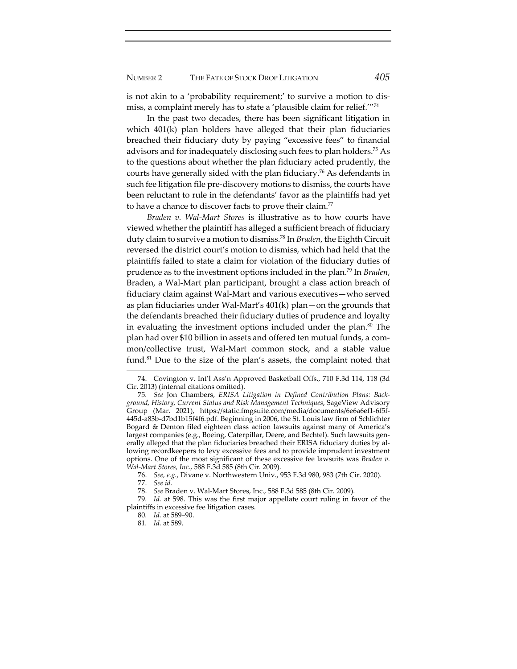is not akin to a 'probability requirement;' to survive a motion to dis‐ miss, a complaint merely has to state a 'plausible claim for relief.'"74

In the past two decades, there has been significant litigation in which 401(k) plan holders have alleged that their plan fiduciaries breached their fiduciary duty by paying "excessive fees" to financial advisors and for inadequately disclosing such fees to plan holders.75 As to the questions about whether the plan fiduciary acted prudently, the courts have generally sided with the plan fiduciary.76 As defendants in such fee litigation file pre‐discovery motions to dismiss, the courts have been reluctant to rule in the defendants' favor as the plaintiffs had yet to have a chance to discover facts to prove their claim.<sup>77</sup>

*Braden v. Wal‐Mart Stores* is illustrative as to how courts have viewed whether the plaintiff has alleged a sufficient breach of fiduciary duty claim to survive a motion to dismiss.78 In *Braden*, the Eighth Circuit reversed the district court's motion to dismiss, which had held that the plaintiffs failed to state a claim for violation of the fiduciary duties of prudence as to the investment options included in the plan.79 In *Braden*, Braden, a Wal‐Mart plan participant, brought a class action breach of fiduciary claim against Wal‐Mart and various executives—who served as plan fiduciaries under Wal‐Mart's 401(k) plan—on the grounds that the defendants breached their fiduciary duties of prudence and loyalty in evaluating the investment options included under the plan.<sup>80</sup> The plan had over \$10 billion in assets and offered ten mutual funds, a com‐ mon/collective trust, Wal‐Mart common stock, and a stable value fund.81 Due to the size of the plan's assets, the complaint noted that

<sup>74.</sup> Covington v. Int'l Ass'n Approved Basketball Offs., 710 F.3d 114, 118 (3d Cir. 2013) (internal citations omitted).

<sup>75</sup>*. See* Jon Chambers, *ERISA Litigation in Defined Contribution Plans: Back‐ ground, History, Current Status and Risk Management Techniques*, SageView Advisory Group (Mar. 2021), https://static.fmgsuite.com/media/documents/6e6a6ef1‐6f5f‐ 445d‐a83b‐d7bd1b15f4f6.pdf. Beginning in 2006, the St. Louis law firm of Schlichter Bogard & Denton filed eighteen class action lawsuits against many of America's largest companies (e.g., Boeing, Caterpillar, Deere, and Bechtel). Such lawsuits generally alleged that the plan fiduciaries breached their ERISA fiduciary duties by al‐ lowing recordkeepers to levy excessive fees and to provide imprudent investment options. One of the most significant of these excessive fee lawsuits was *Braden v. Wal‐Mart Stores, Inc.*, 588 F.3d 585 (8th Cir. 2009).

<sup>76.</sup> *See, e.g.*, Divane v. Northwestern Univ., 953 F.3d 980, 983 (7th Cir. 2020).

<sup>77.</sup> *See id.*

<sup>78.</sup> *See* Braden v. Wal‐Mart Stores, Inc., 588 F.3d 585 (8th Cir. 2009).

*Id.* at 598. This was the first major appellate court ruling in favor of the plaintiffs in excessive fee litigation cases.

<sup>80</sup>*. Id.* at 589–90.

<sup>81</sup>*. Id.* at 589.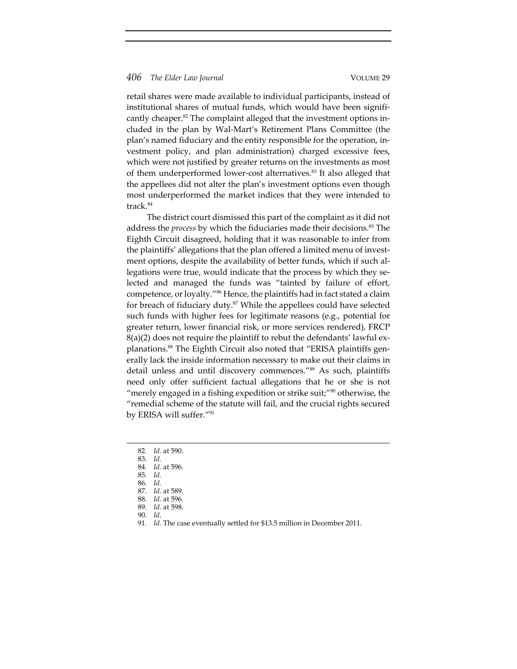retail shares were made available to individual participants, instead of institutional shares of mutual funds, which would have been significantly cheaper.<sup>82</sup> The complaint alleged that the investment options included in the plan by Wal‐Mart's Retirement Plans Committee (the plan's named fiduciary and the entity responsible for the operation, in‐ vestment policy, and plan administration) charged excessive fees, which were not justified by greater returns on the investments as most of them underperformed lower‐cost alternatives.83 It also alleged that the appellees did not alter the plan's investment options even though most underperformed the market indices that they were intended to track.<sup>84</sup>

The district court dismissed this part of the complaint as it did not address the *process* by which the fiduciaries made their decisions.<sup>85</sup> The Eighth Circuit disagreed, holding that it was reasonable to infer from the plaintiffs' allegations that the plan offered a limited menu of invest‐ ment options, despite the availability of better funds, which if such allegations were true, would indicate that the process by which they selected and managed the funds was "tainted by failure of effort, competence, or loyalty."86 Hence, the plaintiffs had in fact stated a claim for breach of fiduciary duty. $87$  While the appellees could have selected such funds with higher fees for legitimate reasons (e.g., potential for greater return, lower financial risk, or more services rendered), FRCP  $8(a)(2)$  does not require the plaintiff to rebut the defendants' lawful explanations.<sup>88</sup> The Eighth Circuit also noted that "ERISA plaintiffs generally lack the inside information necessary to make out their claims in detail unless and until discovery commences."<sup>89</sup> As such, plaintiffs need only offer sufficient factual allegations that he or she is not "merely engaged in a fishing expedition or strike suit;"<sup>90</sup> otherwise, the "remedial scheme of the statute will fail, and the crucial rights secured by ERISA will suffer."91

- 86*. Id.*
- 87. *Id.* at 589.
- 88*. Id.* at 596.
- 89*. Id.* at 598.
- 90*. Id*.

<sup>82</sup>*. Id.* at 590.

<sup>83</sup>*. Id.* 84*. Id.* at 596.

<sup>85</sup>*. Id.*

<sup>91</sup>*. Id.* The case eventually settled for \$13.5 million in December 2011.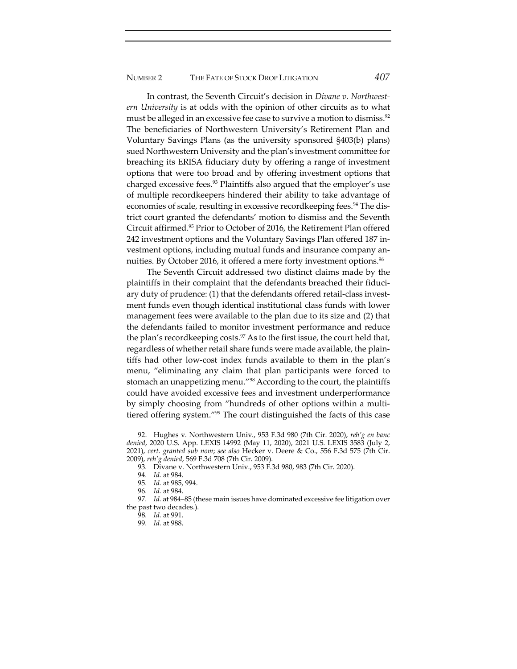In contrast, the Seventh Circuit's decision in *Divane v. Northwest‐ ern University* is at odds with the opinion of other circuits as to what must be alleged in an excessive fee case to survive a motion to dismiss.<sup>92</sup> The beneficiaries of Northwestern University's Retirement Plan and Voluntary Savings Plans (as the university sponsored §403(b) plans) sued Northwestern University and the plan's investment committee for breaching its ERISA fiduciary duty by offering a range of investment options that were too broad and by offering investment options that charged excessive fees.<sup>93</sup> Plaintiffs also argued that the employer's use of multiple recordkeepers hindered their ability to take advantage of economies of scale, resulting in excessive recordkeeping fees.<sup>94</sup> The district court granted the defendants' motion to dismiss and the Seventh Circuit affirmed.95 Prior to October of 2016, the Retirement Plan offered 242 investment options and the Voluntary Savings Plan offered 187 in‐ vestment options, including mutual funds and insurance company annuities. By October 2016, it offered a mere forty investment options.<sup>96</sup>

The Seventh Circuit addressed two distinct claims made by the plaintiffs in their complaint that the defendants breached their fiduciary duty of prudence: (1) that the defendants offered retail‐class invest‐ ment funds even though identical institutional class funds with lower management fees were available to the plan due to its size and (2) that the defendants failed to monitor investment performance and reduce the plan's recordkeeping costs.<sup>97</sup> As to the first issue, the court held that, regardless of whether retail share funds were made available, the plain‐ tiffs had other low‐cost index funds available to them in the plan's menu, "eliminating any claim that plan participants were forced to stomach an unappetizing menu."98 According to the court, the plaintiffs could have avoided excessive fees and investment underperformance by simply choosing from "hundreds of other options within a multi‐ tiered offering system."99 The court distinguished the facts of this case

<sup>92.</sup> Hughes v. Northwestern Univ., 953 F.3d 980 (7th Cir. 2020), *reh'g en banc denied*, 2020 U.S. App. LEXIS 14992 (May 11, 2020), 2021 U.S. LEXIS 3583 (July 2, 2021), *cert. granted sub nom*; *see also* Hecker v. Deere & Co., 556 F.3d 575 (7th Cir. 2009), *reh'g denied*, 569 F.3d 708 (7th Cir. 2009).

<sup>93</sup>*.* Divane v. Northwestern Univ., 953 F.3d 980, 983 (7th Cir. 2020).

<sup>94</sup>*. Id.* at 984.

<sup>95</sup>*. Id.* at 985, 994.

<sup>96</sup>*. Id.* at 984.

<sup>97</sup>*. Id.* at 984–85 (these main issues have dominated excessive fee litigation over the past two decades.).

<sup>98</sup>*. Id.* at 991.

<sup>99</sup>*. Id.* at 988.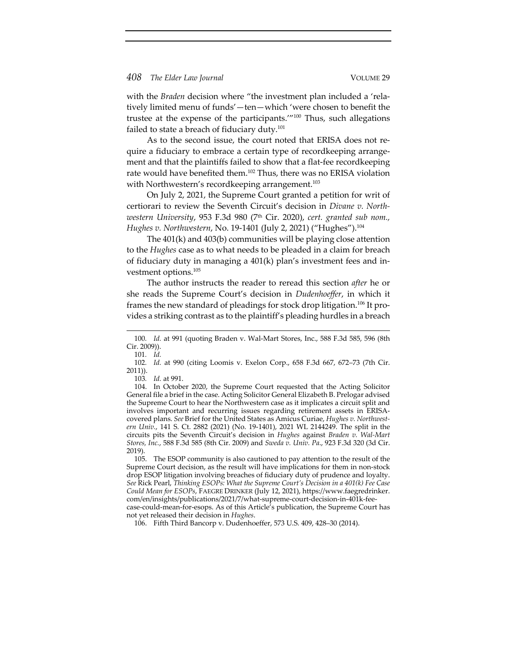with the *Braden* decision where "the investment plan included a 'relatively limited menu of funds'—ten—which 'were chosen to benefit the trustee at the expense of the participants.'"100 Thus, such allegations failed to state a breach of fiduciary duty.<sup>101</sup>

As to the second issue, the court noted that ERISA does not re‐ quire a fiduciary to embrace a certain type of recordkeeping arrange‐ ment and that the plaintiffs failed to show that a flat-fee recordkeeping rate would have benefited them.102 Thus, there was no ERISA violation with Northwestern's recordkeeping arrangement.<sup>103</sup>

On July 2, 2021, the Supreme Court granted a petition for writ of certiorari to review the Seventh Circuit's decision in *Divane v. North‐ western University*, 953 F.3d 980 (7th Cir. 2020), *cert. granted sub nom., Hughes v. Northwestern*, No. 19‐1401 (July 2, 2021) ("Hughes").104

The 401(k) and 403(b) communities will be playing close attention to the *Hughes* case as to what needs to be pleaded in a claim for breach of fiduciary duty in managing a 401(k) plan's investment fees and in‐ vestment options.105

The author instructs the reader to reread this section *after* he or she reads the Supreme Court's decision in *Dudenhoeffer*, in which it frames the new standard of pleadings for stock drop litigation.<sup>106</sup> It provides a striking contrast as to the plaintiff's pleading hurdles in a breach

<sup>100</sup>*. Id.* at 991 (quoting Braden v. Wal‐Mart Stores, Inc., 588 F.3d 585, 596 (8th Cir. 2009)).

<sup>101</sup>*. Id.*

<sup>102</sup>*. Id.* at 990 (citing Loomis v. Exelon Corp., 658 F.3d 667, 672–73 (7th Cir. 2011)).

<sup>103</sup>*. Id.* at 991.

<sup>104.</sup> In October 2020, the Supreme Court requested that the Acting Solicitor General file a brief in the case. Acting Solicitor General Elizabeth B. Prelogar advised the Supreme Court to hear the Northwestern case as it implicates a circuit split and involves important and recurring issues regarding retirement assets in ERISA‐ covered plans. *See* Brief for the United States as Amicus Curiae, *Hughes v. Northwest‐ ern Univ.*, 141 S. Ct. 2882 (2021) (No. 19‐1401), 2021 WL 2144249. The split in the circuits pits the Seventh Circuit's decision in *Hughes* against *Braden v. Wal‐Mart Stores, Inc.*, 588 F.3d 585 (8th Cir. 2009) and *Sweda v. Univ. Pa*., 923 F.3d 320 (3d Cir. 2019).

<sup>105.</sup> The ESOP community is also cautioned to pay attention to the result of the Supreme Court decision, as the result will have implications for them in non‐stock drop ESOP litigation involving breaches of fiduciary duty of prudence and loyalty. *See* Rick Pearl, *Thinking ESOPs: What the Supreme Court's Decision in a 401(k) Fee Case Could Mean for ESOPs*, FAEGRE DRINKER (July 12, 2021), https://www.faegredrinker. com/en/insights/publications/2021/7/what‐supreme‐court‐decision‐in‐401k‐fee‐ case‐could‐mean‐for‐esops. As of this Article's publication, the Supreme Court has not yet released their decision in *Hughes*.

<sup>106.</sup> Fifth Third Bancorp v. Dudenhoeffer, 573 U.S. 409, 428–30 (2014).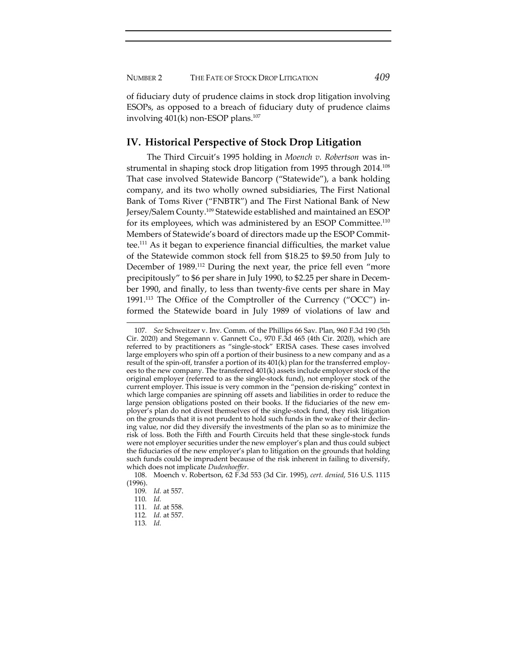NUMBER 2 THE FATE OF STOCK DROP LITIGATION *409*

of fiduciary duty of prudence claims in stock drop litigation involving ESOPs, as opposed to a breach of fiduciary duty of prudence claims involving  $401(k)$  non-ESOP plans.<sup>107</sup>

# **IV. Historical Perspective of Stock Drop Litigation**

The Third Circuit's 1995 holding in *Moench v. Robertson* was in‐ strumental in shaping stock drop litigation from 1995 through 2014.<sup>108</sup> That case involved Statewide Bancorp ("Statewide"), a bank holding company, and its two wholly owned subsidiaries, The First National Bank of Toms River ("FNBTR") and The First National Bank of New Jersey/Salem County.109 Statewide established and maintained an ESOP for its employees, which was administered by an ESOP Committee.110 Members of Statewide's board of directors made up the ESOP Commit‐ tee.111 As it began to experience financial difficulties, the market value of the Statewide common stock fell from \$18.25 to \$9.50 from July to December of 1989.<sup>112</sup> During the next year, the price fell even "more precipitously" to \$6 per share in July 1990, to \$2.25 per share in Decem‐ ber 1990, and finally, to less than twenty‐five cents per share in May 1991.<sup>113</sup> The Office of the Comptroller of the Currency ("OCC") informed the Statewide board in July 1989 of violations of law and

113*. Id.*

<sup>107</sup>*. See* Schweitzer v. Inv. Comm. of the Phillips 66 Sav. Plan, 960 F.3d 190 (5th Cir. 2020) and Stegemann v. Gannett Co., 970 F.3d 465 (4th Cir. 2020), which are referred to by practitioners as "single‐stock" ERISA cases. These cases involved large employers who spin off a portion of their business to a new company and as a result of the spin-off, transfer a portion of its  $401(k)$  plan for the transferred employees to the new company. The transferred 401(k) assets include employer stock of the original employer (referred to as the single‐stock fund), not employer stock of the current employer. This issue is very common in the "pension de‐risking" context in which large companies are spinning off assets and liabilities in order to reduce the large pension obligations posted on their books. If the fiduciaries of the new employer's plan do not divest themselves of the single‐stock fund, they risk litigation on the grounds that it is not prudent to hold such funds in the wake of their declin‐ ing value, nor did they diversify the investments of the plan so as to minimize the risk of loss. Both the Fifth and Fourth Circuits held that these single‐stock funds were not employer securities under the new employer's plan and thus could subject the fiduciaries of the new employer's plan to litigation on the grounds that holding such funds could be imprudent because of the risk inherent in failing to diversify, which does not implicate *Dudenhoeffer*.

<sup>108.</sup> Moench v. Robertson, 62 F.3d 553 (3d Cir. 1995), *cert. denied*, 516 U.S. 1115 (1996).

<sup>109</sup>*. Id.* at 557.

<sup>110</sup>*. Id.*

<sup>111</sup>*. Id.* at 558.

<sup>112</sup>*. Id.* at 557.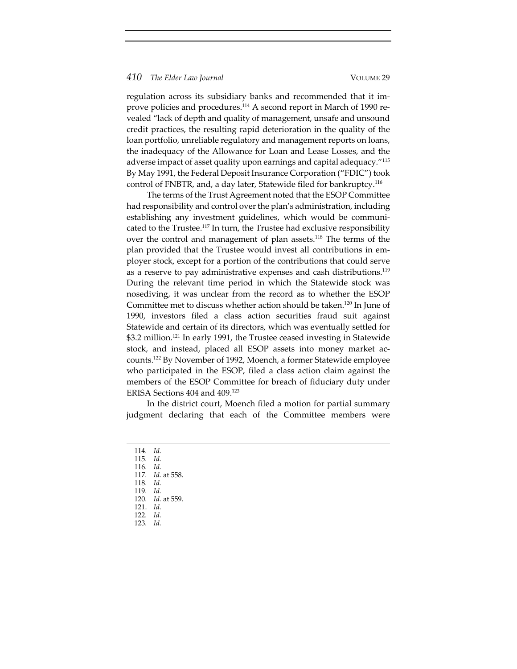regulation across its subsidiary banks and recommended that it im‐ prove policies and procedures.<sup>114</sup> A second report in March of 1990 revealed "lack of depth and quality of management, unsafe and unsound credit practices, the resulting rapid deterioration in the quality of the loan portfolio, unreliable regulatory and management reports on loans, the inadequacy of the Allowance for Loan and Lease Losses, and the adverse impact of asset quality upon earnings and capital adequacy."115 By May 1991, the Federal Deposit Insurance Corporation ("FDIC") took control of FNBTR, and, a day later, Statewide filed for bankruptcy.116

The terms of the Trust Agreement noted that the ESOP Committee had responsibility and control over the plan's administration, including establishing any investment guidelines, which would be communicated to the Trustee.<sup>117</sup> In turn, the Trustee had exclusive responsibility over the control and management of plan assets.<sup>118</sup> The terms of the plan provided that the Trustee would invest all contributions in employer stock, except for a portion of the contributions that could serve as a reserve to pay administrative expenses and cash distributions.<sup>119</sup> During the relevant time period in which the Statewide stock was nosediving, it was unclear from the record as to whether the ESOP Committee met to discuss whether action should be taken.120 In June of 1990, investors filed a class action securities fraud suit against Statewide and certain of its directors, which was eventually settled for \$3.2 million.<sup>121</sup> In early 1991, the Trustee ceased investing in Statewide stock, and instead, placed all ESOP assets into money market ac‐ counts.122 By November of 1992, Moench, a former Statewide employee who participated in the ESOP, filed a class action claim against the members of the ESOP Committee for breach of fiduciary duty under ERISA Sections 404 and 409.123

In the district court, Moench filed a motion for partial summary judgment declaring that each of the Committee members were

- 
- 114*. Id.* 115*. Id.*
- 116*. Id.*
- 117*. Id.* at 558.
- 118*. Id.* 119*. Id.*
- 120*. Id.* at 559.
- 121. *Id.*
- 122*. Id.*
- 123*. Id.*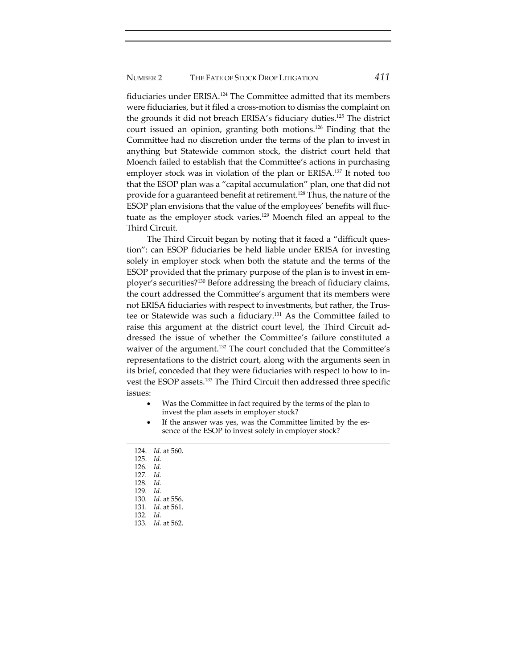fiduciaries under ERISA.124 The Committee admitted that its members were fiduciaries, but it filed a cross-motion to dismiss the complaint on the grounds it did not breach ERISA's fiduciary duties.125 The district court issued an opinion, granting both motions.126 Finding that the Committee had no discretion under the terms of the plan to invest in anything but Statewide common stock, the district court held that Moench failed to establish that the Committee's actions in purchasing employer stock was in violation of the plan or ERISA.<sup>127</sup> It noted too that the ESOP plan was a "capital accumulation" plan, one that did not provide for a guaranteed benefit at retirement.<sup>128</sup> Thus, the nature of the ESOP plan envisions that the value of the employees' benefits will fluc‐ tuate as the employer stock varies.<sup>129</sup> Moench filed an appeal to the Third Circuit.

The Third Circuit began by noting that it faced a "difficult question": can ESOP fiduciaries be held liable under ERISA for investing solely in employer stock when both the statute and the terms of the ESOP provided that the primary purpose of the plan is to invest in em‐ ployer's securities?130 Before addressing the breach of fiduciary claims, the court addressed the Committee's argument that its members were not ERISA fiduciaries with respect to investments, but rather, the Trustee or Statewide was such a fiduciary.131 As the Committee failed to raise this argument at the district court level, the Third Circuit ad‐ dressed the issue of whether the Committee's failure constituted a waiver of the argument.<sup>132</sup> The court concluded that the Committee's representations to the district court, along with the arguments seen in its brief, conceded that they were fiduciaries with respect to how to in‐ vest the ESOP assets.133 The Third Circuit then addressed three specific issues:

- Was the Committee in fact required by the terms of the plan to invest the plan assets in employer stock?
- If the answer was yes, was the Committee limited by the essence of the ESOP to invest solely in employer stock?

- 126*. Id.*
- 127*. Id.*
- 128*. Id.*
- 129*. Id.*
- 130*. Id.* at 556.
- 131*. Id.* at 561.
- 132*. Id.*
- 133*. Id.* at 562.

<sup>124.</sup> *Id.* at 560.

<sup>125.</sup> *Id.*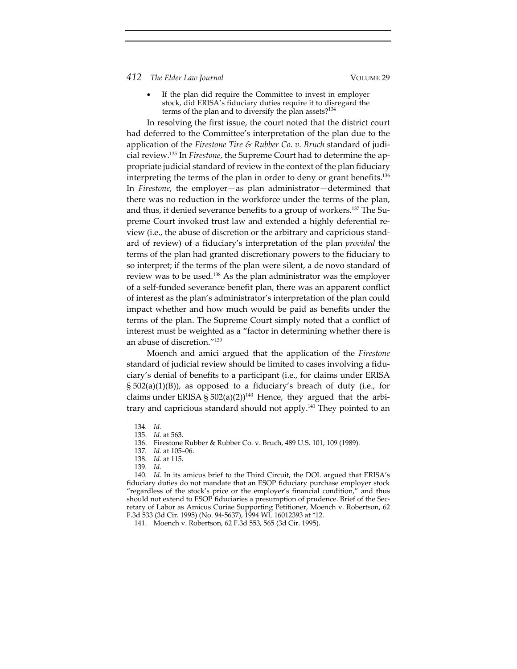If the plan did require the Committee to invest in employer stock, did ERISA's fiduciary duties require it to disregard the terms of the plan and to diversify the plan assets?<sup>134</sup>

In resolving the first issue, the court noted that the district court had deferred to the Committee's interpretation of the plan due to the application of the *Firestone Tire & Rubber Co. v. Bruch* standard of judi‐ cial review.135 In *Firestone*, the Supreme Court had to determine the ap‐ propriate judicial standard of review in the context of the plan fiduciary interpreting the terms of the plan in order to deny or grant benefits.136 In *Firestone*, the employer—as plan administrator—determined that there was no reduction in the workforce under the terms of the plan, and thus, it denied severance benefits to a group of workers.<sup>137</sup> The Supreme Court invoked trust law and extended a highly deferential re‐ view (i.e., the abuse of discretion or the arbitrary and capricious stand‐ ard of review) of a fiduciary's interpretation of the plan *provided* the terms of the plan had granted discretionary powers to the fiduciary to so interpret; if the terms of the plan were silent, a de novo standard of review was to be used.138 As the plan administrator was the employer of a self‐funded severance benefit plan, there was an apparent conflict of interest as the plan's administrator's interpretation of the plan could impact whether and how much would be paid as benefits under the terms of the plan. The Supreme Court simply noted that a conflict of interest must be weighted as a "factor in determining whether there is an abuse of discretion."139

Moench and amici argued that the application of the *Firestone* standard of judicial review should be limited to cases involving a fidu‐ ciary's denial of benefits to a participant (i.e., for claims under ERISA § 502(a)(1)(B)), as opposed to a fiduciary's breach of duty (i.e., for claims under ERISA §  $502(a)(2)$ <sup>140</sup> Hence, they argued that the arbitrary and capricious standard should not apply.<sup>141</sup> They pointed to an

140*. Id.* In its amicus brief to the Third Circuit, the DOL argued that ERISA's fiduciary duties do not mandate that an ESOP fiduciary purchase employer stock "regardless of the stock's price or the employer's financial condition," and thus should not extend to ESOP fiduciaries a presumption of prudence. Brief of the Secretary of Labor as Amicus Curiae Supporting Petitioner, Moench v. Robertson, 62 F.3d 533 (3d Cir. 1995) (No. 94‐5637), 1994 WL 16012393 at \*12.

<sup>134</sup>*. Id.*

<sup>135.</sup> *Id.* at 563.

<sup>136.</sup> Firestone Rubber & Rubber Co. v. Bruch, 489 U.S. 101, 109 (1989).

<sup>137</sup>*. Id.* at 105–06.

<sup>138</sup>*. Id.* at 115.

<sup>139</sup>*. Id.*

<sup>141.</sup> Moench v. Robertson, 62 F.3d 553, 565 (3d Cir. 1995).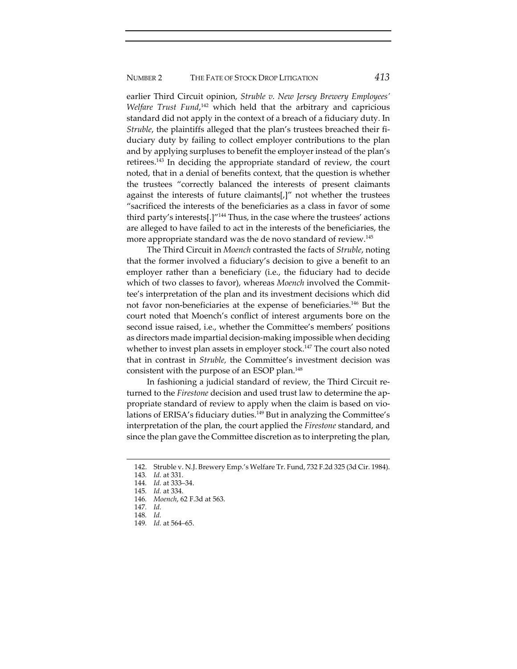earlier Third Circuit opinion, *Struble v. New Jersey Brewery Employees' Welfare Trust Fund*, <sup>142</sup> which held that the arbitrary and capricious standard did not apply in the context of a breach of a fiduciary duty. In *Struble*, the plaintiffs alleged that the plan's trustees breached their fiduciary duty by failing to collect employer contributions to the plan and by applying surpluses to benefit the employer instead of the plan's retirees.143 In deciding the appropriate standard of review, the court noted, that in a denial of benefits context, that the question is whether the trustees "correctly balanced the interests of present claimants against the interests of future claimants[,]" not whether the trustees "sacrificed the interests of the beneficiaries as a class in favor of some third party's interests[.]"<sup>144</sup> Thus, in the case where the trustees' actions are alleged to have failed to act in the interests of the beneficiaries, the more appropriate standard was the de novo standard of review.145

The Third Circuit in *Moench* contrasted the facts of *Struble*, noting that the former involved a fiduciary's decision to give a benefit to an employer rather than a beneficiary (i.e., the fiduciary had to decide which of two classes to favor), whereas *Moench* involved the Committee's interpretation of the plan and its investment decisions which did not favor non-beneficiaries at the expense of beneficiaries.<sup>146</sup> But the court noted that Moench's conflict of interest arguments bore on the second issue raised, i.e., whether the Committee's members' positions as directors made impartial decision‐making impossible when deciding whether to invest plan assets in employer stock.<sup>147</sup> The court also noted that in contrast in *Struble,* the Committee's investment decision was consistent with the purpose of an ESOP plan.148

In fashioning a judicial standard of review, the Third Circuit re‐ turned to the *Firestone* decision and used trust law to determine the appropriate standard of review to apply when the claim is based on violations of ERISA's fiduciary duties.<sup>149</sup> But in analyzing the Committee's interpretation of the plan, the court applied the *Firestone* standard, and since the plan gave the Committee discretion as to interpreting the plan,

<sup>142.</sup> Struble v. N.J. Brewery Emp.'s Welfare Tr. Fund, 732 F.2d 325 (3d Cir. 1984).

<sup>143</sup>*. Id.* at 331.

<sup>144</sup>*. Id.* at 333–34.

<sup>145</sup>*. Id.* at 334.

<sup>146</sup>*. Moench*, 62 F.3d at 563.

<sup>147</sup>*. Id.*

<sup>148</sup>*. Id.*

<sup>149</sup>*. Id.* at 564–65.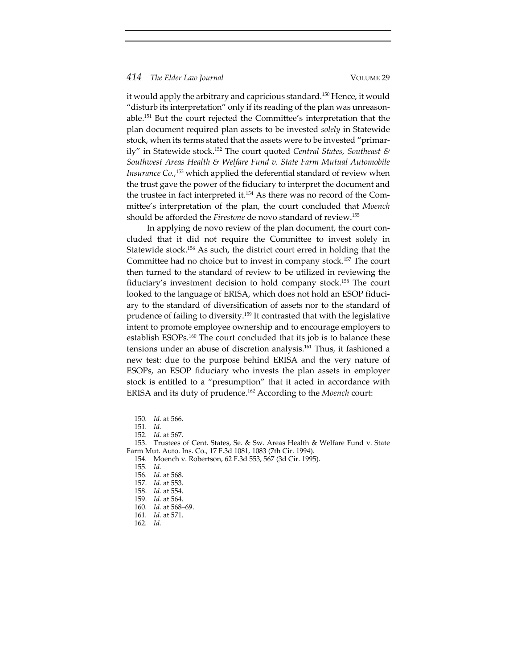it would apply the arbitrary and capricious standard.<sup>150</sup> Hence, it would "disturb its interpretation" only if its reading of the plan was unreason‐ able.151 But the court rejected the Committee's interpretation that the plan document required plan assets to be invested *solely* in Statewide stock, when its terms stated that the assets were to be invested "primar‐ ily" in Statewide stock.152 The court quoted *Central States, Southeast & Southwest Areas Health & Welfare Fund v. State Farm Mutual Automobile Insurance Co.*, <sup>153</sup> which applied the deferential standard of review when the trust gave the power of the fiduciary to interpret the document and the trustee in fact interpreted it.<sup>154</sup> As there was no record of the Committee's interpretation of the plan, the court concluded that *Moench* should be afforded the *Firestone* de novo standard of review.155

In applying de novo review of the plan document, the court concluded that it did not require the Committee to invest solely in Statewide stock.<sup>156</sup> As such, the district court erred in holding that the Committee had no choice but to invest in company stock.157 The court then turned to the standard of review to be utilized in reviewing the fiduciary's investment decision to hold company stock.158 The court looked to the language of ERISA, which does not hold an ESOP fiduciary to the standard of diversification of assets nor to the standard of prudence of failing to diversity.<sup>159</sup> It contrasted that with the legislative intent to promote employee ownership and to encourage employers to establish ESOPs.<sup>160</sup> The court concluded that its job is to balance these tensions under an abuse of discretion analysis.161 Thus, it fashioned a new test: due to the purpose behind ERISA and the very nature of ESOPs, an ESOP fiduciary who invests the plan assets in employer stock is entitled to a "presumption" that it acted in accordance with ERISA and its duty of prudence.162 According to the *Moench* court:

<sup>150</sup>*. Id.* at 566.

<sup>151</sup>*. Id.*

<sup>152</sup>*. Id.* at 567.

<sup>153.</sup> Trustees of Cent. States, Se. & Sw. Areas Health & Welfare Fund v. State Farm Mut. Auto. Ins. Co., 17 F.3d 1081, 1083 (7th Cir. 1994).

<sup>154</sup>*.* Moench v. Robertson, 62 F.3d 553, 567 (3d Cir. 1995).

<sup>155</sup>*. Id.*

<sup>156</sup>*. Id.* at 568.

<sup>157.</sup> *Id.* at 553.

<sup>158.</sup> *Id.* at 554.

<sup>159.</sup> *Id.* at 564.

<sup>160</sup>*. Id.* at 568–69.

<sup>161</sup>*. Id.* at 571.

<sup>162</sup>*. Id.*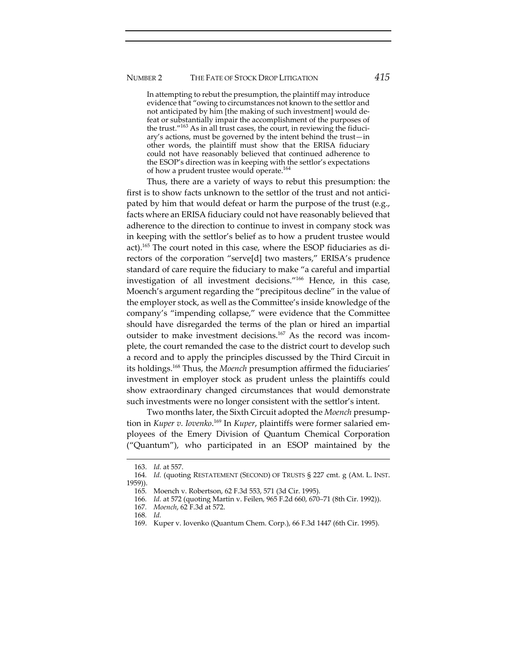# NUMBER 2 THE FATE OF STOCK DROP LITIGATION *415*

In attempting to rebut the presumption, the plaintiff may introduce evidence that "owing to circumstances not known to the settlor and not anticipated by him [the making of such investment] would de‐ feat or substantially impair the accomplishment of the purposes of the trust."<sup>163</sup> As in all trust cases, the court, in reviewing the fiduciary's actions, must be governed by the intent behind the trust—in other words, the plaintiff must show that the ERISA fiduciary could not have reasonably believed that continued adherence to the ESOP's direction was in keeping with the settlor's expectations of how a prudent trustee would operate.<sup>164</sup>

Thus, there are a variety of ways to rebut this presumption: the first is to show facts unknown to the settlor of the trust and not anticipated by him that would defeat or harm the purpose of the trust (e.g., facts where an ERISA fiduciary could not have reasonably believed that adherence to the direction to continue to invest in company stock was in keeping with the settlor's belief as to how a prudent trustee would act).165 The court noted in this case, where the ESOP fiduciaries as di‐ rectors of the corporation "serve[d] two masters," ERISA's prudence standard of care require the fiduciary to make "a careful and impartial investigation of all investment decisions."166 Hence, in this case, Moench's argument regarding the "precipitous decline" in the value of the employer stock, as well as the Committee's inside knowledge of the company's "impending collapse," were evidence that the Committee should have disregarded the terms of the plan or hired an impartial outsider to make investment decisions.<sup>167</sup> As the record was incomplete, the court remanded the case to the district court to develop such a record and to apply the principles discussed by the Third Circuit in its holdings.<sup>168</sup> Thus, the *Moench* presumption affirmed the fiduciaries' investment in employer stock as prudent unless the plaintiffs could show extraordinary changed circumstances that would demonstrate such investments were no longer consistent with the settlor's intent.

Two months later, the Sixth Circuit adopted the *Moench* presump‐ tion in *Kuper v. Iovenko*. <sup>169</sup> In *Kuper*, plaintiffs were former salaried em‐ ployees of the Emery Division of Quantum Chemical Corporation ("Quantum"), who participated in an ESOP maintained by the

<sup>163.</sup> *Id.* at 557.

<sup>164</sup>*. Id.* (quoting RESTATEMENT (SECOND) OF TRUSTS § 227 cmt. g (AM. L. INST. 1959)).

<sup>165</sup>*.* Moench v. Robertson, 62 F.3d 553, 571 (3d Cir. 1995).

<sup>166</sup>*. Id.* at 572 (quoting Martin v. Feilen, 965 F.2d 660, 670–71 (8th Cir. 1992)).

<sup>167</sup>*. Moench*, 62 F.3d at 572.

<sup>168</sup>*. Id.*

<sup>169.</sup> Kuper v. Iovenko (Quantum Chem. Corp.), 66 F.3d 1447 (6th Cir. 1995).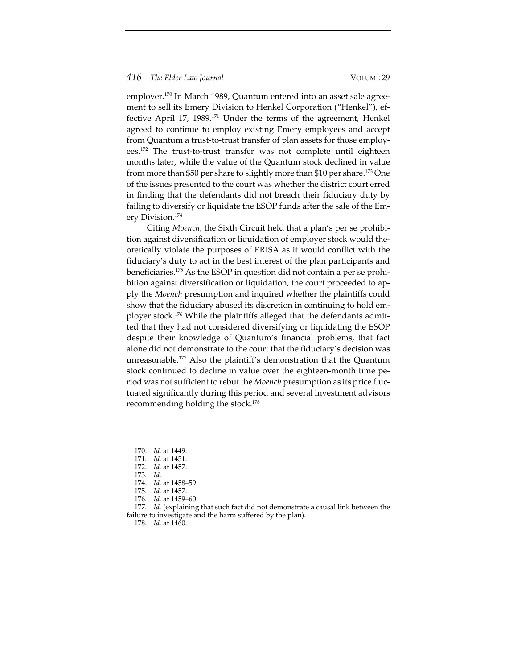employer.<sup>170</sup> In March 1989, Quantum entered into an asset sale agreement to sell its Emery Division to Henkel Corporation ("Henkel"), effective April 17, 1989.171 Under the terms of the agreement, Henkel agreed to continue to employ existing Emery employees and accept from Quantum a trust-to-trust transfer of plan assets for those employees.<sup>172</sup> The trust-to-trust transfer was not complete until eighteen months later, while the value of the Quantum stock declined in value from more than \$50 per share to slightly more than \$10 per share.173 One of the issues presented to the court was whether the district court erred in finding that the defendants did not breach their fiduciary duty by failing to diversify or liquidate the ESOP funds after the sale of the Em‐ ery Division.174

Citing *Moench*, the Sixth Circuit held that a plan's per se prohibi‐ tion against diversification or liquidation of employer stock would the‐ oretically violate the purposes of ERISA as it would conflict with the fiduciary's duty to act in the best interest of the plan participants and beneficiaries.<sup>175</sup> As the ESOP in question did not contain a per se prohibition against diversification or liquidation, the court proceeded to apply the *Moench* presumption and inquired whether the plaintiffs could show that the fiduciary abused its discretion in continuing to hold employer stock.<sup>176</sup> While the plaintiffs alleged that the defendants admitted that they had not considered diversifying or liquidating the ESOP despite their knowledge of Quantum's financial problems, that fact alone did not demonstrate to the court that the fiduciary's decision was unreasonable.177 Also the plaintiff's demonstration that the Quantum stock continued to decline in value over the eighteen‐month time pe‐ riod was not sufficient to rebut the *Moench* presumption as its price fluc‐ tuated significantly during this period and several investment advisors recommending holding the stock.<sup>178</sup>

177*. Id.* (explaining that such fact did not demonstrate a causal link between the failure to investigate and the harm suffered by the plan).

<sup>170.</sup> *Id.* at 1449.

<sup>171</sup>*. Id.* at 1451.

<sup>172.</sup> *Id.* at 1457.

<sup>173</sup>*. Id.*

<sup>174.</sup> *Id.* at 1458–59.

<sup>175</sup>*. Id.* at 1457.

<sup>176</sup>*. Id.* at 1459–60.

<sup>178</sup>*. Id.* at 1460.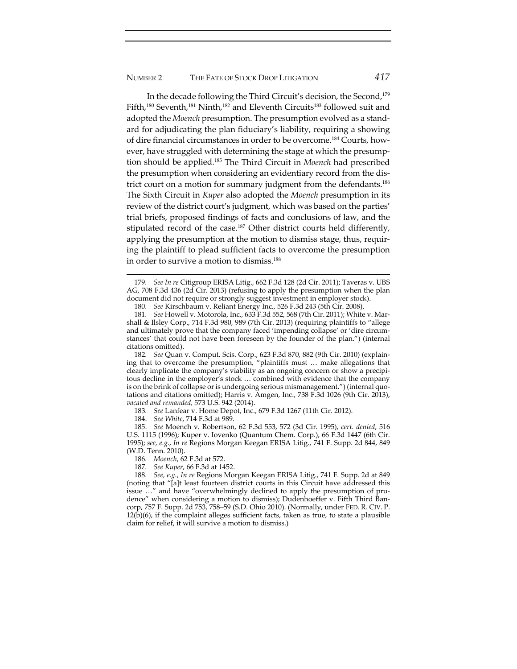In the decade following the Third Circuit's decision, the Second,<sup>179</sup> Fifth,<sup>180</sup> Seventh,<sup>181</sup> Ninth,<sup>182</sup> and Eleventh Circuits<sup>183</sup> followed suit and adopted the *Moench* presumption. The presumption evolved as a stand‐ ard for adjudicating the plan fiduciary's liability, requiring a showing of dire financial circumstances in order to be overcome.184 Courts, how‐ ever, have struggled with determining the stage at which the presumption should be applied.185 The Third Circuit in *Moench* had prescribed the presumption when considering an evidentiary record from the dis‐ trict court on a motion for summary judgment from the defendants.<sup>186</sup> The Sixth Circuit in *Kuper* also adopted the *Moench* presumption in its review of the district court's judgment, which was based on the parties' trial briefs, proposed findings of facts and conclusions of law, and the stipulated record of the case.<sup>187</sup> Other district courts held differently, applying the presumption at the motion to dismiss stage, thus, requir‐ ing the plaintiff to plead sufficient facts to overcome the presumption in order to survive a motion to dismiss.<sup>188</sup>

182*. See* Quan v. Comput. Scis. Corp., 623 F.3d 870, 882 (9th Cir. 2010) (explain‐ ing that to overcome the presumption, "plaintiffs must … make allegations that clearly implicate the company's viability as an ongoing concern or show a precipitous decline in the employer's stock … combined with evidence that the company is on the brink of collapse or is undergoing serious mismanagement.") (internal quotations and citations omitted); Harris v. Amgen, Inc., 738 F.3d 1026 (9th Cir. 2013), *vacated and remanded,* 573 U.S. 942 (2014).

183*. See* Lanfear v. Home Depot, Inc., 679 F.3d 1267 (11th Cir. 2012).

184. *See White*, 714 F.3d at 989.

185. *See* Moench v. Robertson, 62 F.3d 553, 572 (3d Cir. 1995), *cert. denied*, 516 U.S. 1115 (1996); Kuper v. Iovenko (Quantum Chem. Corp.), 66 F.3d 1447 (6th Cir. 1995); *see, e.g.*, *In re* Regions Morgan Keegan ERISA Litig., 741 F. Supp. 2d 844, 849 (W.D. Tenn. 2010).

186*. Moench*, 62 F.3d at 572.

187*. See Kuper*, 66 F.3d at 1452.

188*. See, e.g.*, *In re* Regions Morgan Keegan ERISA Litig., 741 F. Supp. 2d at 849 (noting that "[a]t least fourteen district courts in this Circuit have addressed this issue ..." and have "overwhelmingly declined to apply the presumption of prudence" when considering a motion to dismiss); Dudenhoeffer v. Fifth Third Ban‐ corp, 757 F. Supp. 2d 753, 758–59 (S.D. Ohio 2010). (Normally, under FED. R. CIV. P.  $12(b)(6)$ , if the complaint alleges sufficient facts, taken as true, to state a plausible claim for relief, it will survive a motion to dismiss.)

<sup>179</sup>*. See In re* Citigroup ERISA Litig., 662 F.3d 128 (2d Cir. 2011); Taveras v. UBS AG, 708 F.3d 436 (2d Cir. 2013) (refusing to apply the presumption when the plan document did not require or strongly suggest investment in employer stock).

<sup>180</sup>*. See* Kirschbaum v. Reliant Energy Inc., 526 F.3d 243 (5th Cir. 2008).

<sup>181</sup>*. See* Howell v. Motorola, Inc., 633 F.3d 552, 568 (7th Cir. 2011); White v. Mar‐ shall & Ilsley Corp., 714 F.3d 980, 989 (7th Cir. 2013) (requiring plaintiffs to "allege and ultimately prove that the company faced 'impending collapse' or 'dire circum‐ stances' that could not have been foreseen by the founder of the plan.") (internal citations omitted).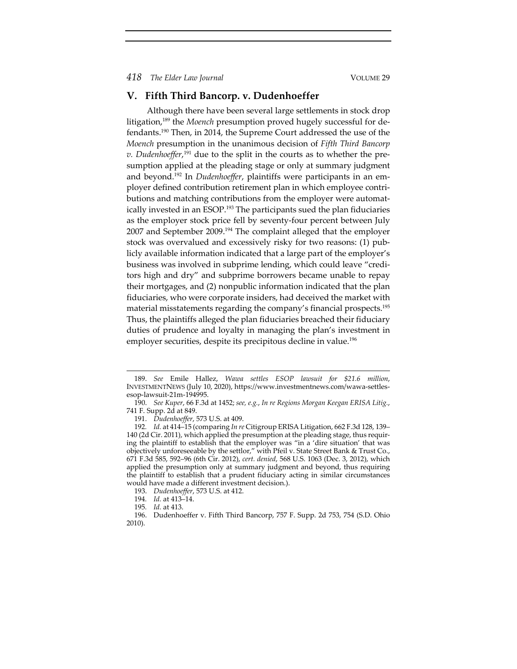# **V. Fifth Third Bancorp. v. Dudenhoeffer**

Although there have been several large settlements in stock drop litigation,<sup>189</sup> the *Moench* presumption proved hugely successful for defendants.190 Then, in 2014, the Supreme Court addressed the use of the *Moench* presumption in the unanimous decision of *Fifth Third Bancorp v. Dudenhoeffer*, <sup>191</sup> due to the split in the courts as to whether the pre‐ sumption applied at the pleading stage or only at summary judgment and beyond.<sup>192</sup> In *Dudenhoeffer*, plaintiffs were participants in an employer defined contribution retirement plan in which employee contri‐ butions and matching contributions from the employer were automatically invested in an ESOP.193 The participants sued the plan fiduciaries as the employer stock price fell by seventy‐four percent between July 2007 and September 2009.<sup>194</sup> The complaint alleged that the employer stock was overvalued and excessively risky for two reasons: (1) pub‐ licly available information indicated that a large part of the employer's business was involved in subprime lending, which could leave "credi‐ tors high and dry" and subprime borrowers became unable to repay their mortgages, and (2) nonpublic information indicated that the plan fiduciaries, who were corporate insiders, had deceived the market with material misstatements regarding the company's financial prospects.195 Thus, the plaintiffs alleged the plan fiduciaries breached their fiduciary duties of prudence and loyalty in managing the plan's investment in employer securities, despite its precipitous decline in value.<sup>196</sup>

<sup>189.</sup> *See* Emile Hallez, *Wawa settles ESOP lawsuit for \$21.6 million*, INVESTMENTNEWS (July 10, 2020), https://www.investmentnews.com/wawa‐settles‐ esop‐lawsuit‐21m‐194995.

<sup>190.</sup> *See Kuper*, 66 F.3d at 1452; *see, e.g.*, *In re Regions Morgan Keegan ERISA Litig.*, 741 F. Supp. 2d at 849.

<sup>191.</sup> *Dudenhoeffer*, 573 U.S. at 409.

<sup>192</sup>*. Id.* at 414–15 (comparing *In re* Citigroup ERISA Litigation, 662 F.3d 128, 139– 140 (2d Cir. 2011), which applied the presumption at the pleading stage, thus requir‐ ing the plaintiff to establish that the employer was "in a 'dire situation' that was objectively unforeseeable by the settlor," with Pfeil v. State Street Bank & Trust Co., 671 F.3d 585, 592–96 (6th Cir. 2012), *cert. denied*, 568 U.S. 1063 (Dec. 3, 2012), which applied the presumption only at summary judgment and beyond, thus requiring the plaintiff to establish that a prudent fiduciary acting in similar circumstances would have made a different investment decision.).

<sup>193.</sup> *Dudenhoeffer*, 573 U.S. at 412.

<sup>194</sup>*. Id.* at 413–14.

<sup>195</sup>*. Id.* at 413.

<sup>196.</sup> Dudenhoeffer v. Fifth Third Bancorp, 757 F. Supp. 2d 753, 754 (S.D. Ohio 2010).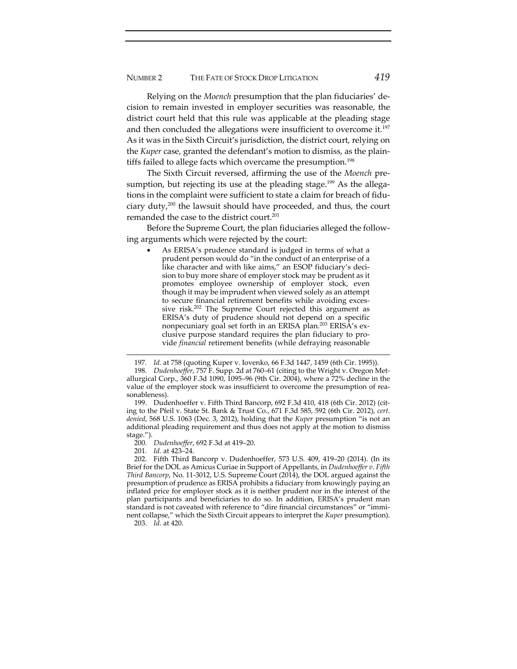Relying on the *Moench* presumption that the plan fiduciaries' de‐ cision to remain invested in employer securities was reasonable, the district court held that this rule was applicable at the pleading stage and then concluded the allegations were insufficient to overcome it.<sup>197</sup> As it was in the Sixth Circuit's jurisdiction, the district court, relying on the *Kuper* case, granted the defendant's motion to dismiss, as the plain‐ tiffs failed to allege facts which overcame the presumption.<sup>198</sup>

The Sixth Circuit reversed, affirming the use of the *Moench* pre‐ sumption, but rejecting its use at the pleading stage.<sup>199</sup> As the allegations in the complaint were sufficient to state a claim for breach of fiduciary duty,<sup>200</sup> the lawsuit should have proceeded, and thus, the court remanded the case to the district court.<sup>201</sup>

Before the Supreme Court, the plan fiduciaries alleged the following arguments which were rejected by the court:

 As ERISA's prudence standard is judged in terms of what a prudent person would do "in the conduct of an enterprise of a like character and with like aims," an ESOP fiduciary's decision to buy more share of employer stock may be prudent as it promotes employee ownership of employer stock, even though it may be imprudent when viewed solely as an attempt to secure financial retirement benefits while avoiding excessive risk.<sup>202</sup> The Supreme Court rejected this argument as ERISA's duty of prudence should not depend on a specific nonpecuniary goal set forth in an ERISA plan.<sup>203</sup> ERISA's exclusive purpose standard requires the plan fiduciary to pro‐ vide *financial* retirement benefits (while defraying reasonable

199. Dudenhoeffer v. Fifth Third Bancorp, 692 F.3d 410, 418 (6th Cir. 2012) (cit‐ ing to the Pfeil v. State St. Bank & Trust Co., 671 F.3d 585, 592 (6th Cir. 2012), *cert. denied*, 568 U.S. 1063 (Dec. 3, 2012), holding that the *Kuper* presumption "is not an additional pleading requirement and thus does not apply at the motion to dismiss stage.").

200*. Dudenhoeffer*, 692 F.3d at 419–20.

201*. Id.* at 423–24.

202. Fifth Third Bancorp v. Dudenhoeffer, 573 U.S. 409, 419–20 (2014). (In its Brief for the DOL as Amicus Curiae in Support of Appellants, in *Dudenhoeffer v. Fifth Third Bancorp*, No. 11‐3012, U.S. Supreme Court (2014), the DOL argued against the presumption of prudence as ERISA prohibits a fiduciary from knowingly paying an inflated price for employer stock as it is neither prudent nor in the interest of the plan participants and beneficiaries to do so. In addition, ERISA's prudent man standard is not caveated with reference to "dire financial circumstances" or "imminent collapse," which the Sixth Circuit appears to interpret the *Kuper* presumption).

203. *Id.* at 420.

<sup>197</sup>*. Id.* at 758 (quoting Kuper v. Iovenko, 66 F.3d 1447, 1459 (6th Cir. 1995)).

<sup>198</sup>*. Dudenhoeffer*, 757 F. Supp. 2d at 760–61 (citing to the Wright v. Oregon Met‐ allurgical Corp., 360 F.3d 1090, 1095–96 (9th Cir. 2004), where a 72% decline in the value of the employer stock was insufficient to overcome the presumption of rea‐ sonableness).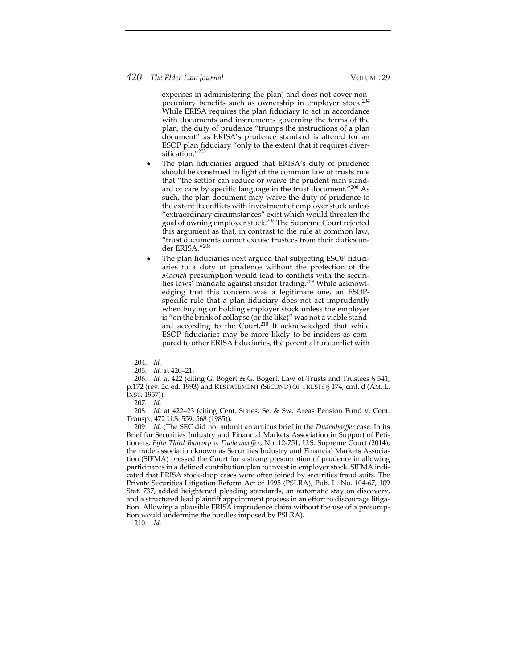expenses in administering the plan) and does not cover nonpecuniary benefits such as ownership in employer stock.<sup>204</sup> While ERISA requires the plan fiduciary to act in accordance with documents and instruments governing the terms of the plan, the duty of prudence "trumps the instructions of a plan document" as ERISA's prudence standard is altered for an ESOP plan fiduciary "only to the extent that it requires diver‐ sification."205

- The plan fiduciaries argued that ERISA's duty of prudence should be construed in light of the common law of trusts rule that "the settlor can reduce or waive the prudent man stand‐ ard of care by specific language in the trust document."206 As such, the plan document may waive the duty of prudence to the extent it conflicts with investment of employer stock unless "extraordinary circumstances" exist which would threaten the goal of owning employer stock.<sup>207</sup> The Supreme Court rejected this argument as that, in contrast to the rule at common law, "trust documents cannot excuse trustees from their duties un‐ der ERISA."208
- The plan fiduciaries next argued that subjecting ESOP fiduciaries to a duty of prudence without the protection of the *Moench* presumption would lead to conflicts with the securi‐ ties laws' mandate against insider trading.<sup>209</sup> While acknowledging that this concern was a legitimate one, an ESOP‐ specific rule that a plan fiduciary does not act imprudently when buying or holding employer stock unless the employer is "on the brink of collapse (or the like)" was not a viable standard according to the Court.<sup>210</sup> It acknowledged that while ESOP fiduciaries may be more likely to be insiders as compared to other ERISA fiduciaries, the potential for conflict with

207*. Id.*

208*. Id.* at 422–23 (citing Cent. States, Se. & Sw. Areas Pension Fund v. Cent. Transp., 472 U.S. 559, 568 (1985)).

209*. Id.* (The SEC did not submit an amicus brief in the *Dudenhoeffer* case. In its Brief for Securities Industry and Financial Markets Association in Support of Peti‐ tioners, *Fifth Third Bancorp v. Dudenhoeffer*, No. 12‐751, U.S. Supreme Court (2014), the trade association known as Securities Industry and Financial Markets Associa‐ tion (SIFMA) pressed the Court for a strong presumption of prudence in allowing participants in a defined contribution plan to invest in employer stock. SIFMA indi‐ cated that ERISA stock‐drop cases were often joined by securities fraud suits. The Private Securities Litigation Reform Act of 1995 (PSLRA), Pub. L. No. 104‐67, 109 Stat. 737, added heightened pleading standards, an automatic stay on discovery, and a structured lead plaintiff appointment process in an effort to discourage litigation. Allowing a plausible ERISA imprudence claim without the use of a presump‐ tion would undermine the hurdles imposed by PSLRA).

<sup>204.</sup> *Id.*

<sup>205</sup>*. Id.* at 420–21.

<sup>206</sup>*. Id.* at 422 (citing G. Bogert & G. Bogert, Law of Trusts and Trustees § 541, p.172 (rev. 2d ed. 1993) and RESTATEMENT (SECOND) OF TRUSTS § 174, cmt. d (AM. L. INST. 1957)).

<sup>210</sup>*. Id.*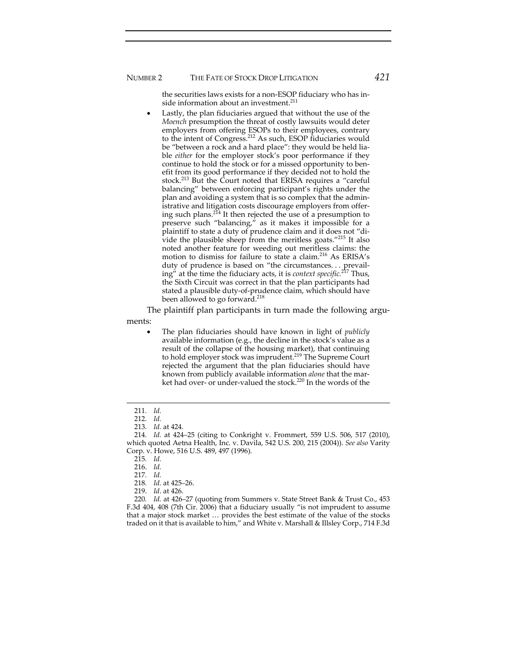the securities laws exists for a non‐ESOP fiduciary who has in‐ side information about an investment.<sup>211</sup>

 Lastly, the plan fiduciaries argued that without the use of the *Moench* presumption the threat of costly lawsuits would deter employers from offering ESOPs to their employees, contrary to the intent of Congress.<sup>212</sup> As such, ESOP fiduciaries would be "between a rock and a hard place": they would be held liable *either* for the employer stock's poor performance if they continue to hold the stock or for a missed opportunity to benefit from its good performance if they decided not to hold the stock.<sup>213</sup> But the Court noted that ERISA requires a "careful balancing" between enforcing participant's rights under the plan and avoiding a system that is so complex that the admin‐ istrative and litigation costs discourage employers from offer‐ ing such plans.<sup>214</sup> It then rejected the use of a presumption to preserve such "balancing," as it makes it impossible for a plaintiff to state a duty of prudence claim and it does not "di‐ vide the plausible sheep from the meritless goats."215 It also noted another feature for weeding out meritless claims: the motion to dismiss for failure to state a claim.<sup>216</sup> As ERISA's duty of prudence is based on "the circumstances. . . prevail‐ ing" at the time the fiduciary acts, it is *context specific.*<sup>217</sup> Thus, the Sixth Circuit was correct in that the plan participants had stated a plausible duty‐of‐prudence claim, which should have been allowed to go forward.<sup>218</sup>

The plaintiff plan participants in turn made the following arguments:

 The plan fiduciaries should have known in light of *publicly* available information (e.g., the decline in the stock's value as a result of the collapse of the housing market), that continuing to hold employer stock was imprudent.<sup>219</sup> The Supreme Court rejected the argument that the plan fiduciaries should have known from publicly available information *alone* that the market had over- or under-valued the stock.<sup>220</sup> In the words of the

220*. Id.* at 426–27 (quoting from Summers v. State Street Bank & Trust Co., 453 F.3d 404, 408 (7th Cir. 2006) that a fiduciary usually "is not imprudent to assume that a major stock market … provides the best estimate of the value of the stocks traded on it that is available to him," and White v. Marshall & Illsley Corp., 714 F.3d

<sup>211</sup>*. Id.*

<sup>212</sup>*. Id.*

<sup>213</sup>*. Id.* at 424.

<sup>214</sup>*. Id.* at 424–25 (citing to Conkright v. Frommert, 559 U.S. 506, 517 (2010), which quoted Aetna Health, Inc. v. Davila, 542 U.S. 200, 215 (2004)). *See also* Varity Corp. v. Howe, 516 U.S. 489, 497 (1996).

<sup>215</sup>*. Id.*

<sup>216.</sup> *Id.*

<sup>217</sup>*. Id.*

<sup>218</sup>*. Id.* at 425–26.

<sup>219.</sup> *Id*. at 426.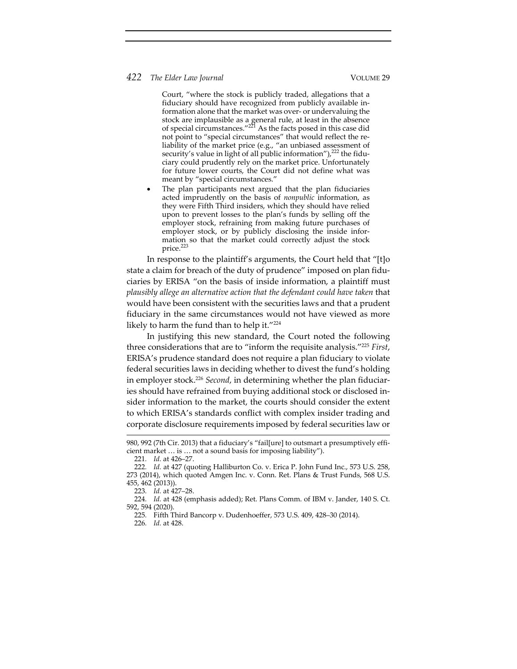Court, "where the stock is publicly traded, allegations that a fiduciary should have recognized from publicly available in‐ formation alone that the market was over‐ or undervaluing the stock are implausible as a general rule, at least in the absence of special circumstances."<sup>221</sup> As the facts posed in this case did not point to "special circumstances" that would reflect the re‐ liability of the market price (e.g., "an unbiased assessment of security's value in light of all public information"),<sup>222</sup> the fiduciary could prudently rely on the market price. Unfortunately for future lower courts, the Court did not define what was meant by "special circumstances."

 The plan participants next argued that the plan fiduciaries acted imprudently on the basis of *nonpublic* information, as they were Fifth Third insiders, which they should have relied upon to prevent losses to the plan's funds by selling off the employer stock, refraining from making future purchases of employer stock, or by publicly disclosing the inside information so that the market could correctly adjust the stock price.<sup>223</sup>

In response to the plaintiff's arguments, the Court held that "[t]o state a claim for breach of the duty of prudence" imposed on plan fidu‐ ciaries by ERISA "on the basis of inside information, a plaintiff must *plausibly allege an alternative action that the defendant could have taken* that would have been consistent with the securities laws and that a prudent fiduciary in the same circumstances would not have viewed as more likely to harm the fund than to help it."<sup>224</sup>

In justifying this new standard, the Court noted the following three considerations that are to "inform the requisite analysis."225 *First*, ERISA's prudence standard does not require a plan fiduciary to violate federal securities laws in deciding whether to divest the fund's holding in employer stock.<sup>226</sup> Second, in determining whether the plan fiduciaries should have refrained from buying additional stock or disclosed in‐ sider information to the market, the courts should consider the extent to which ERISA's standards conflict with complex insider trading and corporate disclosure requirements imposed by federal securities law or

<sup>980,</sup> 992 (7th Cir. 2013) that a fiduciary's "fail[ure] to outsmart a presumptively effi‐ cient market … is … not a sound basis for imposing liability").

<sup>221</sup>*. Id.* at 426–27.

<sup>222</sup>*. Id.* at 427 (quoting Halliburton Co. v. Erica P. John Fund Inc., 573 U.S. 258, 273 (2014), which quoted Amgen Inc. v. Conn. Ret. Plans & Trust Funds, 568 U.S. 455, 462 (2013)).

<sup>223</sup>*. Id.* at 427–28.

<sup>224</sup>*. Id.* at 428 (emphasis added); Ret. Plans Comm. of IBM v. Jander, 140 S. Ct. 592, 594 (2020).

<sup>225</sup>*.* Fifth Third Bancorp v. Dudenhoeffer, 573 U.S. 409, 428–30 (2014).

<sup>226</sup>*. Id.* at 428.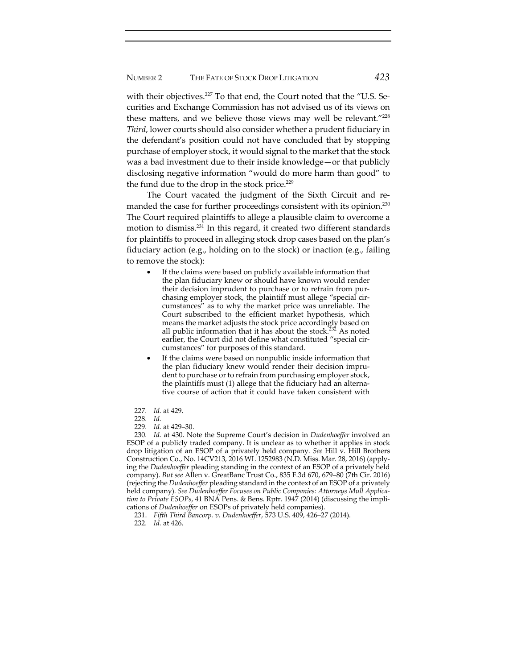with their objectives.<sup>227</sup> To that end, the Court noted that the "U.S. Securities and Exchange Commission has not advised us of its views on these matters, and we believe those views may well be relevant."228 *Third*, lower courts should also consider whether a prudent fiduciary in the defendant's position could not have concluded that by stopping purchase of employer stock, it would signal to the market that the stock was a bad investment due to their inside knowledge—or that publicly disclosing negative information "would do more harm than good" to the fund due to the drop in the stock price.<sup>229</sup>

The Court vacated the judgment of the Sixth Circuit and re‐ manded the case for further proceedings consistent with its opinion.<sup>230</sup> The Court required plaintiffs to allege a plausible claim to overcome a motion to dismiss.231 In this regard, it created two different standards for plaintiffs to proceed in alleging stock drop cases based on the plan's fiduciary action (e.g., holding on to the stock) or inaction (e.g., failing to remove the stock):

- If the claims were based on publicly available information that the plan fiduciary knew or should have known would render their decision imprudent to purchase or to refrain from pur‐ chasing employer stock, the plaintiff must allege "special circumstances" as to why the market price was unreliable. The Court subscribed to the efficient market hypothesis, which means the market adjusts the stock price accordingly based on all public information that it has about the stock.<sup>232</sup> As noted earlier, the Court did not define what constituted "special circumstances" for purposes of this standard.
- If the claims were based on nonpublic inside information that the plan fiduciary knew would render their decision impru‐ dent to purchase or to refrain from purchasing employer stock, the plaintiffs must (1) allege that the fiduciary had an alterna‐ tive course of action that it could have taken consistent with

<sup>227</sup>*. Id.* at 429.

<sup>228</sup>*. Id.*

<sup>229</sup>*. Id.* at 429–30.

<sup>230</sup>*. Id.* at 430. Note the Supreme Court's decision in *Dudenhoeffer* involved an ESOP of a publicly traded company. It is unclear as to whether it applies in stock drop litigation of an ESOP of a privately held company. *See* Hill v. Hill Brothers Construction Co., No. 14CV213, 2016 WL 1252983 (N.D. Miss. Mar. 28, 2016) (apply‐ ing the *Dudenhoeffer* pleading standing in the context of an ESOP of a privately held company). *But see* Allen v. GreatBanc Trust Co., 835 F.3d 670, 679–80 (7th Cir. 2016) (rejecting the *Dudenhoeffer* pleading standard in the context of an ESOP of a privately held company). *See Dudenhoeffer Focuses on Public Companies: Attorneys Mull Applica‐ tion to Private ESOPs*, 41 BNA Pens. & Bens. Rptr. 1947 (2014) (discussing the impli‐ cations of *Dudenhoeffer* on ESOPs of privately held companies).

<sup>231.</sup> *Fifth Third Bancorp. v. Dudenhoeffer*, 573 U.S. 409, 426–27 (2014).

<sup>232</sup>*. Id.* at 426.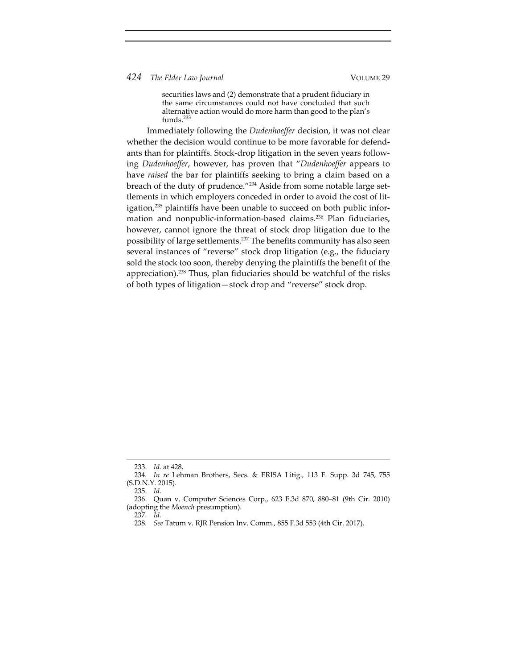securities laws and (2) demonstrate that a prudent fiduciary in the same circumstances could not have concluded that such alternative action would do more harm than good to the plan's funds.<sup>233</sup>

Immediately following the *Dudenhoeffer* decision, it was not clear whether the decision would continue to be more favorable for defendants than for plaintiffs. Stock‐drop litigation in the seven years follow‐ ing *Dudenhoeffer*, however, has proven that "*Dudenhoeffer* appears to have *raised* the bar for plaintiffs seeking to bring a claim based on a breach of the duty of prudence."<sup>234</sup> Aside from some notable large settlements in which employers conceded in order to avoid the cost of lit‐ igation,<sup>235</sup> plaintiffs have been unable to succeed on both public information and nonpublic-information-based claims.<sup>236</sup> Plan fiduciaries, however, cannot ignore the threat of stock drop litigation due to the possibility of large settlements.<sup>237</sup> The benefits community has also seen several instances of "reverse" stock drop litigation (e.g., the fiduciary sold the stock too soon, thereby denying the plaintiffs the benefit of the appreciation).238 Thus, plan fiduciaries should be watchful of the risks of both types of litigation—stock drop and "reverse" stock drop.

<sup>233.</sup> *Id.* at 428.

<sup>234</sup>*. In re* Lehman Brothers, Secs. & ERISA Litig., 113 F. Supp. 3d 745, 755 (S.D.N.Y. 2015).

<sup>235.</sup> *Id.*

<sup>236.</sup> Quan v. Computer Sciences Corp., 623 F.3d 870, 880–81 (9th Cir. 2010) (adopting the *Moench* presumption).

<sup>237.</sup> *Id.*

<sup>238</sup>*. See* Tatum v. RJR Pension Inv. Comm., 855 F.3d 553 (4th Cir. 2017).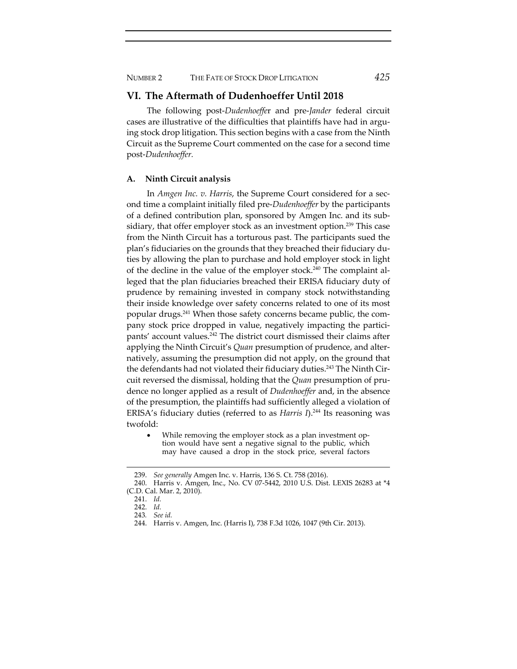NUMBER 2 THE FATE OF STOCK DROP LITIGATION *425*

# **VI. The Aftermath of Dudenhoeffer Until 2018**

The following post‐*Dudenhoeffe*r and pre‐*Jander* federal circuit cases are illustrative of the difficulties that plaintiffs have had in arguing stock drop litigation. This section begins with a case from the Ninth Circuit as the Supreme Court commented on the case for a second time post‐*Dudenhoeffer.*

#### **A. Ninth Circuit analysis**

In *Amgen Inc. v. Harris*, the Supreme Court considered for a sec‐ ond time a complaint initially filed pre‐*Dudenhoeffer* by the participants of a defined contribution plan, sponsored by Amgen Inc. and its sub‐ sidiary, that offer employer stock as an investment option.<sup>239</sup> This case from the Ninth Circuit has a torturous past. The participants sued the plan's fiduciaries on the grounds that they breached their fiduciary du‐ ties by allowing the plan to purchase and hold employer stock in light of the decline in the value of the employer stock.<sup>240</sup> The complaint alleged that the plan fiduciaries breached their ERISA fiduciary duty of prudence by remaining invested in company stock notwithstanding their inside knowledge over safety concerns related to one of its most popular drugs.241 When those safety concerns became public, the com‐ pany stock price dropped in value, negatively impacting the participants' account values.242 The district court dismissed their claims after applying the Ninth Circuit's *Quan* presumption of prudence, and alter‐ natively, assuming the presumption did not apply, on the ground that the defendants had not violated their fiduciary duties.<sup>243</sup> The Ninth Circuit reversed the dismissal, holding that the *Quan* presumption of pru‐ dence no longer applied as a result of *Dudenhoeffer* and, in the absence of the presumption, the plaintiffs had sufficiently alleged a violation of ERISA's fiduciary duties (referred to as *Harris I*).<sup>244</sup> Its reasoning was twofold:

While removing the employer stock as a plan investment option would have sent a negative signal to the public, which may have caused a drop in the stock price, several factors

<sup>239.</sup> *See generally* Amgen Inc. v. Harris, 136 S. Ct. 758 (2016).

<sup>240.</sup> Harris v. Amgen, Inc., No. CV 07‐5442, 2010 U.S. Dist. LEXIS 26283 at \*4 (C.D. Cal. Mar. 2, 2010).

<sup>241.</sup> *Id.*

<sup>242.</sup> *Id.*

<sup>243</sup>*. See id.*

<sup>244.</sup> Harris v. Amgen, Inc. (Harris I), 738 F.3d 1026, 1047 (9th Cir. 2013).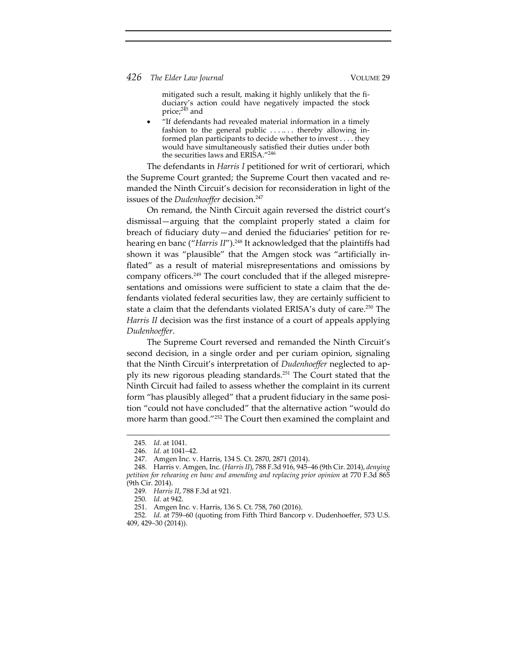mitigated such a result, making it highly unlikely that the fi‐ duciary's action could have negatively impacted the stock price;<sup>245</sup> and

 "If defendants had revealed material information in a timely fashion to the general public . . . . . . thereby allowing informed plan participants to decide whether to invest . . . . they would have simultaneously satisfied their duties under both the securities laws and ERISA."246

The defendants in *Harris I* petitioned for writ of certiorari, which the Supreme Court granted; the Supreme Court then vacated and re‐ manded the Ninth Circuit's decision for reconsideration in light of the issues of the *Dudenhoeffer* decision.<sup>247</sup>

On remand, the Ninth Circuit again reversed the district court's dismissal—arguing that the complaint properly stated a claim for breach of fiduciary duty—and denied the fiduciaries' petition for re‐ hearing en banc ("*Harris II*").<sup>248</sup> It acknowledged that the plaintiffs had shown it was "plausible" that the Amgen stock was "artificially inflated" as a result of material misrepresentations and omissions by company officers.249 The court concluded that if the alleged misrepre‐ sentations and omissions were sufficient to state a claim that the defendants violated federal securities law, they are certainly sufficient to state a claim that the defendants violated ERISA's duty of care.<sup>250</sup> The *Harris II* decision was the first instance of a court of appeals applying *Dudenhoeffer*.

The Supreme Court reversed and remanded the Ninth Circuit's second decision, in a single order and per curiam opinion, signaling that the Ninth Circuit's interpretation of *Dudenhoeffer* neglected to ap‐ ply its new rigorous pleading standards.251 The Court stated that the Ninth Circuit had failed to assess whether the complaint in its current form "has plausibly alleged" that a prudent fiduciary in the same position "could not have concluded" that the alternative action "would do more harm than good."252 The Court then examined the complaint and

<sup>245</sup>*. Id.* at 1041.

<sup>246</sup>*. Id.* at 1041–42.

<sup>247.</sup> Amgen Inc. v. Harris, 134 S. Ct. 2870, 2871 (2014).

<sup>248.</sup> Harris v. Amgen, Inc. (*Harris II*), 788 F.3d 916, 945–46 (9th Cir. 2014), *denying petition for rehearing en banc and amending and replacing prior opinion* at 770 F.3d 865 (9th Cir. 2014).

<sup>249</sup>*. Harris II*, 788 F.3d at 921.

<sup>250</sup>*. Id.* at 942.

<sup>251.</sup> Amgen Inc. v. Harris, 136 S. Ct. 758, 760 (2016).

<sup>252</sup>*. Id.* at 759–60 (quoting from Fifth Third Bancorp v. Dudenhoeffer, 573 U.S. 409, 429–30 (2014)).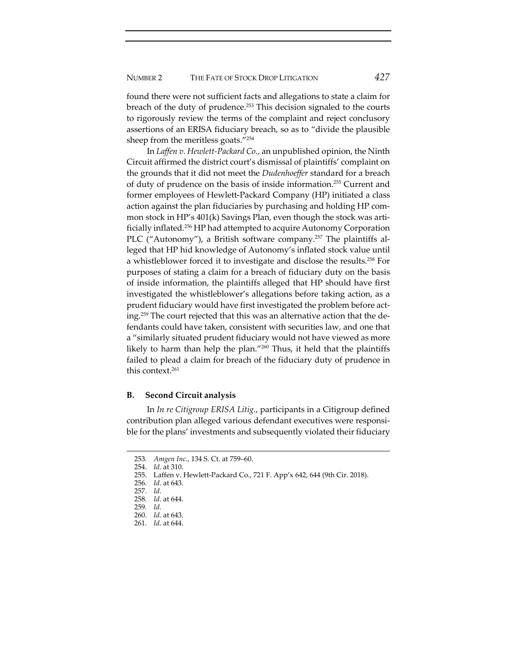found there were not sufficient facts and allegations to state a claim for breach of the duty of prudence.<sup>253</sup> This decision signaled to the courts to rigorously review the terms of the complaint and reject conclusory assertions of an ERISA fiduciary breach, so as to "divide the plausible sheep from the meritless goats."254

In *Laffen v. Hewlett‐Packard Co.*, an unpublished opinion, the Ninth Circuit affirmed the district court's dismissal of plaintiffs' complaint on the grounds that it did not meet the *Dudenhoeffer* standard for a breach of duty of prudence on the basis of inside information.255 Current and former employees of Hewlett‐Packard Company (HP) initiated a class action against the plan fiduciaries by purchasing and holding HP com‐ mon stock in HP's 401(k) Savings Plan, even though the stock was artificially inflated.256 HP had attempted to acquire Autonomy Corporation PLC ("Autonomy"), a British software company.<sup>257</sup> The plaintiffs alleged that HP hid knowledge of Autonomy's inflated stock value until a whistleblower forced it to investigate and disclose the results.258 For purposes of stating a claim for a breach of fiduciary duty on the basis of inside information, the plaintiffs alleged that HP should have first investigated the whistleblower's allegations before taking action, as a prudent fiduciary would have first investigated the problem before acting.259 The court rejected that this was an alternative action that the de‐ fendants could have taken, consistent with securities law, and one that a "similarly situated prudent fiduciary would not have viewed as more likely to harm than help the plan."260 Thus, it held that the plaintiffs failed to plead a claim for breach of the fiduciary duty of prudence in this context.<sup>261</sup>

# **B. Second Circuit analysis**

In *In re Citigroup ERISA Litig.*, participants in a Citigroup defined contribution plan alleged various defendant executives were responsible for the plans' investments and subsequently violated their fiduciary

<sup>253</sup>*. Amgen Inc.*, 134 S. Ct. at 759–60.

<sup>254.</sup> *Id.* at 310.

<sup>255.</sup> Laffen v. Hewlett‐Packard Co., 721 F. App'x 642, 644 (9th Cir. 2018).

<sup>256</sup>*. Id.* at 643.

<sup>257.</sup> *Id.*

<sup>258</sup>*. Id.* at 644.

<sup>259</sup>*. Id.*

<sup>260.</sup> *Id.* at 643.

<sup>261</sup>*. Id.* at 644.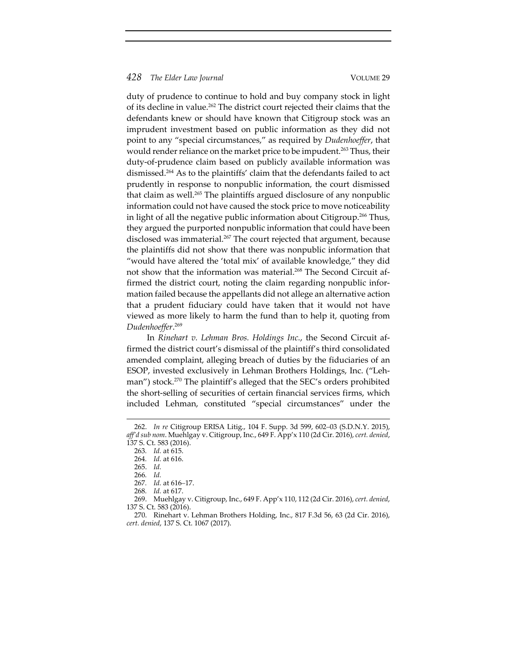duty of prudence to continue to hold and buy company stock in light of its decline in value.<sup>262</sup> The district court rejected their claims that the defendants knew or should have known that Citigroup stock was an imprudent investment based on public information as they did not point to any "special circumstances," as required by *Dudenhoeffer*, that would render reliance on the market price to be impudent.<sup>263</sup> Thus, their duty‐of‐prudence claim based on publicly available information was dismissed.264 As to the plaintiffs' claim that the defendants failed to act prudently in response to nonpublic information, the court dismissed that claim as well.<sup>265</sup> The plaintiffs argued disclosure of any nonpublic information could not have caused the stock price to move noticeability in light of all the negative public information about Citigroup.<sup>266</sup> Thus, they argued the purported nonpublic information that could have been disclosed was immaterial.<sup>267</sup> The court rejected that argument, because the plaintiffs did not show that there was nonpublic information that "would have altered the 'total mix' of available knowledge," they did not show that the information was material.<sup>268</sup> The Second Circuit affirmed the district court, noting the claim regarding nonpublic information failed because the appellants did not allege an alternative action that a prudent fiduciary could have taken that it would not have viewed as more likely to harm the fund than to help it, quoting from *Dudenhoeffer*. 269

In *Rinehart v. Lehman Bros. Holdings Inc.*, the Second Circuit af‐ firmed the district court's dismissal of the plaintiff's third consolidated amended complaint, alleging breach of duties by the fiduciaries of an ESOP, invested exclusively in Lehman Brothers Holdings, Inc. ("Leh‐ man") stock.<sup>270</sup> The plaintiff's alleged that the SEC's orders prohibited the short‐selling of securities of certain financial services firms, which included Lehman, constituted "special circumstances" under the

<sup>262.</sup> *In re* Citigroup ERISA Litig., 104 F. Supp. 3d 599, 602–03 (S.D.N.Y. 2015), *aff'd sub nom*. Muehlgay v. Citigroup, Inc., 649 F. App'x 110 (2d Cir. 2016), *cert. denied*, 137 S. Ct. 583 (2016).

<sup>263</sup>*. Id.* at 615.

<sup>264</sup>*. Id.* at 616.

<sup>265.</sup> *Id.*

<sup>266</sup>*. Id.*

<sup>267</sup>*. Id.* at 616–17.

<sup>268</sup>*. Id.* at 617.

<sup>269.</sup> Muehlgay v. Citigroup, Inc., 649 F. App'x 110, 112 (2d Cir. 2016), *cert. denied*, 137 S. Ct. 583 (2016).

<sup>270.</sup> Rinehart v. Lehman Brothers Holding, Inc., 817 F.3d 56, 63 (2d Cir. 2016), *cert. denied*, 137 S. Ct. 1067 (2017).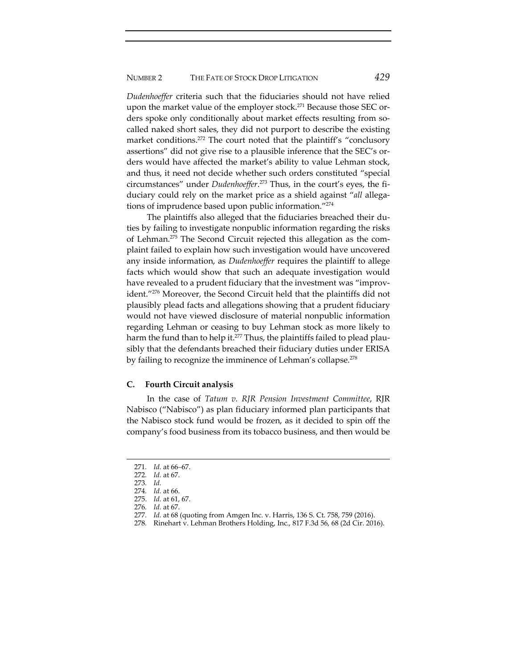*Dudenhoeffer* criteria such that the fiduciaries should not have relied upon the market value of the employer stock.<sup>271</sup> Because those SEC orders spoke only conditionally about market effects resulting from socalled naked short sales, they did not purport to describe the existing market conditions.<sup>272</sup> The court noted that the plaintiff's "conclusory assertions" did not give rise to a plausible inference that the SEC's orders would have affected the market's ability to value Lehman stock, and thus, it need not decide whether such orders constituted "special circumstances" under *Dudenhoeffer*. <sup>273</sup> Thus, in the court's eyes, the fi‐ duciary could rely on the market price as a shield against "*all* allega‐ tions of imprudence based upon public information."274

The plaintiffs also alleged that the fiduciaries breached their du‐ ties by failing to investigate nonpublic information regarding the risks of Lehman.275 The Second Circuit rejected this allegation as the com‐ plaint failed to explain how such investigation would have uncovered any inside information, as *Dudenhoeffer* requires the plaintiff to allege facts which would show that such an adequate investigation would have revealed to a prudent fiduciary that the investment was "improvident."276 Moreover, the Second Circuit held that the plaintiffs did not plausibly plead facts and allegations showing that a prudent fiduciary would not have viewed disclosure of material nonpublic information regarding Lehman or ceasing to buy Lehman stock as more likely to harm the fund than to help it.<sup>277</sup> Thus, the plaintiffs failed to plead plausibly that the defendants breached their fiduciary duties under ERISA by failing to recognize the imminence of Lehman's collapse.<sup>278</sup>

# **C. Fourth Circuit analysis**

In the case of *Tatum v. RJR Pension Investment Committee*, RJR Nabisco ("Nabisco") as plan fiduciary informed plan participants that the Nabisco stock fund would be frozen, as it decided to spin off the company's food business from its tobacco business, and then would be

<sup>271</sup>*. Id.* at 66–67.

<sup>272</sup>*. Id.* at 67.

<sup>273</sup>*. Id.*

<sup>274</sup>*. Id.* at 66.

<sup>275.</sup> *Id.* at 61, 67.

<sup>276</sup>*. Id.* at 67.

<sup>277</sup>*. Id.* at 68 (quoting from Amgen Inc. v. Harris, 136 S. Ct. 758, 759 (2016).

<sup>278</sup>*.* Rinehart v. Lehman Brothers Holding, Inc., 817 F.3d 56, 68 (2d Cir. 2016).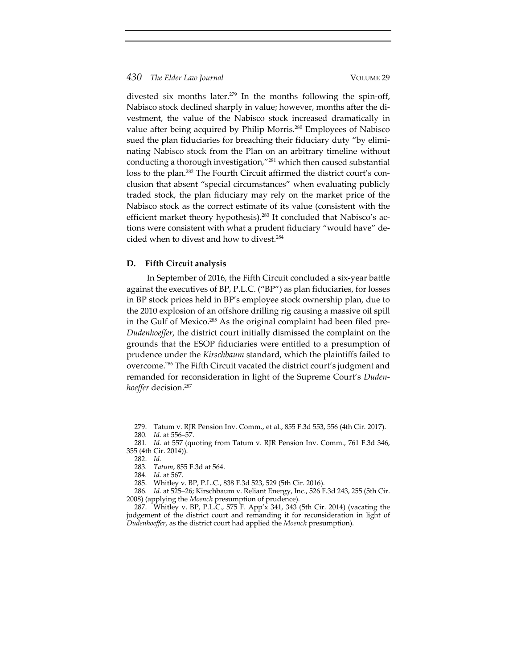divested six months later.<sup>279</sup> In the months following the spin-off, Nabisco stock declined sharply in value; however, months after the di‐ vestment, the value of the Nabisco stock increased dramatically in value after being acquired by Philip Morris.280 Employees of Nabisco sued the plan fiduciaries for breaching their fiduciary duty "by eliminating Nabisco stock from the Plan on an arbitrary timeline without conducting a thorough investigation,"281 which then caused substantial loss to the plan.<sup>282</sup> The Fourth Circuit affirmed the district court's conclusion that absent "special circumstances" when evaluating publicly traded stock, the plan fiduciary may rely on the market price of the Nabisco stock as the correct estimate of its value (consistent with the efficient market theory hypothesis).<sup>283</sup> It concluded that Nabisco's actions were consistent with what a prudent fiduciary "would have" decided when to divest and how to divest.<sup>284</sup>

#### **D. Fifth Circuit analysis**

In September of 2016, the Fifth Circuit concluded a six‐year battle against the executives of BP, P.L.C. ("BP") as plan fiduciaries, for losses in BP stock prices held in BP's employee stock ownership plan, due to the 2010 explosion of an offshore drilling rig causing a massive oil spill in the Gulf of Mexico.<sup>285</sup> As the original complaint had been filed pre-*Dudenhoeffer*, the district court initially dismissed the complaint on the grounds that the ESOP fiduciaries were entitled to a presumption of prudence under the *Kirschbaum* standard, which the plaintiffs failed to overcome.286 The Fifth Circuit vacated the district court's judgment and remanded for reconsideration in light of the Supreme Court's *Duden‐ hoeffer* decision.287

<sup>279.</sup> Tatum v. RJR Pension Inv. Comm., et al., 855 F.3d 553, 556 (4th Cir. 2017). 280*. Id.* at 556–57.

<sup>281</sup>*. Id.* at 557 (quoting from Tatum v. RJR Pension Inv. Comm., 761 F.3d 346, 355 (4th Cir. 2014)).

<sup>282.</sup> *Id.*

<sup>283</sup>*. Tatum*, 855 F.3d at 564.

<sup>284</sup>*. Id.* at 567.

<sup>285.</sup> Whitley v. BP, P.L.C., 838 F.3d 523, 529 (5th Cir. 2016).

<sup>286</sup>*. Id.* at 525–26; Kirschbaum v. Reliant Energy, Inc., 526 F.3d 243, 255 (5th Cir. 2008) (applying the *Moench* presumption of prudence).

<sup>287.</sup> Whitley v. BP, P.L.C., 575 F. App'x 341, 343 (5th Cir. 2014) (vacating the judgement of the district court and remanding it for reconsideration in light of *Dudenhoeffer*, as the district court had applied the *Moench* presumption).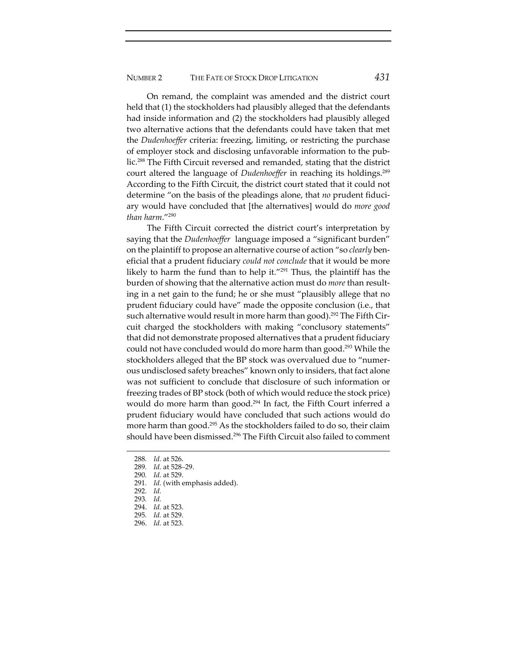On remand, the complaint was amended and the district court held that (1) the stockholders had plausibly alleged that the defendants had inside information and (2) the stockholders had plausibly alleged two alternative actions that the defendants could have taken that met the *Dudenhoeffer* criteria: freezing, limiting, or restricting the purchase of employer stock and disclosing unfavorable information to the pub‐ lic.288 The Fifth Circuit reversed and remanded, stating that the district court altered the language of *Dudenhoeffer* in reaching its holdings.<sup>289</sup> According to the Fifth Circuit, the district court stated that it could not determine "on the basis of the pleadings alone, that *no* prudent fiduciary would have concluded that [the alternatives] would do *more good than harm*."290

The Fifth Circuit corrected the district court's interpretation by saying that the *Dudenhoeffer* language imposed a "significant burden" on the plaintiff to propose an alternative course of action "so *clearly* ben‐ eficial that a prudent fiduciary *could not conclude* that it would be more likely to harm the fund than to help it."291 Thus, the plaintiff has the burden of showing that the alternative action must do *more* than result‐ ing in a net gain to the fund; he or she must "plausibly allege that no prudent fiduciary could have" made the opposite conclusion (i.e., that such alternative would result in more harm than good).<sup>292</sup> The Fifth Circuit charged the stockholders with making "conclusory statements" that did not demonstrate proposed alternatives that a prudent fiduciary could not have concluded would do more harm than good.<sup>293</sup> While the stockholders alleged that the BP stock was overvalued due to "numerous undisclosed safety breaches" known only to insiders, that fact alone was not sufficient to conclude that disclosure of such information or freezing trades of BP stock (both of which would reduce the stock price) would do more harm than good.<sup>294</sup> In fact, the Fifth Court inferred a prudent fiduciary would have concluded that such actions would do more harm than good.295 As the stockholders failed to do so, their claim should have been dismissed.<sup>296</sup> The Fifth Circuit also failed to comment

- 291*. Id.* (with emphasis added).
- 292*. Id.*
- 293*. Id.*
- 294. *Id.* at 523.
- 295*. Id.* at 529.
- 296. *Id.* at 523.

<sup>288</sup>*. Id.* at 526.

<sup>289</sup>*. Id.* at 528–29.

<sup>290</sup>*. Id.* at 529.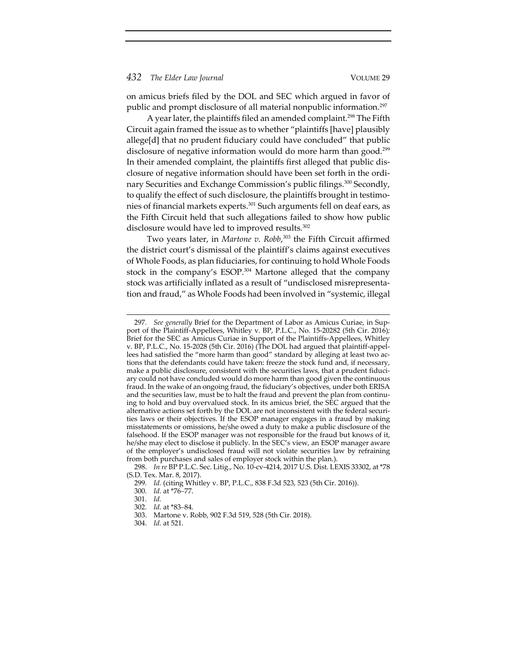on amicus briefs filed by the DOL and SEC which argued in favor of public and prompt disclosure of all material nonpublic information.297

A year later, the plaintiffs filed an amended complaint.<sup>298</sup> The Fifth Circuit again framed the issue as to whether "plaintiffs [have] plausibly allege[d] that no prudent fiduciary could have concluded" that public disclosure of negative information would do more harm than good.<sup>299</sup> In their amended complaint, the plaintiffs first alleged that public dis‐ closure of negative information should have been set forth in the ordi‐ nary Securities and Exchange Commission's public filings.<sup>300</sup> Secondly, to qualify the effect of such disclosure, the plaintiffs brought in testimonies of financial markets experts.<sup>301</sup> Such arguments fell on deaf ears, as the Fifth Circuit held that such allegations failed to show how public disclosure would have led to improved results.<sup>302</sup>

Two years later, in *Martone v. Robb*, <sup>303</sup> the Fifth Circuit affirmed the district court's dismissal of the plaintiff's claims against executives of Whole Foods, as plan fiduciaries, for continuing to hold Whole Foods stock in the company's ESOP.<sup>304</sup> Martone alleged that the company stock was artificially inflated as a result of "undisclosed misrepresenta‐ tion and fraud," as Whole Foods had been involved in "systemic, illegal

<sup>297</sup>*. See generally* Brief for the Department of Labor as Amicus Curiae, in Sup‐ port of the Plaintiff‐Appellees, Whitley v. BP, P.L.C., No. 15‐20282 (5th Cir. 2016)*;* Brief for the SEC as Amicus Curiae in Support of the Plaintiffs‐Appellees, Whitley v. BP, P.L.C., No. 15‐2028 (5th Cir. 2016) (The DOL had argued that plaintiff‐appel‐ lees had satisfied the "more harm than good" standard by alleging at least two actions that the defendants could have taken: freeze the stock fund and, if necessary, make a public disclosure, consistent with the securities laws, that a prudent fiduciary could not have concluded would do more harm than good given the continuous fraud. In the wake of an ongoing fraud, the fiduciary's objectives, under both ERISA and the securities law, must be to halt the fraud and prevent the plan from continuing to hold and buy overvalued stock. In its amicus brief, the SEC argued that the alternative actions set forth by the DOL are not inconsistent with the federal securi‐ ties laws or their objectives. If the ESOP manager engages in a fraud by making misstatements or omissions, he/she owed a duty to make a public disclosure of the falsehood. If the ESOP manager was not responsible for the fraud but knows of it, he/she may elect to disclose it publicly. In the SEC's view, an ESOP manager aware of the employer's undisclosed fraud will not violate securities law by refraining from both purchases and sales of employer stock within the plan.).

<sup>298.</sup> *In re* BP P.L.C. Sec. Litig., No. 10‐cv‐4214, 2017 U.S. Dist. LEXIS 33302, at \*78 (S.D. Tex. Mar. 8, 2017).

<sup>299</sup>*. Id.* (citing Whitley v. BP, P.L.C., 838 F.3d 523, 523 (5th Cir. 2016)).

<sup>300</sup>*. Id.* at \*76–77.

<sup>301</sup>*. Id.*

<sup>302</sup>*. Id.* at \*83–84.

<sup>303.</sup> Martone v. Robb, 902 F.3d 519, 528 (5th Cir. 2018).

<sup>304.</sup> *Id.* at 521.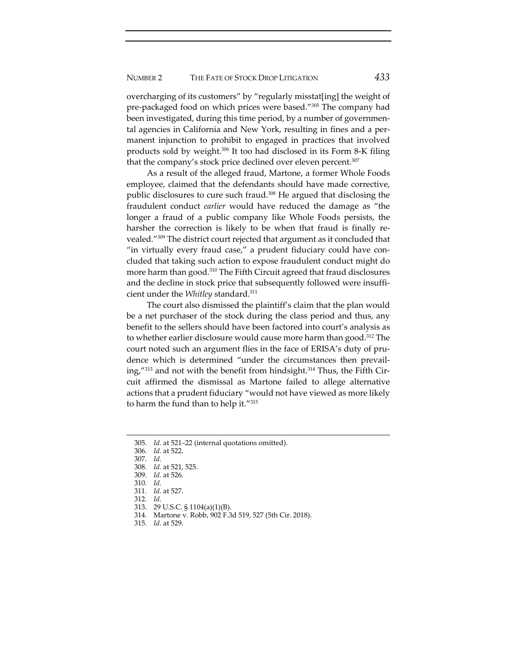overcharging of its customers" by "regularly misstat[ing] the weight of pre-packaged food on which prices were based."<sup>305</sup> The company had been investigated, during this time period, by a number of governmental agencies in California and New York, resulting in fines and a per‐ manent injunction to prohibit to engaged in practices that involved products sold by weight.306 It too had disclosed in its Form 8‐K filing that the company's stock price declined over eleven percent.<sup>307</sup>

As a result of the alleged fraud, Martone, a former Whole Foods employee, claimed that the defendants should have made corrective, public disclosures to cure such fraud.308 He argued that disclosing the fraudulent conduct *earlier* would have reduced the damage as "the longer a fraud of a public company like Whole Foods persists, the harsher the correction is likely to be when that fraud is finally revealed."309 The district court rejected that argument as it concluded that "in virtually every fraud case," a prudent fiduciary could have concluded that taking such action to expose fraudulent conduct might do more harm than good.<sup>310</sup> The Fifth Circuit agreed that fraud disclosures and the decline in stock price that subsequently followed were insufficient under the *Whitley* standard.311

The court also dismissed the plaintiff's claim that the plan would be a net purchaser of the stock during the class period and thus, any benefit to the sellers should have been factored into court's analysis as to whether earlier disclosure would cause more harm than good.<sup>312</sup> The court noted such an argument flies in the face of ERISA's duty of prudence which is determined "under the circumstances then prevail‐ ing," $^{313}$  and not with the benefit from hindsight. $^{314}$  Thus, the Fifth Circuit affirmed the dismissal as Martone failed to allege alternative actions that a prudent fiduciary "would not have viewed as more likely to harm the fund than to help it."315

314*.* Martone v. Robb, 902 F.3d 519, 527 (5th Cir. 2018).

<sup>305</sup>*. Id.* at 521–22 (internal quotations omitted).

<sup>306</sup>*. Id.* at 522.

<sup>307</sup>*. Id.*

<sup>308</sup>*. Id.* at 521, 525. 309*. Id.* at 526.

<sup>310</sup>*. Id.*

<sup>311</sup>*. Id.* at 527.

<sup>312</sup>*. Id.*

<sup>313.</sup> 29 U.S.C. § 1104(a)(1)(B).

<sup>315</sup>*. Id.* at 529.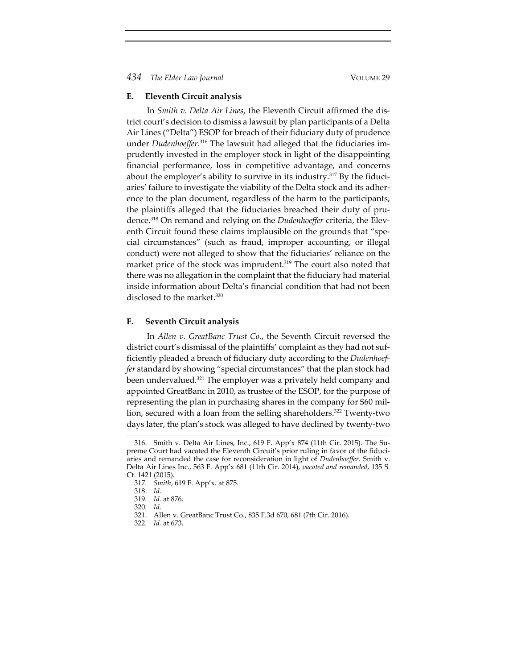# **E. Eleventh Circuit analysis**

In *Smith v. Delta Air Lines*, the Eleventh Circuit affirmed the dis‐ trict court's decision to dismiss a lawsuit by plan participants of a Delta Air Lines ("Delta") ESOP for breach of their fiduciary duty of prudence under *Dudenhoeffer*. <sup>316</sup> The lawsuit had alleged that the fiduciaries im‐ prudently invested in the employer stock in light of the disappointing financial performance, loss in competitive advantage, and concerns about the employer's ability to survive in its industry.<sup>317</sup> By the fiduciaries' failure to investigate the viability of the Delta stock and its adher‐ ence to the plan document, regardless of the harm to the participants, the plaintiffs alleged that the fiduciaries breached their duty of pru‐ dence.318 On remand and relying on the *Dudenhoeffer* criteria, the Elev‐ enth Circuit found these claims implausible on the grounds that "special circumstances" (such as fraud, improper accounting, or illegal conduct) were not alleged to show that the fiduciaries' reliance on the market price of the stock was imprudent.<sup>319</sup> The court also noted that there was no allegation in the complaint that the fiduciary had material inside information about Delta's financial condition that had not been disclosed to the market.<sup>320</sup>

# **F. Seventh Circuit analysis**

In *Allen v. GreatBanc Trust Co.*, the Seventh Circuit reversed the district court's dismissal of the plaintiffs' complaint as they had not suf‐ ficiently pleaded a breach of fiduciary duty according to the *Dudenhoef‐ fer* standard by showing "special circumstances" that the plan stock had been undervalued.321 The employer was a privately held company and appointed GreatBanc in 2010, as trustee of the ESOP, for the purpose of representing the plan in purchasing shares in the company for \$60 mil‐ lion, secured with a loan from the selling shareholders.322 Twenty‐two days later, the plan's stock was alleged to have declined by twenty‐two

321. Allen v. GreatBanc Trust Co., 835 F.3d 670, 681 (7th Cir. 2016).

<sup>316.</sup> Smith v. Delta Air Lines, Inc., 619 F. App'x 874 (11th Cir. 2015). The Su‐ preme Court had vacated the Eleventh Circuit's prior ruling in favor of the fiduciaries and remanded the case for reconsideration in light of *Dudenhoeffer*. Smith v. Delta Air Lines Inc., 563 F. App'x 681 (11th Cir. 2014), *vacated and remanded*, 135 S. Ct. 1421 (2015).

<sup>317</sup>*. Smith*, 619 F. App'x*.* at 875.

<sup>318.</sup> *Id.*

<sup>319</sup>*. Id.* at 876.

<sup>320</sup>*. Id.*

<sup>322</sup>*. Id.* at 673.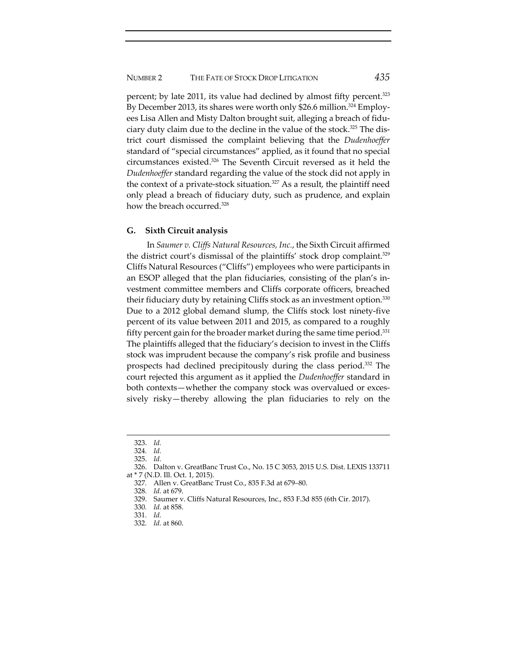percent; by late 2011, its value had declined by almost fifty percent.<sup>323</sup> By December 2013, its shares were worth only \$26.6 million.<sup>324</sup> Employees Lisa Allen and Misty Dalton brought suit, alleging a breach of fiduciary duty claim due to the decline in the value of the stock.<sup>325</sup> The district court dismissed the complaint believing that the *Dudenhoeffer* standard of "special circumstances" applied, as it found that no special circumstances existed.326 The Seventh Circuit reversed as it held the *Dudenhoeffer* standard regarding the value of the stock did not apply in the context of a private-stock situation.<sup>327</sup> As a result, the plaintiff need only plead a breach of fiduciary duty, such as prudence, and explain how the breach occurred.<sup>328</sup>

# **G. Sixth Circuit analysis**

In *Saumer v. Cliffs Natural Resources, Inc.*, the Sixth Circuit affirmed the district court's dismissal of the plaintiffs' stock drop complaint.<sup>329</sup> Cliffs Natural Resources ("Cliffs") employees who were participants in an ESOP alleged that the plan fiduciaries, consisting of the plan's in‐ vestment committee members and Cliffs corporate officers, breached their fiduciary duty by retaining Cliffs stock as an investment option.<sup>330</sup> Due to a 2012 global demand slump, the Cliffs stock lost ninety‐five percent of its value between 2011 and 2015, as compared to a roughly fifty percent gain for the broader market during the same time period. $331$ The plaintiffs alleged that the fiduciary's decision to invest in the Cliffs stock was imprudent because the company's risk profile and business prospects had declined precipitously during the class period.332 The court rejected this argument as it applied the *Dudenhoeffer* standard in both contexts—whether the company stock was overvalued or excessively risky—thereby allowing the plan fiduciaries to rely on the

328*. Id.* at 679.

<sup>323.</sup> *Id.*

<sup>324</sup>*. Id.* 325. *Id.*

<sup>326.</sup> Dalton v. GreatBanc Trust Co., No. 15 C 3053, 2015 U.S. Dist. LEXIS 133711 at \* 7 (N.D. Ill. Oct. 1, 2015).

<sup>327</sup>*.* Allen v. GreatBanc Trust Co*.*, 835 F.3d at 679–80.

<sup>329.</sup> Saumer v. Cliffs Natural Resources, Inc., 853 F.3d 855 (6th Cir. 2017).

<sup>330</sup>*. Id.* at 858.

<sup>331</sup>*. Id.*

<sup>332</sup>*. Id.* at 860.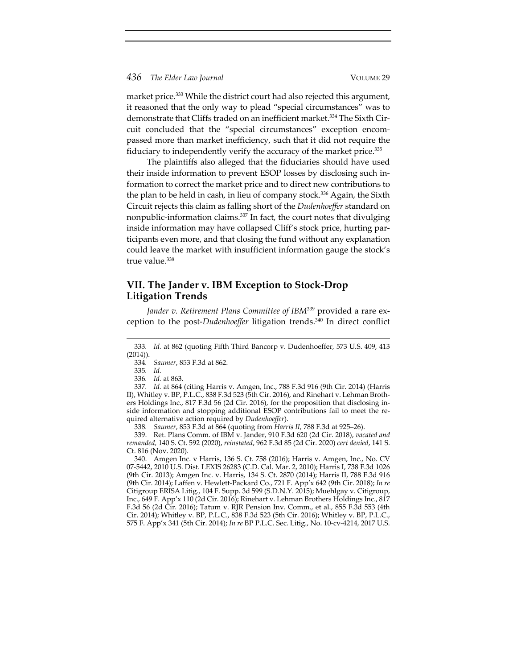market price.<sup>333</sup> While the district court had also rejected this argument, it reasoned that the only way to plead "special circumstances" was to demonstrate that Cliffs traded on an inefficient market.<sup>334</sup> The Sixth Circuit concluded that the "special circumstances" exception encom‐ passed more than market inefficiency, such that it did not require the fiduciary to independently verify the accuracy of the market price.335

The plaintiffs also alleged that the fiduciaries should have used their inside information to prevent ESOP losses by disclosing such in‐ formation to correct the market price and to direct new contributions to the plan to be held in cash, in lieu of company stock.<sup>336</sup> Again, the Sixth Circuit rejects this claim as falling short of the *Dudenhoeffer* standard on nonpublic-information claims.<sup>337</sup> In fact, the court notes that divulging inside information may have collapsed Cliff's stock price, hurting participants even more, and that closing the fund without any explanation could leave the market with insufficient information gauge the stock's true value.<sup>338</sup>

# **VII. The Jander v. IBM Exception to Stock‐Drop Litigation Trends**

*Jander v. Retirement Plans Committee of IBM*<sup>339</sup> provided a rare ex‐ ception to the post‐*Dudenhoeffer* litigation trends.340 In direct conflict

<sup>333</sup>*. Id.* at 862 (quoting Fifth Third Bancorp v. Dudenhoeffer, 573 U.S. 409, 413  $(2014)$ ).

<sup>334</sup>*. Saumer*, 853 F.3d at 862.

<sup>335</sup>*. Id.*

<sup>336</sup>*. Id.* at 863.

<sup>337</sup>*. Id.* at 864 (citing Harris v. Amgen, Inc., 788 F.3d 916 (9th Cir. 2014) (Harris II), Whitley v. BP, P.L.C., 838 F.3d 523 (5th Cir. 2016), and Rinehart v. Lehman Broth‐ ers Holdings Inc., 817 F.3d 56 (2d Cir. 2016), for the proposition that disclosing in‐ side information and stopping additional ESOP contributions fail to meet the required alternative action required by *Dudenhoeffer*).

<sup>338</sup>*. Saumer*, 853 F.3d at 864 (quoting from *Harris II*, 788 F.3d at 925–26).

<sup>339.</sup> Ret. Plans Comm. of IBM v. Jander, 910 F.3d 620 (2d Cir. 2018), *vacated and remanded,* 140 S. Ct. 592 (2020), *reinstated*, 962 F.3d 85 (2d Cir. 2020) *cert denied*, 141 S. Ct. 816 (Nov. 2020).

<sup>340.</sup> Amgen Inc. v Harris, 136 S. Ct. 758 (2016); Harris v. Amgen, Inc., No. CV 07‐5442, 2010 U.S. Dist. LEXIS 26283 (C.D. Cal. Mar. 2, 2010); Harris I, 738 F.3d 1026 (9th Cir. 2013); Amgen Inc. v. Harris, 134 S. Ct. 2870 (2014); Harris II, 788 F.3d 916 (9th Cir. 2014); Laffen v. Hewlett‐Packard Co., 721 F. App'x 642 (9th Cir. 2018); *In re* Citigroup ERISA Litig., 104 F. Supp. 3d 599 (S.D.N.Y. 2015); Muehlgay v. Citigroup, Inc., 649 F. App'x 110 (2d Cir. 2016); Rinehart v. Lehman Brothers Holdings Inc., 817 F.3d 56 (2d Cir. 2016); Tatum v. RJR Pension Inv. Comm., et al., 855 F.3d 553 (4th Cir. 2014); Whitley v. BP, P.L.C., 838 F.3d 523 (5th Cir. 2016); Whitley v. BP, P.L.C., 575 F. App'x 341 (5th Cir. 2014); *In re* BP P.L.C. Sec. Litig., No. 10‐cv‐4214, 2017 U.S.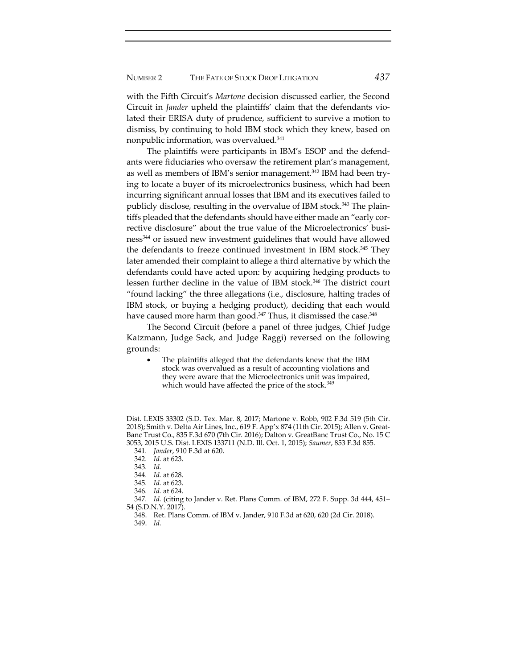with the Fifth Circuit's *Martone* decision discussed earlier, the Second Circuit in *Jander* upheld the plaintiffs' claim that the defendants vio‐ lated their ERISA duty of prudence, sufficient to survive a motion to dismiss, by continuing to hold IBM stock which they knew, based on nonpublic information, was overvalued.341

The plaintiffs were participants in IBM's ESOP and the defend‐ ants were fiduciaries who oversaw the retirement plan's management, as well as members of IBM's senior management.<sup>342</sup> IBM had been trying to locate a buyer of its microelectronics business, which had been incurring significant annual losses that IBM and its executives failed to publicly disclose, resulting in the overvalue of IBM stock.<sup>343</sup> The plaintiffs pleaded that the defendants should have either made an "early corrective disclosure" about the true value of the Microelectronics' business344 or issued new investment guidelines that would have allowed the defendants to freeze continued investment in IBM stock.345 They later amended their complaint to allege a third alternative by which the defendants could have acted upon: by acquiring hedging products to lessen further decline in the value of IBM stock.346 The district court "found lacking" the three allegations (i.e., disclosure, halting trades of IBM stock, or buying a hedging product), deciding that each would have caused more harm than good.<sup>347</sup> Thus, it dismissed the case.<sup>348</sup>

The Second Circuit (before a panel of three judges, Chief Judge Katzmann, Judge Sack, and Judge Raggi) reversed on the following grounds:

 The plaintiffs alleged that the defendants knew that the IBM stock was overvalued as a result of accounting violations and they were aware that the Microelectronics unit was impaired, which would have affected the price of the stock.<sup>349</sup>

Dist. LEXIS 33302 (S.D. Tex. Mar. 8, 2017; Martone v. Robb, 902 F.3d 519 (5th Cir. 2018); Smith v. Delta Air Lines, Inc., 619 F. App'x 874 (11th Cir. 2015); Allen v. Great‐ Banc Trust Co., 835 F.3d 670 (7th Cir. 2016); Dalton v. GreatBanc Trust Co., No. 15 C 3053, 2015 U.S. Dist. LEXIS 133711 (N.D. Ill. Oct. 1, 2015); *Saumer*, 853 F.3d 855.

<sup>341</sup>*. Jander*, 910 F.3d at 620.

<sup>342</sup>*. Id.* at 623.

<sup>343</sup>*. Id.*

<sup>344</sup>*. Id.* at 628.

<sup>345</sup>*. Id.* at 623.

<sup>346</sup>*. Id.* at 624.

<sup>347</sup>*. Id.* (citing to Jander v. Ret. Plans Comm. of IBM, 272 F. Supp. 3d 444, 451– 54 (S.D.N.Y. 2017).

<sup>348.</sup> Ret. Plans Comm. of IBM v. Jander, 910 F.3d at 620, 620 (2d Cir. 2018).

<sup>349.</sup> *Id.*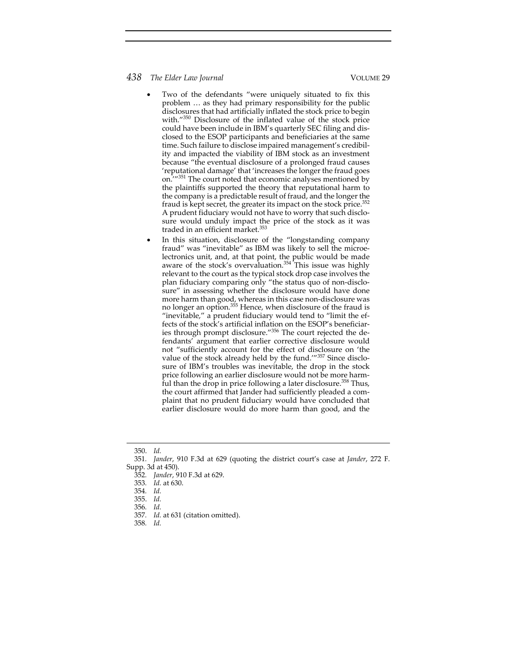- Two of the defendants "were uniquely situated to fix this problem … as they had primary responsibility for the public disclosures that had artificially inflated the stock price to begin with."350 Disclosure of the inflated value of the stock price could have been include in IBM's quarterly SEC filing and dis‐ closed to the ESOP participants and beneficiaries at the same time. Such failure to disclose impaired management's credibility and impacted the viability of IBM stock as an investment because "the eventual disclosure of a prolonged fraud causes 'reputational damage' that 'increases the longer the fraud goes on.'"351 The court noted that economic analyses mentioned by the plaintiffs supported the theory that reputational harm to the company is a predictable result of fraud, and the longer the fraud is kept secret, the greater its impact on the stock price.352 A prudent fiduciary would not have to worry that such disclo‐ sure would unduly impact the price of the stock as it was traded in an efficient market.<sup>353</sup>
- In this situation, disclosure of the "longstanding company fraud" was "inevitable" as IBM was likely to sell the microe‐ lectronics unit, and, at that point, the public would be made aware of the stock's overvaluation.<sup>354</sup> This issue was highly relevant to the court as the typical stock drop case involves the plan fiduciary comparing only "the status quo of non‐disclo‐ sure" in assessing whether the disclosure would have done more harm than good, whereas in this case non‐disclosure was no longer an option.<sup>355</sup> Hence, when disclosure of the fraud is "inevitable," a prudent fiduciary would tend to "limit the ef‐ fects of the stock's artificial inflation on the ESOP's beneficiaries through prompt disclosure."<sup>356</sup> The court rejected the defendants' argument that earlier corrective disclosure would not "sufficiently account for the effect of disclosure on 'the value of the stock already held by the fund.'"<sup>357</sup> Since disclosure of IBM's troubles was inevitable, the drop in the stock price following an earlier disclosure would not be more harmful than the drop in price following a later disclosure.<sup>358</sup> Thus, the court affirmed that Jander had sufficiently pleaded a com‐ plaint that no prudent fiduciary would have concluded that earlier disclosure would do more harm than good, and the

<sup>350.</sup> *Id.*

<sup>351</sup>*. Jander*, 910 F.3d at 629 (quoting the district court's case at *Jander*, 272 F. Supp. 3d at 450).

<sup>352</sup>*. Jander*, 910 F.3d at 629.

<sup>353</sup>*. Id.* at 630.

<sup>354</sup>*. Id.*

<sup>355.</sup> *Id.*

<sup>356</sup>*. Id.*

<sup>357</sup>*. Id.* at 631 (citation omitted).

<sup>358</sup>*. Id.*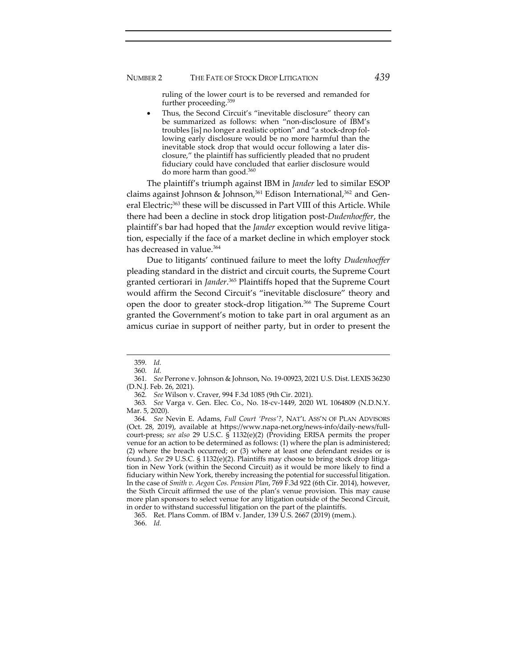# NUMBER 2 THE FATE OF STOCK DROP LITIGATION *439*

ruling of the lower court is to be reversed and remanded for further proceeding.359

 Thus, the Second Circuit's "inevitable disclosure" theory can be summarized as follows: when "non‐disclosure of IBM's troubles [is] no longer a realistic option" and "a stock‐drop fol‐ lowing early disclosure would be no more harmful than the inevitable stock drop that would occur following a later disclosure," the plaintiff has sufficiently pleaded that no prudent fiduciary could have concluded that earlier disclosure would do more harm than good.<sup>360</sup>

The plaintiff's triumph against IBM in *Jander* led to similar ESOP claims against Johnson & Johnson,<sup>361</sup> Edison International,<sup>362</sup> and General Electric;<sup>363</sup> these will be discussed in Part VIII of this Article. While there had been a decline in stock drop litigation post‐*Dudenhoeffer*, the plaintiff's bar had hoped that the *Jander* exception would revive litigation, especially if the face of a market decline in which employer stock has decreased in value.<sup>364</sup>

Due to litigants' continued failure to meet the lofty *Dudenhoeffer* pleading standard in the district and circuit courts, the Supreme Court granted certiorari in *Jander*. <sup>365</sup> Plaintiffs hoped that the Supreme Court would affirm the Second Circuit's "inevitable disclosure" theory and open the door to greater stock‐drop litigation.366 The Supreme Court granted the Government's motion to take part in oral argument as an amicus curiae in support of neither party, but in order to present the

<sup>359</sup>*. Id.*

<sup>360</sup>*. Id.*

<sup>361</sup>*. See* Perrone v. Johnson & Johnson, No. 19‐00923, 2021 U.S. Dist. LEXIS 36230 (D.N.J. Feb. 26, 2021).

<sup>362</sup>*. See* Wilson v. Craver, 994 F.3d 1085 (9th Cir. 2021).

<sup>363</sup>*. See* Varga v. Gen. Elec. Co., No. 18‐cv‐1449, 2020 WL 1064809 (N.D.N.Y. Mar. 5, 2020).

<sup>364</sup>*. See* Nevin E. Adams, *Full Court 'Press'?*, NAT'L ASS'N OF PLAN ADVISORS (Oct. 28, 2019), available at https://www.napa‐net.org/news‐info/daily‐news/full‐ court‐press; *see also* 29 U.S.C. § 1132(e)(2) (Providing ERISA permits the proper venue for an action to be determined as follows: (1) where the plan is administered; (2) where the breach occurred; or (3) where at least one defendant resides or is found.). *See* 29 U.S.C. § 1132(e)(2). Plaintiffs may choose to bring stock drop litigation in New York (within the Second Circuit) as it would be more likely to find a fiduciary within New York, thereby increasing the potential for successful litigation. In the case of *Smith v. Aegon Cos. Pension Plan*, 769 F.3d 922 (6th Cir. 2014), however, the Sixth Circuit affirmed the use of the plan's venue provision. This may cause more plan sponsors to select venue for any litigation outside of the Second Circuit, in order to withstand successful litigation on the part of the plaintiffs.

<sup>365.</sup> Ret. Plans Comm. of IBM v. Jander, 139 U.S. 2667 (2019) (mem.). 366. *Id.*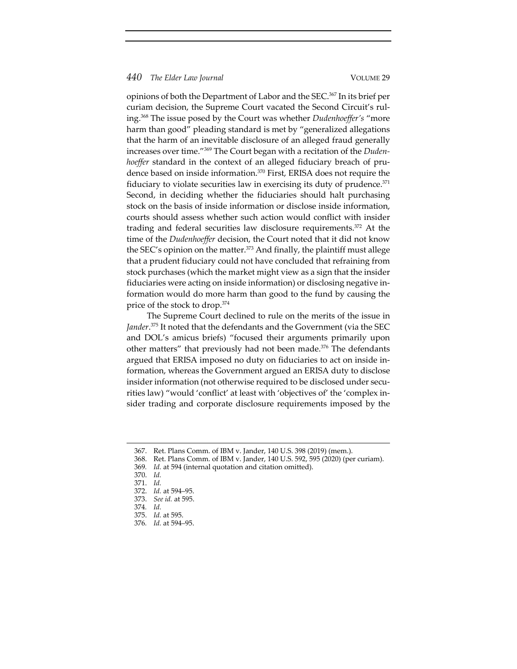opinions of both the Department of Labor and the SEC.367 In its brief per curiam decision, the Supreme Court vacated the Second Circuit's ruling.368 The issue posed by the Court was whether *Dudenhoeffer's* "more harm than good" pleading standard is met by "generalized allegations that the harm of an inevitable disclosure of an alleged fraud generally increases over time."369 The Court began with a recitation of the *Duden‐ hoeffer* standard in the context of an alleged fiduciary breach of prudence based on inside information.370 First, ERISA does not require the fiduciary to violate securities law in exercising its duty of prudence. $371$ Second, in deciding whether the fiduciaries should halt purchasing stock on the basis of inside information or disclose inside information, courts should assess whether such action would conflict with insider trading and federal securities law disclosure requirements.372 At the time of the *Dudenhoeffer* decision, the Court noted that it did not know the SEC's opinion on the matter.<sup>373</sup> And finally, the plaintiff must allege that a prudent fiduciary could not have concluded that refraining from stock purchases (which the market might view as a sign that the insider fiduciaries were acting on inside information) or disclosing negative in‐ formation would do more harm than good to the fund by causing the price of the stock to drop.374

The Supreme Court declined to rule on the merits of the issue in *Jander*. <sup>375</sup> It noted that the defendants and the Government (via the SEC and DOL's amicus briefs) "focused their arguments primarily upon other matters" that previously had not been made.<sup>376</sup> The defendants argued that ERISA imposed no duty on fiduciaries to act on inside in‐ formation, whereas the Government argued an ERISA duty to disclose insider information (not otherwise required to be disclosed under securities law) "would 'conflict' at least with 'objectives of' the 'complex in‐ sider trading and corporate disclosure requirements imposed by the

<sup>367.</sup> Ret. Plans Comm. of IBM v. Jander, 140 U.S. 398 (2019) (mem.).

<sup>368.</sup> Ret. Plans Comm. of IBM v. Jander, 140 U.S. 592, 595 (2020) (per curiam).

<sup>369</sup>*. Id.* at 594 (internal quotation and citation omitted).

<sup>370.</sup> *Id.*

<sup>371.</sup> *Id.*

<sup>372.</sup> *Id.* at 594–95.

<sup>373.</sup> *See id.* at 595.

<sup>374</sup>*. Id.*

<sup>375.</sup> *Id.* at 595.

<sup>376</sup>*. Id.* at 594–95.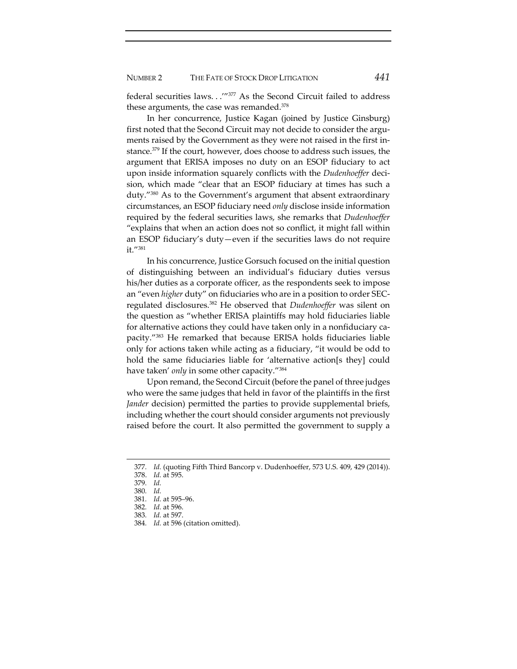federal securities laws. . .'"377 As the Second Circuit failed to address these arguments, the case was remanded.<sup>378</sup>

In her concurrence, Justice Kagan (joined by Justice Ginsburg) first noted that the Second Circuit may not decide to consider the arguments raised by the Government as they were not raised in the first instance.379 If the court, however, does choose to address such issues, the argument that ERISA imposes no duty on an ESOP fiduciary to act upon inside information squarely conflicts with the *Dudenhoeffer* decision, which made "clear that an ESOP fiduciary at times has such a duty."380 As to the Government's argument that absent extraordinary circumstances, an ESOP fiduciary need *only* disclose inside information required by the federal securities laws, she remarks that *Dudenhoeffer* "explains that when an action does not so conflict, it might fall within an ESOP fiduciary's duty—even if the securities laws do not require it."381

In his concurrence, Justice Gorsuch focused on the initial question of distinguishing between an individual's fiduciary duties versus his/her duties as a corporate officer, as the respondents seek to impose an "even *higher* duty" on fiduciaries who are in a position to order SEC‐ regulated disclosures.382 He observed that *Dudenhoeffer* was silent on the question as "whether ERISA plaintiffs may hold fiduciaries liable for alternative actions they could have taken only in a nonfiduciary capacity."383 He remarked that because ERISA holds fiduciaries liable only for actions taken while acting as a fiduciary, "it would be odd to hold the same fiduciaries liable for 'alternative action[s they] could have taken' *only* in some other capacity."384

Upon remand, the Second Circuit (before the panel of three judges who were the same judges that held in favor of the plaintiffs in the first *Jander* decision) permitted the parties to provide supplemental briefs, including whether the court should consider arguments not previously raised before the court. It also permitted the government to supply a

<sup>377</sup>*. Id.* (quoting Fifth Third Bancorp v. Dudenhoeffer, 573 U.S. 409, 429 (2014)).

<sup>378.</sup> *Id.* at 595.

<sup>379</sup>*. Id.*

<sup>380</sup>*. Id.*

<sup>381</sup>*. Id.* at 595–96.

<sup>382</sup>*. Id.* at 596.

<sup>383</sup>*. Id.* at 597.

<sup>384</sup>*. Id.* at 596 (citation omitted).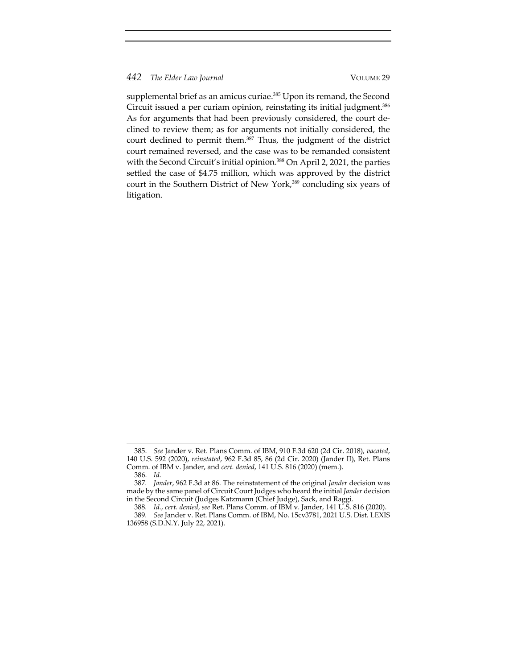supplemental brief as an amicus curiae.<sup>385</sup> Upon its remand, the Second Circuit issued a per curiam opinion, reinstating its initial judgment.<sup>386</sup> As for arguments that had been previously considered, the court de‐ clined to review them; as for arguments not initially considered, the court declined to permit them.<sup>387</sup> Thus, the judgment of the district court remained reversed, and the case was to be remanded consistent with the Second Circuit's initial opinion.<sup>388</sup> On April 2, 2021, the parties settled the case of \$4.75 million, which was approved by the district court in the Southern District of New York,<sup>389</sup> concluding six years of litigation.

<sup>385.</sup> *See* Jander v. Ret. Plans Comm. of IBM, 910 F.3d 620 (2d Cir. 2018), *vacated*, 140 U.S. 592 (2020), *reinstated*, 962 F.3d 85, 86 (2d Cir. 2020) (Jander II), Ret. Plans Comm. of IBM v. Jander, and *cert. denied*, 141 U.S. 816 (2020) (mem.).

<sup>386.</sup> *Id.*

<sup>387</sup>*. Jander*, 962 F.3d at 86. The reinstatement of the original *Jander* decision was made by the same panel of Circuit Court Judges who heard the initial *Jander* decision in the Second Circuit (Judges Katzmann (Chief Judge), Sack, and Raggi.

<sup>388</sup>*. Id.*, *cert. denied*, *see* Ret. Plans Comm. of IBM v. Jander, 141 U.S. 816 (2020).

<sup>389</sup>*. See* Jander v. Ret. Plans Comm. of IBM, No. 15cv3781, 2021 U.S. Dist. LEXIS 136958 (S.D.N.Y. July 22, 2021).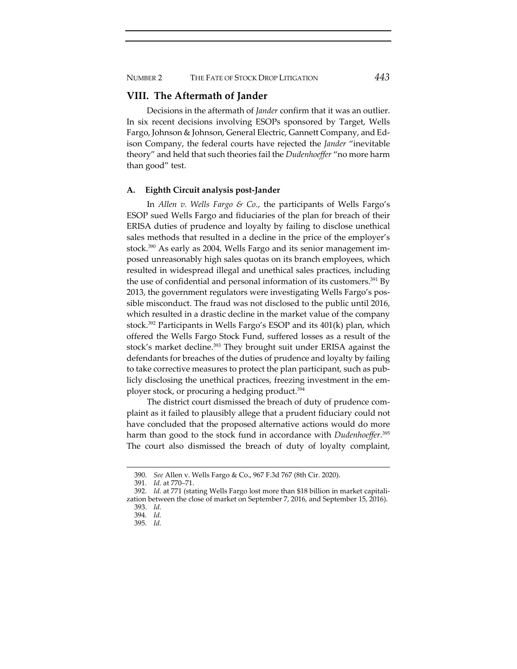# NUMBER 2 THE FATE OF STOCK DROP LITIGATION *443*

# **VIII. The Aftermath of Jander**

Decisions in the aftermath of *Jander* confirm that it was an outlier. In six recent decisions involving ESOPs sponsored by Target, Wells Fargo, Johnson & Johnson, General Electric, Gannett Company, and Ed‐ ison Company, the federal courts have rejected the *Jander* "inevitable theory" and held that such theories fail the *Dudenhoeffer* "no more harm than good" test.

#### **A. Eighth Circuit analysis post‐Jander**

In *Allen v. Wells Fargo & Co.*, the participants of Wells Fargo's ESOP sued Wells Fargo and fiduciaries of the plan for breach of their ERISA duties of prudence and loyalty by failing to disclose unethical sales methods that resulted in a decline in the price of the employer's stock.<sup>390</sup> As early as 2004, Wells Fargo and its senior management imposed unreasonably high sales quotas on its branch employees, which resulted in widespread illegal and unethical sales practices, including the use of confidential and personal information of its customers.<sup>391</sup> By 2013, the government regulators were investigating Wells Fargo's pos‐ sible misconduct. The fraud was not disclosed to the public until 2016, which resulted in a drastic decline in the market value of the company stock.392 Participants in Wells Fargo's ESOP and its 401(k) plan, which offered the Wells Fargo Stock Fund, suffered losses as a result of the stock's market decline.<sup>393</sup> They brought suit under ERISA against the defendants for breaches of the duties of prudence and loyalty by failing to take corrective measures to protect the plan participant, such as pub‐ licly disclosing the unethical practices, freezing investment in the em‐ ployer stock, or procuring a hedging product.394

The district court dismissed the breach of duty of prudence complaint as it failed to plausibly allege that a prudent fiduciary could not have concluded that the proposed alternative actions would do more harm than good to the stock fund in accordance with *Dudenhoeffer*. 395 The court also dismissed the breach of duty of loyalty complaint,

<sup>390.</sup> *See* Allen v. Wells Fargo & Co., 967 F.3d 767 (8th Cir. 2020).

<sup>391</sup>*. Id.* at 770–71.

<sup>392</sup>*. Id.* at 771 (stating Wells Fargo lost more than \$18 billion in market capitali‐ zation between the close of market on September 7, 2016, and September 15, 2016). 393. *Id.*

<sup>394</sup>*. Id.*

<sup>395</sup>*. Id.*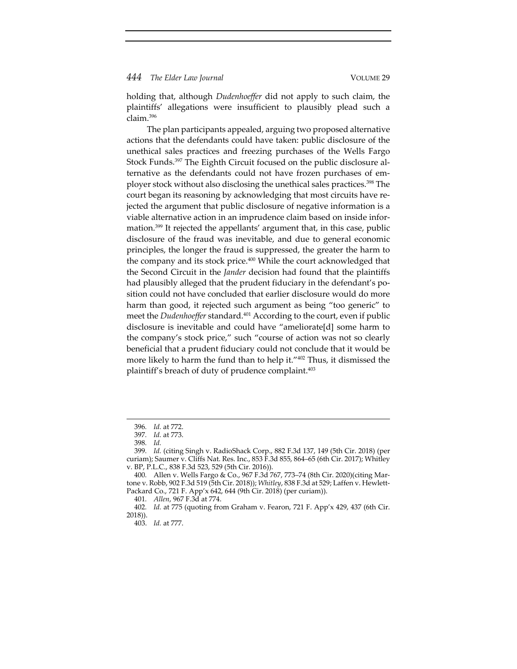holding that, although *Dudenhoeffer* did not apply to such claim, the plaintiffs' allegations were insufficient to plausibly plead such a claim.396

The plan participants appealed, arguing two proposed alternative actions that the defendants could have taken: public disclosure of the unethical sales practices and freezing purchases of the Wells Fargo Stock Funds.<sup>397</sup> The Eighth Circuit focused on the public disclosure alternative as the defendants could not have frozen purchases of em‐ ployer stock without also disclosing the unethical sales practices.<sup>398</sup> The court began its reasoning by acknowledging that most circuits have re‐ jected the argument that public disclosure of negative information is a viable alternative action in an imprudence claim based on inside infor‐ mation.399 It rejected the appellants' argument that, in this case, public disclosure of the fraud was inevitable, and due to general economic principles, the longer the fraud is suppressed, the greater the harm to the company and its stock price.<sup>400</sup> While the court acknowledged that the Second Circuit in the *Jander* decision had found that the plaintiffs had plausibly alleged that the prudent fiduciary in the defendant's position could not have concluded that earlier disclosure would do more harm than good, it rejected such argument as being "too generic" to meet the *Dudenhoeffer* standard.<sup>401</sup> According to the court, even if public disclosure is inevitable and could have "ameliorate[d] some harm to the company's stock price," such "course of action was not so clearly beneficial that a prudent fiduciary could not conclude that it would be more likely to harm the fund than to help it."402 Thus, it dismissed the plaintiff's breach of duty of prudence complaint.<sup>403</sup>

<sup>396</sup>*. Id.* at 772.

<sup>397</sup>*. Id.* at 773.

<sup>398</sup>*. Id.*

<sup>399</sup>*. Id.* (citing Singh v. RadioShack Corp., 882 F.3d 137, 149 (5th Cir. 2018) (per curiam); Saumer v. Cliffs Nat. Res. Inc., 853 F.3d 855, 864–65 (6th Cir. 2017); Whitley v. BP, P.L.C., 838 F.3d 523, 529 (5th Cir. 2016)).

<sup>400</sup>*.* Allen v. Wells Fargo & Co., 967 F.3d 767, 773–74 (8th Cir. 2020)(citing Mar‐ tone v. Robb, 902 F.3d 519 (5th Cir. 2018)); *Whitley*, 838 F.3d at 529; Laffen v. Hewlett‐ Packard Co., 721 F. App'x 642, 644 (9th Cir. 2018) (per curiam)).

<sup>401</sup>*. Allen*, 967 F.3d at 774.

<sup>402</sup>*. Id.* at 775 (quoting from Graham v. Fearon, 721 F. App'x 429, 437 (6th Cir. 2018)).

<sup>403.</sup> *Id.* at 777.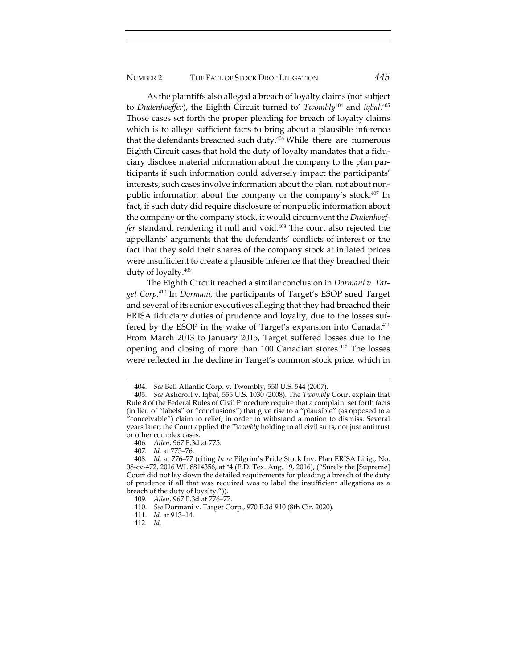As the plaintiffs also alleged a breach of loyalty claims (not subject to *Dudenhoeffer*), the Eighth Circuit turned to' *Twombly*<sup>404</sup> and *Iqbal.*<sup>405</sup> Those cases set forth the proper pleading for breach of loyalty claims which is to allege sufficient facts to bring about a plausible inference that the defendants breached such duty.406 While there are numerous Eighth Circuit cases that hold the duty of loyalty mandates that a fidu‐ ciary disclose material information about the company to the plan par‐ ticipants if such information could adversely impact the participants' interests, such cases involve information about the plan, not about nonpublic information about the company or the company's stock.407 In fact, if such duty did require disclosure of nonpublic information about the company or the company stock, it would circumvent the *Dudenhoef‐ fer* standard, rendering it null and void.408 The court also rejected the appellants' arguments that the defendants' conflicts of interest or the fact that they sold their shares of the company stock at inflated prices were insufficient to create a plausible inference that they breached their duty of loyalty.409

The Eighth Circuit reached a similar conclusion in *Dormani v. Tar‐ get Corp*. <sup>410</sup> In *Dormani*, the participants of Target's ESOP sued Target and several of its senior executives alleging that they had breached their ERISA fiduciary duties of prudence and loyalty, due to the losses suf‐ fered by the ESOP in the wake of Target's expansion into Canada.<sup>411</sup> From March 2013 to January 2015, Target suffered losses due to the opening and closing of more than 100 Canadian stores.412 The losses were reflected in the decline in Target's common stock price, which in

<sup>404.</sup> *See* Bell Atlantic Corp. v. Twombly, 550 U.S. 544 (2007).

<sup>405.</sup> *See* Ashcroft v. Iqbal, 555 U.S. 1030 (2008). The *Twombly* Court explain that Rule 8 of the Federal Rules of Civil Procedure require that a complaint set forth facts (in lieu of "labels" or "conclusions") that give rise to a "plausible" (as opposed to a "conceivable") claim to relief, in order to withstand a motion to dismiss. Several years later, the Court applied the *Twombly* holding to all civil suits, not just antitrust or other complex cases.

<sup>406</sup>*. Allen*, 967 F.3d at 775.

<sup>407</sup>*. Id.* at 775–76.

<sup>408</sup>*. Id.* at 776–77 (citing *In re* Pilgrim's Pride Stock Inv. Plan ERISA Litig., No. 08‐cv‐472, 2016 WL 8814356, at \*4 (E.D. Tex. Aug. 19, 2016), ("Surely the [Supreme] Court did not lay down the detailed requirements for pleading a breach of the duty of prudence if all that was required was to label the insufficient allegations as a breach of the duty of loyalty.")).

<sup>409</sup>*. Allen*, 967 F.3d at 776–77.

<sup>410.</sup> *See* Dormani v. Target Corp., 970 F.3d 910 (8th Cir. 2020).

<sup>411.</sup> *Id.* at 913–14.

<sup>412</sup>*. Id.*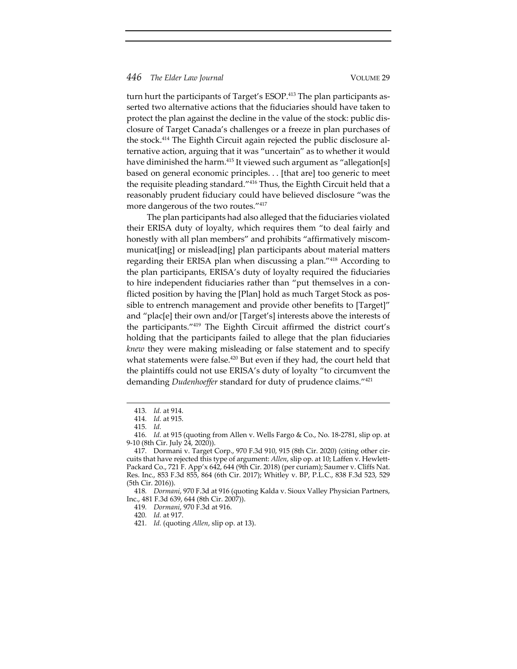turn hurt the participants of Target's ESOP.<sup>413</sup> The plan participants asserted two alternative actions that the fiduciaries should have taken to protect the plan against the decline in the value of the stock: public dis‐ closure of Target Canada's challenges or a freeze in plan purchases of the stock.<sup>414</sup> The Eighth Circuit again rejected the public disclosure alternative action, arguing that it was "uncertain" as to whether it would have diminished the harm.<sup>415</sup> It viewed such argument as "allegation[s] based on general economic principles. . . [that are] too generic to meet the requisite pleading standard."416 Thus, the Eighth Circuit held that a reasonably prudent fiduciary could have believed disclosure "was the more dangerous of the two routes."417

The plan participants had also alleged that the fiduciaries violated their ERISA duty of loyalty, which requires them "to deal fairly and honestly with all plan members" and prohibits "affirmatively miscommunicat[ing] or mislead[ing] plan participants about material matters regarding their ERISA plan when discussing a plan."418 According to the plan participants, ERISA's duty of loyalty required the fiduciaries to hire independent fiduciaries rather than "put themselves in a conflicted position by having the [Plan] hold as much Target Stock as pos‐ sible to entrench management and provide other benefits to [Target]" and "plac[e] their own and/or [Target's] interests above the interests of the participants."419 The Eighth Circuit affirmed the district court's holding that the participants failed to allege that the plan fiduciaries *knew* they were making misleading or false statement and to specify what statements were false.<sup>420</sup> But even if they had, the court held that the plaintiffs could not use ERISA's duty of loyalty "to circumvent the demanding *Dudenhoeffer* standard for duty of prudence claims."421

<sup>413</sup>*. Id.* at 914.

<sup>414</sup>*. Id.* at 915.

<sup>415</sup>*. Id.*

<sup>416</sup>*. Id.* at 915 (quoting from Allen v. Wells Fargo & Co., No. 18‐2781, slip op. at 9‐10 (8th Cir. July 24, 2020)).

<sup>417</sup>*.* Dormani v. Target Corp., 970 F.3d 910, 915 (8th Cir. 2020) (citing other cir‐ cuits that have rejected this type of argument: *Allen*, slip op. at 10; Laffen v. Hewlett‐ Packard Co., 721 F. App'x 642, 644 (9th Cir. 2018) (per curiam); Saumer v. Cliffs Nat. Res. Inc., 853 F.3d 855, 864 (6th Cir. 2017); Whitley v. BP, P.L.C., 838 F.3d 523, 529 (5th Cir. 2016)).

<sup>418</sup>*. Dormani*, 970 F.3d at 916 (quoting Kalda v. Sioux Valley Physician Partners, Inc., 481 F.3d 639, 644 (8th Cir. 2007)).

<sup>419</sup>*. Dormani*, 970 F.3d at 916.

<sup>420</sup>*. Id.* at 917.

<sup>421</sup>*. Id.* (quoting *Allen*, slip op. at 13).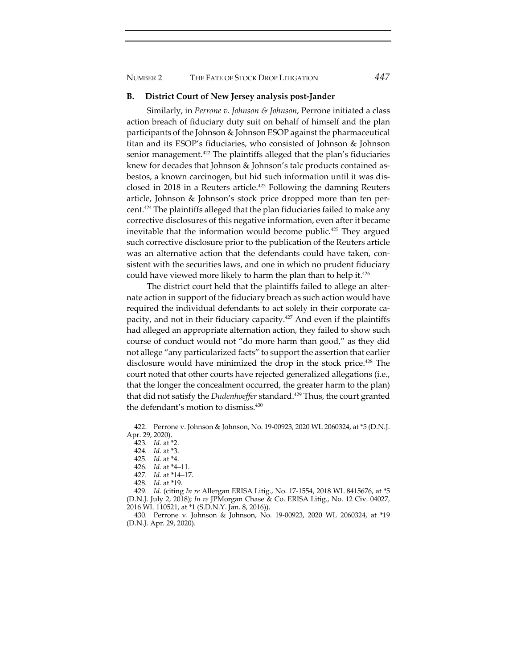NUMBER 2 THE FATE OF STOCK DROP LITIGATION *447*

#### **B. District Court of New Jersey analysis post‐Jander**

Similarly, in *Perrone v. Johnson & Johnson*, Perrone initiated a class action breach of fiduciary duty suit on behalf of himself and the plan participants of the Johnson & Johnson ESOP against the pharmaceutical titan and its ESOP's fiduciaries, who consisted of Johnson & Johnson senior management.<sup>422</sup> The plaintiffs alleged that the plan's fiduciaries knew for decades that Johnson & Johnson's talc products contained asbestos, a known carcinogen, but hid such information until it was dis‐ closed in 2018 in a Reuters article.<sup>423</sup> Following the damning Reuters article, Johnson & Johnson's stock price dropped more than ten per‐ cent.424 The plaintiffs alleged that the plan fiduciaries failed to make any corrective disclosures of this negative information, even after it became inevitable that the information would become public.<sup>425</sup> They argued such corrective disclosure prior to the publication of the Reuters article was an alternative action that the defendants could have taken, consistent with the securities laws, and one in which no prudent fiduciary could have viewed more likely to harm the plan than to help it.<sup>426</sup>

The district court held that the plaintiffs failed to allege an alter‐ nate action in support of the fiduciary breach as such action would have required the individual defendants to act solely in their corporate capacity, and not in their fiduciary capacity.427 And even if the plaintiffs had alleged an appropriate alternation action, they failed to show such course of conduct would not "do more harm than good," as they did not allege "any particularized facts" to support the assertion that earlier disclosure would have minimized the drop in the stock price.<sup>428</sup> The court noted that other courts have rejected generalized allegations (i.e., that the longer the concealment occurred, the greater harm to the plan) that did not satisfy the *Dudenhoeffer* standard.<sup>429</sup> Thus, the court granted the defendant's motion to dismiss.430

- 427*. Id.* at \*14–17.
- 428*. Id.* at \*19.

429*. Id.* (citing *In re* Allergan ERISA Litig., No. 17‐1554, 2018 WL 8415676, at \*5 (D.N.J. July 2, 2018); *In re* JPMorgan Chase & Co. ERISA Litig., No. 12 Civ. 04027, 2016 WL 110521, at \*1 (S.D.N.Y. Jan. 8, 2016)).

430*.* Perrone v. Johnson & Johnson, No. 19‐00923, 2020 WL 2060324, at \*19 (D.N.J. Apr. 29, 2020).

<sup>422.</sup> Perrone v. Johnson & Johnson, No. 19‐00923, 2020 WL 2060324, at \*5 (D.N.J. Apr. 29, 2020).

<sup>423</sup>*. Id.* at \*2.

<sup>424</sup>*. Id.* at \*3.

<sup>425</sup>*. Id.* at \*4.

<sup>426</sup>*. Id.* at \*4–11.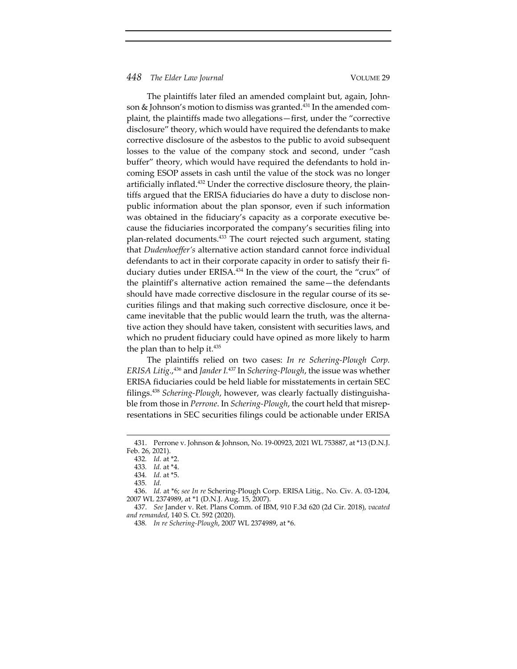The plaintiffs later filed an amended complaint but, again, John‐ son & Johnson's motion to dismiss was granted.<sup>431</sup> In the amended complaint, the plaintiffs made two allegations—first, under the "corrective disclosure" theory, which would have required the defendants to make corrective disclosure of the asbestos to the public to avoid subsequent losses to the value of the company stock and second, under "cash buffer" theory, which would have required the defendants to hold in‐ coming ESOP assets in cash until the value of the stock was no longer artificially inflated.<sup>432</sup> Under the corrective disclosure theory, the plaintiffs argued that the ERISA fiduciaries do have a duty to disclose nonpublic information about the plan sponsor, even if such information was obtained in the fiduciary's capacity as a corporate executive because the fiduciaries incorporated the company's securities filing into plan-related documents.<sup>433</sup> The court rejected such argument, stating that *Dudenhoeffer's* alternative action standard cannot force individual defendants to act in their corporate capacity in order to satisfy their fiduciary duties under ERISA.<sup>434</sup> In the view of the court, the "crux" of the plaintiff's alternative action remained the same—the defendants should have made corrective disclosure in the regular course of its securities filings and that making such corrective disclosure, once it became inevitable that the public would learn the truth, was the alternative action they should have taken, consistent with securities laws, and which no prudent fiduciary could have opined as more likely to harm the plan than to help it.<sup>435</sup>

The plaintiffs relied on two cases: *In re Schering‐Plough Corp. ERISA Litig.*, <sup>436</sup> and *Jander I.*<sup>437</sup> In *Schering‐Plough*, the issue was whether ERISA fiduciaries could be held liable for misstatements in certain SEC filings.438 *Schering‐Plough*, however, was clearly factually distinguisha‐ ble from those in *Perrone*. In *Schering‐Plough*, the court held that misrep‐ resentations in SEC securities filings could be actionable under ERISA

<sup>431.</sup> Perrone v. Johnson & Johnson, No. 19‐00923, 2021 WL 753887, at \*13 (D.N.J. Feb. 26, 2021).

<sup>432</sup>*. Id.* at \*2.

<sup>433</sup>*. Id.* at \*4.

<sup>434</sup>*. Id.* at \*5.

<sup>435</sup>*. Id.*

<sup>436.</sup> *Id.* at \*6; *see In re* Schering‐Plough Corp. ERISA Litig*.,* No. Civ. A. 03‐1204, 2007 WL 2374989, at \*1 (D.N.J. Aug. 15, 2007).

<sup>437.</sup> *See* Jander v. Ret. Plans Comm. of IBM, 910 F.3d 620 (2d Cir. 2018), *vacated and remanded*, 140 S. Ct. 592 (2020).

<sup>438</sup>*. In re Schering‐Plough*, 2007 WL 2374989, at \*6.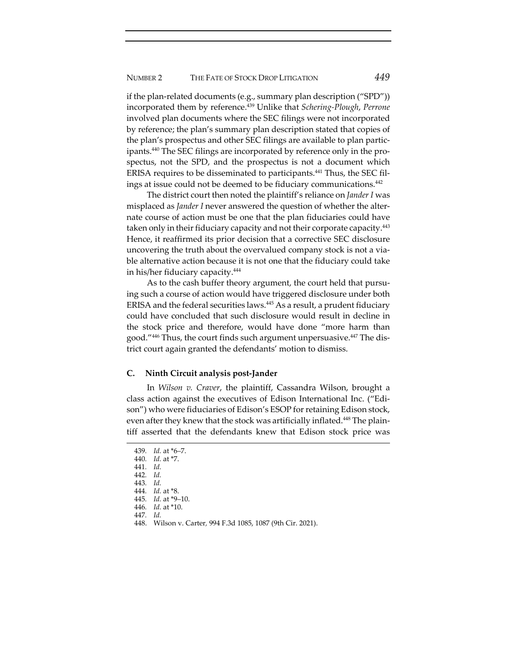if the plan-related documents (e.g., summary plan description ("SPD")) incorporated them by reference.439 Unlike that *Schering‐Plough*, *Perrone* involved plan documents where the SEC filings were not incorporated by reference; the plan's summary plan description stated that copies of the plan's prospectus and other SEC filings are available to plan partic‐ ipants.<sup>440</sup> The SEC filings are incorporated by reference only in the prospectus, not the SPD, and the prospectus is not a document which ERISA requires to be disseminated to participants.<sup>441</sup> Thus, the SEC filings at issue could not be deemed to be fiduciary communications.442

The district court then noted the plaintiff's reliance on *Jander I* was misplaced as *Jander I* never answered the question of whether the alter‐ nate course of action must be one that the plan fiduciaries could have taken only in their fiduciary capacity and not their corporate capacity.<sup>443</sup> Hence, it reaffirmed its prior decision that a corrective SEC disclosure uncovering the truth about the overvalued company stock is not a via‐ ble alternative action because it is not one that the fiduciary could take in his/her fiduciary capacity.444

As to the cash buffer theory argument, the court held that pursuing such a course of action would have triggered disclosure under both ERISA and the federal securities laws.445 As a result, a prudent fiduciary could have concluded that such disclosure would result in decline in the stock price and therefore, would have done "more harm than good."446 Thus, the court finds such argument unpersuasive.447 The dis‐ trict court again granted the defendants' motion to dismiss.

#### **C. Ninth Circuit analysis post‐Jander**

In *Wilson v. Craver*, the plaintiff, Cassandra Wilson, brought a class action against the executives of Edison International Inc. ("Edi‐ son") who were fiduciaries of Edison's ESOP for retaining Edison stock, even after they knew that the stock was artificially inflated.<sup>448</sup> The plaintiff asserted that the defendants knew that Edison stock price was

<sup>439</sup>*. Id.* at \*6–7.

<sup>440</sup>*. Id.* at \*7.

<sup>441</sup>*. Id.*

<sup>442</sup>*. Id.*

<sup>443</sup>*. Id.* 444*. Id.* at \*8.

<sup>445</sup>*. Id.* at \*9–10.

<sup>446</sup>*. Id.* at \*10.

<sup>447</sup>*. Id.*

<sup>448.</sup> Wilson v. Carter*,* 994 F.3d 1085, 1087 (9th Cir. 2021).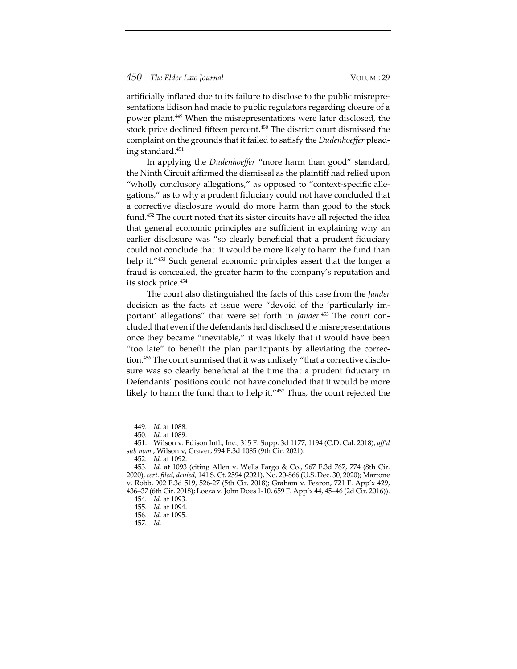artificially inflated due to its failure to disclose to the public misrepre‐ sentations Edison had made to public regulators regarding closure of a power plant.449 When the misrepresentations were later disclosed, the stock price declined fifteen percent.<sup>450</sup> The district court dismissed the complaint on the grounds that it failed to satisfy the *Dudenhoeffer* plead‐ ing standard.451

In applying the *Dudenhoeffer* "more harm than good" standard, the Ninth Circuit affirmed the dismissal as the plaintiff had relied upon "wholly conclusory allegations," as opposed to "context‐specific alle‐ gations," as to why a prudent fiduciary could not have concluded that a corrective disclosure would do more harm than good to the stock fund.452 The court noted that its sister circuits have all rejected the idea that general economic principles are sufficient in explaining why an earlier disclosure was "so clearly beneficial that a prudent fiduciary could not conclude that it would be more likely to harm the fund than help it."453 Such general economic principles assert that the longer a fraud is concealed, the greater harm to the company's reputation and its stock price.454

The court also distinguished the facts of this case from the *Jander* decision as the facts at issue were "devoid of the 'particularly im‐ portant' allegations" that were set forth in *Jander*. <sup>455</sup> The court con‐ cluded that even if the defendants had disclosed the misrepresentations once they became "inevitable," it was likely that it would have been "too late" to benefit the plan participants by alleviating the correc‐ tion.<sup>456</sup> The court surmised that it was unlikely "that a corrective disclosure was so clearly beneficial at the time that a prudent fiduciary in Defendants' positions could not have concluded that it would be more likely to harm the fund than to help it."457 Thus, the court rejected the

<sup>449</sup>*. Id.* at 1088.

<sup>450</sup>*. Id.* at 1089.

<sup>451.</sup> Wilson v. Edison Intl., Inc., 315 F. Supp. 3d 1177, 1194 (C.D. Cal. 2018), *aff'd sub nom.*, Wilson v, Craver, 994 F.3d 1085 (9th Cir. 2021).

<sup>452</sup>*. Id.* at 1092.

<sup>453</sup>*. Id.* at 1093 (citing Allen v. Wells Fargo & Co., 967 F.3d 767, 774 (8th Cir. 2020), *cert. filed*, *denied,* 141 S. Ct. 2594 (2021), No. 20‐866 (U.S. Dec. 30, 2020); Martone v. Robb, 902 F.3d 519, 526‐27 (5th Cir. 2018); Graham v. Fearon, 721 F. App'x 429, 436–37 (6th Cir. 2018); Loeza v. John Does 1‐10, 659 F. App'x 44, 45–46 (2d Cir. 2016)).

<sup>454</sup>*. Id.* at 1093.

<sup>455</sup>*. Id.* at 1094.

<sup>456</sup>*. Id.* at 1095.

<sup>457</sup>*. Id.*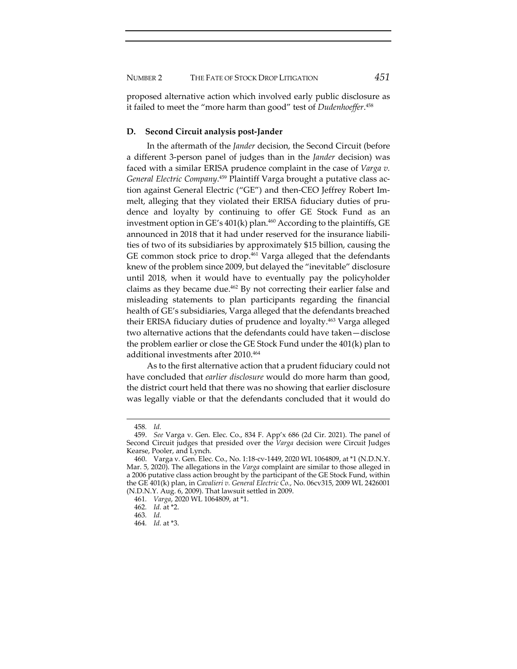NUMBER 2 THE FATE OF STOCK DROP LITIGATION *451*

proposed alternative action which involved early public disclosure as it failed to meet the "more harm than good" test of *Dudenhoeffer*. 458

# **D. Second Circuit analysis post‐Jander**

In the aftermath of the *Jander* decision, the Second Circuit (before a different 3‐person panel of judges than in the *Jander* decision) was faced with a similar ERISA prudence complaint in the case of *Varga v. General Electric Company*. <sup>459</sup> Plaintiff Varga brought a putative class ac‐ tion against General Electric ("GE") and then‐CEO Jeffrey Robert Im‐ melt, alleging that they violated their ERISA fiduciary duties of prudence and loyalty by continuing to offer GE Stock Fund as an investment option in GE's  $401(k)$  plan.<sup>460</sup> According to the plaintiffs, GE announced in 2018 that it had under reserved for the insurance liabili‐ ties of two of its subsidiaries by approximately \$15 billion, causing the GE common stock price to drop.<sup>461</sup> Varga alleged that the defendants knew of the problem since 2009, but delayed the "inevitable" disclosure until 2018, when it would have to eventually pay the policyholder claims as they became due.<sup>462</sup> By not correcting their earlier false and misleading statements to plan participants regarding the financial health of GE's subsidiaries, Varga alleged that the defendants breached their ERISA fiduciary duties of prudence and loyalty.<sup>463</sup> Varga alleged two alternative actions that the defendants could have taken—disclose the problem earlier or close the GE Stock Fund under the 401(k) plan to additional investments after 2010.464

As to the first alternative action that a prudent fiduciary could not have concluded that *earlier disclosure* would do more harm than good, the district court held that there was no showing that earlier disclosure was legally viable or that the defendants concluded that it would do

<sup>458</sup>*. Id.*

<sup>459.</sup> *See* Varga v. Gen. Elec. Co., 834 F. App'x 686 (2d Cir. 2021). The panel of Second Circuit judges that presided over the *Varga* decision were Circuit Judges Kearse, Pooler, and Lynch.

<sup>460.</sup> Varga v. Gen. Elec. Co., No. 1:18‐cv‐1449, 2020 WL 1064809, at \*1 (N.D.N.Y. Mar. 5, 2020). The allegations in the *Varga* complaint are similar to those alleged in a 2006 putative class action brought by the participant of the GE Stock Fund, within the GE 401(k) plan, in *Cavalieri v. General Electric Co.*, No. 06cv315, 2009 WL 2426001 (N.D.N.Y. Aug. 6, 2009). That lawsuit settled in 2009.

<sup>461</sup>*. Varga*, 2020 WL 1064809, at \*1.

<sup>462</sup>*. Id.* at \*2.

<sup>463</sup>*. Id.*

<sup>464</sup>*. Id.* at \*3.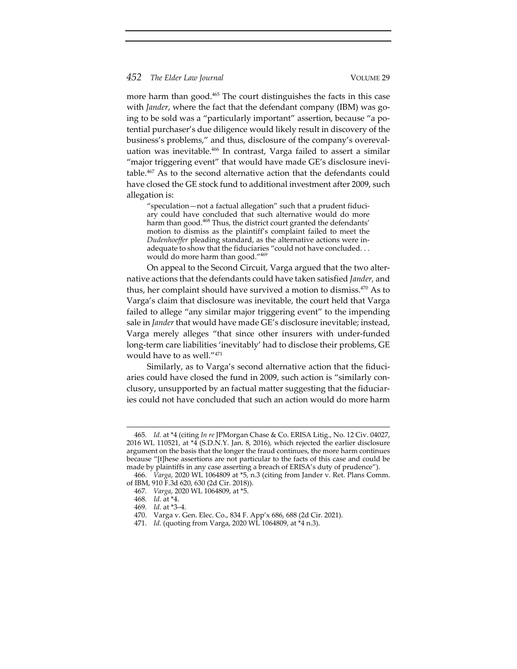more harm than good.<sup>465</sup> The court distinguishes the facts in this case with *Jander*, where the fact that the defendant company (IBM) was going to be sold was a "particularly important" assertion, because "a po‐ tential purchaser's due diligence would likely result in discovery of the business's problems," and thus, disclosure of the company's overevaluation was inevitable.<sup>466</sup> In contrast, Varga failed to assert a similar "major triggering event" that would have made GE's disclosure inevitable.467 As to the second alternative action that the defendants could have closed the GE stock fund to additional investment after 2009, such allegation is:

"speculation—not a factual allegation" such that a prudent fiduci‐ ary could have concluded that such alternative would do more harm than good.<sup>468</sup> Thus, the district court granted the defendants' motion to dismiss as the plaintiff's complaint failed to meet the *Dudenhoeffer* pleading standard, as the alternative actions were in‐ adequate to show that the fiduciaries "could not have concluded. . . would do more harm than good."469

On appeal to the Second Circuit, Varga argued that the two alter‐ native actions that the defendants could have taken satisfied *Jander,* and thus, her complaint should have survived a motion to dismiss.470 As to Varga's claim that disclosure was inevitable, the court held that Varga failed to allege "any similar major triggering event" to the impending sale in *Jander* that would have made GE's disclosure inevitable; instead, Varga merely alleges "that since other insurers with under‐funded long‐term care liabilities 'inevitably' had to disclose their problems, GE would have to as well."471

Similarly, as to Varga's second alternative action that the fiduci‐ aries could have closed the fund in 2009, such action is "similarly conclusory, unsupported by an factual matter suggesting that the fiduciar‐ ies could not have concluded that such an action would do more harm

<sup>465</sup>*. Id.* at \*4 (citing *In re* JPMorgan Chase & Co. ERISA Litig., No. 12 Civ. 04027, 2016 WL 110521, at \*4 (S.D.N.Y. Jan. 8, 2016), which rejected the earlier disclosure argument on the basis that the longer the fraud continues, the more harm continues because "[t]hese assertions are not particular to the facts of this case and could be made by plaintiffs in any case asserting a breach of ERISA's duty of prudence").

<sup>466</sup>*. Varga*, 2020 WL 1064809 at \*5, n.3 (citing from Jander v. Ret. Plans Comm. of IBM, 910 F.3d 620, 630 (2d Cir. 2018)).

<sup>467</sup>*. Varga*, 2020 WL 1064809, at \*5.

<sup>468</sup>*. Id.* at \*4.

<sup>469</sup>*. Id.* at \*3–4.

<sup>470.</sup> Varga v. Gen. Elec. Co., 834 F. App'x 686, 688 (2d Cir. 2021).

<sup>471</sup>*. Id.* (quoting from Varga, 2020 WL 1064809, at \*4 n.3).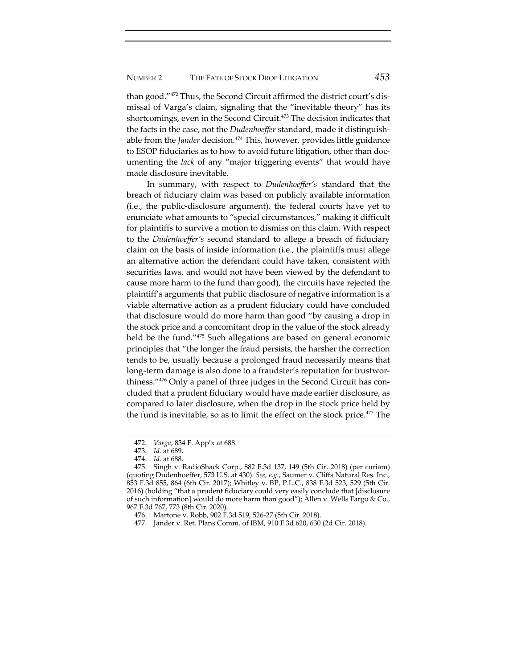than good."472 Thus, the Second Circuit affirmed the district court's dis‐ missal of Varga's claim, signaling that the "inevitable theory" has its shortcomings, even in the Second Circuit.473 The decision indicates that the facts in the case, not the *Dudenhoeffer* standard, made it distinguishable from the *Jander* decision.<sup>474</sup> This, however, provides little guidance to ESOP fiduciaries as to how to avoid future litigation, other than doc‐ umenting the *lack* of any "major triggering events" that would have made disclosure inevitable.

In summary, with respect to *Dudenhoeffer's* standard that the breach of fiduciary claim was based on publicly available information (i.e., the public‐disclosure argument), the federal courts have yet to enunciate what amounts to "special circumstances," making it difficult for plaintiffs to survive a motion to dismiss on this claim. With respect to the *Dudenhoeffer's* second standard to allege a breach of fiduciary claim on the basis of inside information (i.e., the plaintiffs must allege an alternative action the defendant could have taken, consistent with securities laws, and would not have been viewed by the defendant to cause more harm to the fund than good), the circuits have rejected the plaintiff's arguments that public disclosure of negative information is a viable alternative action as a prudent fiduciary could have concluded that disclosure would do more harm than good "by causing a drop in the stock price and a concomitant drop in the value of the stock already held be the fund."475 Such allegations are based on general economic principles that "the longer the fraud persists, the harsher the correction tends to be, usually because a prolonged fraud necessarily means that long-term damage is also done to a fraudster's reputation for trustworthiness."476 Only a panel of three judges in the Second Circuit has concluded that a prudent fiduciary would have made earlier disclosure, as compared to later disclosure, when the drop in the stock price held by the fund is inevitable, so as to limit the effect on the stock price.477 The

<sup>472</sup>*. Varga*, 834 F. App'x at 688.

<sup>473</sup>*. Id.* at 689.

<sup>474.</sup> *Id.* at 688.

<sup>475.</sup> Singh v. RadioShack Corp., 882 F.3d 137, 149 (5th Cir. 2018) (per curiam) (quoting Dudenhoeffer, 573 U.S. at 430). *See, e.g.*, Saumer v. Cliffs Natural Res. Inc., 853 F.3d 855, 864 (6th Cir. 2017); Whitley v. BP, P.L.C., 838 F.3d 523, 529 (5th Cir. 2016) (holding "that a prudent fiduciary could very easily conclude that [disclosure of such information] would do more harm than good"); Allen v. Wells Fargo & Co., 967 F.3d 767, 773 (8th Cir. 2020).

<sup>476.</sup> Martone v. Robb, 902 F.3d 519, 526‐27 (5th Cir. 2018).

<sup>477.</sup> Jander v. Ret. Plans Comm. of IBM, 910 F.3d 620, 630 (2d Cir. 2018).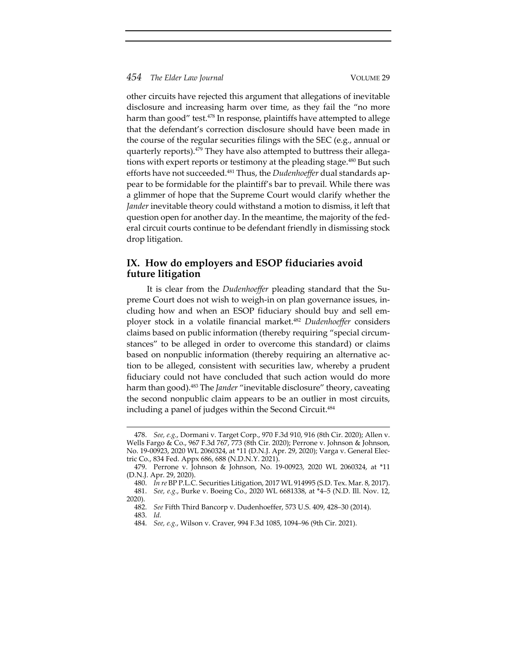other circuits have rejected this argument that allegations of inevitable disclosure and increasing harm over time, as they fail the "no more harm than good" test.<sup>478</sup> In response, plaintiffs have attempted to allege that the defendant's correction disclosure should have been made in the course of the regular securities filings with the SEC (e.g., annual or quarterly reports).<sup>479</sup> They have also attempted to buttress their allegations with expert reports or testimony at the pleading stage.<sup>480</sup> But such efforts have not succeeded.<sup>481</sup> Thus, the *Dudenhoeffer* dual standards appear to be formidable for the plaintiff's bar to prevail. While there was a glimmer of hope that the Supreme Court would clarify whether the *Jander* inevitable theory could withstand a motion to dismiss, it left that question open for another day. In the meantime, the majority of the fed‐ eral circuit courts continue to be defendant friendly in dismissing stock drop litigation.

# **IX. How do employers and ESOP fiduciaries avoid future litigation**

It is clear from the *Dudenhoeffer* pleading standard that the Supreme Court does not wish to weigh‐in on plan governance issues, in‐ cluding how and when an ESOP fiduciary should buy and sell em‐ ployer stock in a volatile financial market.482 *Dudenhoeffer* considers claims based on public information (thereby requiring "special circum‐ stances" to be alleged in order to overcome this standard) or claims based on nonpublic information (thereby requiring an alternative action to be alleged, consistent with securities law, whereby a prudent fiduciary could not have concluded that such action would do more harm than good).483 The *Jander* "inevitable disclosure" theory, caveating the second nonpublic claim appears to be an outlier in most circuits, including a panel of judges within the Second Circuit.<sup>484</sup>

<sup>478.</sup> *See, e.g.*, Dormani v. Target Corp., 970 F.3d 910, 916 (8th Cir. 2020); Allen v. Wells Fargo & Co., 967 F.3d 767, 773 (8th Cir. 2020); Perrone v. Johnson & Johnson, No. 19‐00923, 2020 WL 2060324, at \*11 (D.N.J. Apr. 29, 2020); Varga v. General Elec‐ tric Co., 834 Fed. Appx 686, 688 (N.D.N.Y. 2021).

<sup>479.</sup> Perrone v. Johnson & Johnson, No. 19‐00923, 2020 WL 2060324, at \*11 (D.N.J. Apr. 29, 2020).

<sup>480.</sup> *In re* BP P.L.C. Securities Litigation, 2017 WL 914995 (S.D. Tex. Mar. 8, 2017). 481. *See, e.g.*, Burke v. Boeing Co., 2020 WL 6681338, at \*4–5 (N.D. Ill. Nov. 12, 2020).

<sup>482.</sup> *See* Fifth Third Bancorp v. Dudenhoeffer, 573 U.S. 409, 428–30 (2014).

<sup>483.</sup> *Id.*

<sup>484.</sup> *See, e.g.*, Wilson v. Craver, 994 F.3d 1085, 1094–96 (9th Cir. 2021).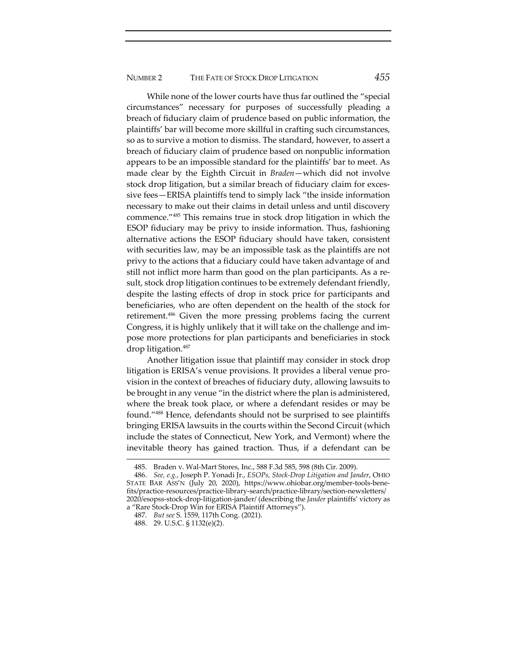While none of the lower courts have thus far outlined the "special circumstances" necessary for purposes of successfully pleading a breach of fiduciary claim of prudence based on public information, the plaintiffs' bar will become more skillful in crafting such circumstances, so as to survive a motion to dismiss. The standard, however, to assert a breach of fiduciary claim of prudence based on nonpublic information appears to be an impossible standard for the plaintiffs' bar to meet. As made clear by the Eighth Circuit in *Braden*—which did not involve stock drop litigation, but a similar breach of fiduciary claim for exces‐ sive fees—ERISA plaintiffs tend to simply lack "the inside information necessary to make out their claims in detail unless and until discovery commence."485 This remains true in stock drop litigation in which the ESOP fiduciary may be privy to inside information. Thus, fashioning alternative actions the ESOP fiduciary should have taken, consistent with securities law, may be an impossible task as the plaintiffs are not privy to the actions that a fiduciary could have taken advantage of and still not inflict more harm than good on the plan participants. As a re‐ sult, stock drop litigation continues to be extremely defendant friendly, despite the lasting effects of drop in stock price for participants and beneficiaries, who are often dependent on the health of the stock for retirement.486 Given the more pressing problems facing the current Congress, it is highly unlikely that it will take on the challenge and im‐ pose more protections for plan participants and beneficiaries in stock drop litigation.<sup>487</sup>

Another litigation issue that plaintiff may consider in stock drop litigation is ERISA's venue provisions. It provides a liberal venue pro‐ vision in the context of breaches of fiduciary duty, allowing lawsuits to be brought in any venue "in the district where the plan is administered, where the break took place, or where a defendant resides or may be found."488 Hence, defendants should not be surprised to see plaintiffs bringing ERISA lawsuits in the courts within the Second Circuit (which include the states of Connecticut, New York, and Vermont) where the inevitable theory has gained traction. Thus, if a defendant can be

<sup>485.</sup> Braden v. Wal‐Mart Stores, Inc., 588 F.3d 585, 598 (8th Cir. 2009).

<sup>486.</sup> *See, e.g.*, Joseph P. Yonadi Jr., *ESOPs, Stock‐Drop Litigation and Jander*, OHIO STATE BAR ASS'N (July 20, 2020), https://www.ohiobar.org/member-tools-benefits/practice‐resources/practice‐library‐search/practice‐library/section‐newsletters/ 2020/esopss‐stock‐drop‐litigation‐jander/ (describing the *Jander* plaintiffs' victory as a "Rare Stock‐Drop Win for ERISA Plaintiff Attorneys").

<sup>487.</sup> *But see* S. 1559, 117th Cong. (2021).

<sup>488.</sup> 29. U.S.C. § 1132(e)(2).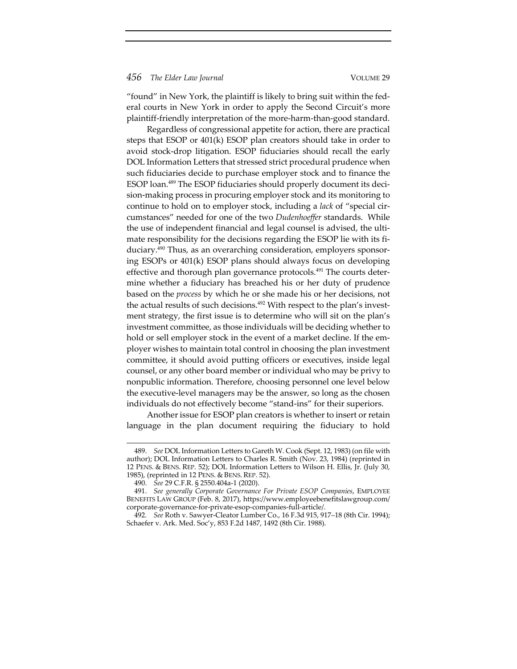"found" in New York, the plaintiff is likely to bring suit within the fed‐ eral courts in New York in order to apply the Second Circuit's more plaintiff‐friendly interpretation of the more‐harm‐than‐good standard.

Regardless of congressional appetite for action, there are practical steps that ESOP or 401(k) ESOP plan creators should take in order to avoid stock‐drop litigation. ESOP fiduciaries should recall the early DOL Information Letters that stressed strict procedural prudence when such fiduciaries decide to purchase employer stock and to finance the ESOP loan.<sup>489</sup> The ESOP fiduciaries should properly document its decision‐making process in procuring employer stock and its monitoring to continue to hold on to employer stock, including a *lack* of "special cir‐ cumstances" needed for one of the two *Dudenhoeffer* standards. While the use of independent financial and legal counsel is advised, the ultimate responsibility for the decisions regarding the ESOP lie with its fiduciary.<sup>490</sup> Thus, as an overarching consideration, employers sponsoring ESOPs or 401(k) ESOP plans should always focus on developing effective and thorough plan governance protocols. $491$  The courts determine whether a fiduciary has breached his or her duty of prudence based on the *process* by which he or she made his or her decisions, not the actual results of such decisions.<sup>492</sup> With respect to the plan's investment strategy, the first issue is to determine who will sit on the plan's investment committee, as those individuals will be deciding whether to hold or sell employer stock in the event of a market decline. If the employer wishes to maintain total control in choosing the plan investment committee, it should avoid putting officers or executives, inside legal counsel, or any other board member or individual who may be privy to nonpublic information. Therefore, choosing personnel one level below the executive‐level managers may be the answer, so long as the chosen individuals do not effectively become "stand‐ins" for their superiors.

Another issue for ESOP plan creators is whether to insert or retain language in the plan document requiring the fiduciary to hold

<sup>489.</sup> *See* DOL Information Letters to Gareth W. Cook (Sept. 12, 1983) (on file with author); DOL Information Letters to Charles R. Smith (Nov. 23, 1984) (reprinted in 12 PENS. & BENS. REP. 52); DOL Information Letters to Wilson H. Ellis, Jr. (July 30, 1985), (reprinted in 12 PENS. & BENS. REP. 52).

<sup>490.</sup> *See* 29 C.F.R. § 2550.404a‐1 (2020).

<sup>491.</sup> *See generally Corporate Governance For Private ESOP Companies*, EMPLOYEE BENEFITS LAW GROUP (Feb. 8, 2017), https://www.employeebenefitslawgroup.com/ corporate‐governance‐for‐private‐esop‐companies‐full‐article/.

<sup>492</sup>*. See* Roth v. Sawyer‐Cleator Lumber Co., 16 F.3d 915, 917–18 (8th Cir. 1994); Schaefer v. Ark. Med. Soc'y, 853 F.2d 1487, 1492 (8th Cir. 1988).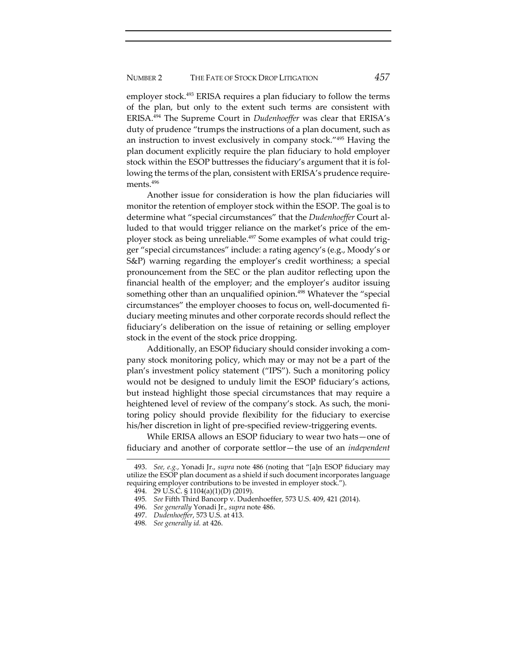employer stock.<sup>493</sup> ERISA requires a plan fiduciary to follow the terms of the plan, but only to the extent such terms are consistent with ERISA.494 The Supreme Court in *Dudenhoeffer* was clear that ERISA's duty of prudence "trumps the instructions of a plan document, such as an instruction to invest exclusively in company stock."495 Having the plan document explicitly require the plan fiduciary to hold employer stock within the ESOP buttresses the fiduciary's argument that it is fol‐ lowing the terms of the plan, consistent with ERISA's prudence require‐ ments.496

Another issue for consideration is how the plan fiduciaries will monitor the retention of employer stock within the ESOP. The goal is to determine what "special circumstances" that the *Dudenhoeffer* Court al‐ luded to that would trigger reliance on the market's price of the employer stock as being unreliable.<sup>497</sup> Some examples of what could trigger "special circumstances" include: a rating agency's (e.g., Moody's or S&P) warning regarding the employer's credit worthiness; a special pronouncement from the SEC or the plan auditor reflecting upon the financial health of the employer; and the employer's auditor issuing something other than an unqualified opinion.<sup>498</sup> Whatever the "special circumstances" the employer chooses to focus on, well‐documented fi‐ duciary meeting minutes and other corporate records should reflect the fiduciary's deliberation on the issue of retaining or selling employer stock in the event of the stock price dropping.

Additionally, an ESOP fiduciary should consider invoking a com‐ pany stock monitoring policy, which may or may not be a part of the plan's investment policy statement ("IPS"). Such a monitoring policy would not be designed to unduly limit the ESOP fiduciary's actions, but instead highlight those special circumstances that may require a heightened level of review of the company's stock. As such, the monitoring policy should provide flexibility for the fiduciary to exercise his/her discretion in light of pre-specified review-triggering events.

While ERISA allows an ESOP fiduciary to wear two hats—one of fiduciary and another of corporate settlor—the use of an *independent*

<sup>493.</sup> *See, e.g.*, Yonadi Jr., *supra* note 486 (noting that "[a]n ESOP fiduciary may utilize the ESOP plan document as a shield if such document incorporates language requiring employer contributions to be invested in employer stock.").

<sup>494.</sup> 29 U.S.C. § 1104(a)(1)(D) (2019).

<sup>495</sup>*. See* Fifth Third Bancorp v. Dudenhoeffer, 573 U.S. 409, 421 (2014).

<sup>496.</sup> *See generally* Yonadi Jr., *supra* note 486.

<sup>497.</sup> *Dudenhoeffer*, 573 U.S. at 413.

<sup>498</sup>*. See generally id.* at 426.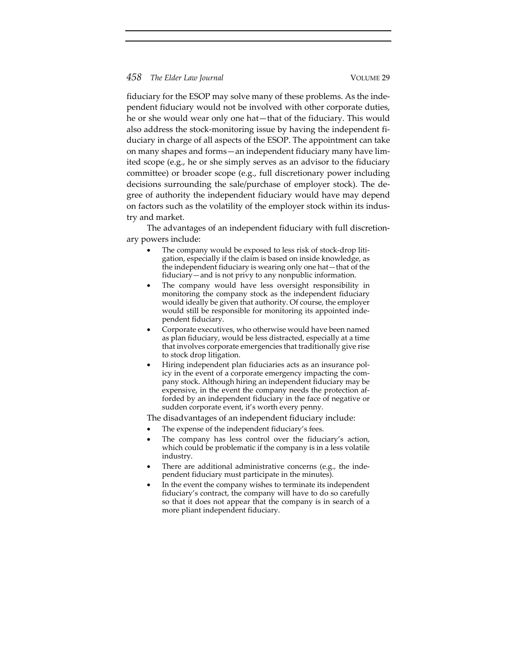fiduciary for the ESOP may solve many of these problems. As the inde‐ pendent fiduciary would not be involved with other corporate duties, he or she would wear only one hat—that of the fiduciary. This would also address the stock-monitoring issue by having the independent fiduciary in charge of all aspects of the ESOP. The appointment can take on many shapes and forms—an independent fiduciary many have lim‐ ited scope (e.g., he or she simply serves as an advisor to the fiduciary committee) or broader scope (e.g., full discretionary power including decisions surrounding the sale/purchase of employer stock). The de‐ gree of authority the independent fiduciary would have may depend on factors such as the volatility of the employer stock within its indus‐ try and market.

The advantages of an independent fiduciary with full discretion‐ ary powers include:

- The company would be exposed to less risk of stock-drop litigation, especially if the claim is based on inside knowledge, as the independent fiduciary is wearing only one hat—that of the fiduciary—and is not privy to any nonpublic information.
- The company would have less oversight responsibility in monitoring the company stock as the independent fiduciary would ideally be given that authority. Of course, the employer would still be responsible for monitoring its appointed inde‐ pendent fiduciary.
- Corporate executives, who otherwise would have been named as plan fiduciary, would be less distracted, especially at a time that involves corporate emergencies that traditionally give rise to stock drop litigation.
- Hiring independent plan fiduciaries acts as an insurance pol‐ icy in the event of a corporate emergency impacting the company stock. Although hiring an independent fiduciary may be expensive, in the event the company needs the protection afforded by an independent fiduciary in the face of negative or sudden corporate event, it's worth every penny.

The disadvantages of an independent fiduciary include:

- The expense of the independent fiduciary's fees.
- The company has less control over the fiduciary's action, which could be problematic if the company is in a less volatile industry.
- There are additional administrative concerns (e.g., the inde‐ pendent fiduciary must participate in the minutes).
- In the event the company wishes to terminate its independent fiduciary's contract, the company will have to do so carefully so that it does not appear that the company is in search of a more pliant independent fiduciary.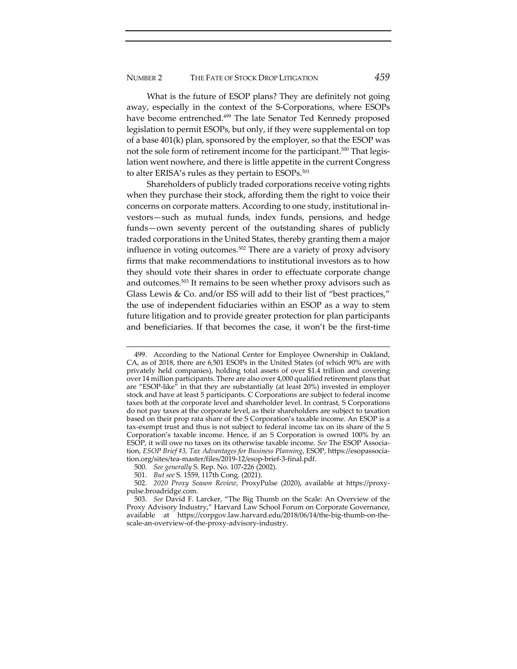What is the future of ESOP plans? They are definitely not going away, especially in the context of the S‐Corporations, where ESOPs have become entrenched.<sup>499</sup> The late Senator Ted Kennedy proposed legislation to permit ESOPs, but only, if they were supplemental on top of a base 401(k) plan, sponsored by the employer, so that the ESOP was not the sole form of retirement income for the participant.<sup>500</sup> That legislation went nowhere, and there is little appetite in the current Congress to alter ERISA's rules as they pertain to ESOPs.<sup>501</sup>

Shareholders of publicly traded corporations receive voting rights when they purchase their stock, affording them the right to voice their concerns on corporate matters. According to one study, institutional in‐ vestors—such as mutual funds, index funds, pensions, and hedge funds—own seventy percent of the outstanding shares of publicly traded corporations in the United States, thereby granting them a major influence in voting outcomes.502 There are a variety of proxy advisory firms that make recommendations to institutional investors as to how they should vote their shares in order to effectuate corporate change and outcomes.<sup>503</sup> It remains to be seen whether proxy advisors such as Glass Lewis & Co. and/or ISS will add to their list of "best practices," the use of independent fiduciaries within an ESOP as a way to stem future litigation and to provide greater protection for plan participants and beneficiaries. If that becomes the case, it won't be the first-time

<sup>499.</sup> According to the National Center for Employee Ownership in Oakland, CA, as of 2018, there are 6,501 ESOPs in the United States (of which 90% are with privately held companies), holding total assets of over \$1.4 trillion and covering over 14 million participants. There are also over 4,000 qualified retirement plans that are "ESOP‐like" in that they are substantially (at least 20%) invested in employer stock and have at least 5 participants. C Corporations are subject to federal income taxes both at the corporate level and shareholder level. In contrast, S Corporations do not pay taxes at the corporate level, as their shareholders are subject to taxation based on their prop rata share of the S Corporation's taxable income. An ESOP is a tax‐exempt trust and thus is not subject to federal income tax on its share of the S Corporation's taxable income. Hence, if an S Corporation is owned 100% by an ESOP, it will owe no taxes on its otherwise taxable income. *See* The ESOP Associa‐ tion, *ESOP Brief #3, Tax Advantages for Business Planning*, ESOP, https://esopassocia‐ tion.org/sites/tea‐master/files/2019‐12/esop‐brief‐3‐final.pdf.

<sup>500.</sup> *See generally* S. Rep. No. 107‐226 (2002).

<sup>501.</sup> *But see* S. 1559, 117th Cong. (2021).

<sup>502.</sup> *2020 Proxy Season Review*, ProxyPulse (2020), available at https://proxy‐ pulse.broadridge.com.

<sup>503.</sup> *See* David F. Larcker, "The Big Thumb on the Scale: An Overview of the Proxy Advisory Industry," Harvard Law School Forum on Corporate Governance, available at https://corpgov.law.harvard.edu/2018/06/14/the‐big‐thumb‐on‐the‐ scale‐an‐overview‐of‐the‐proxy‐advisory‐industry.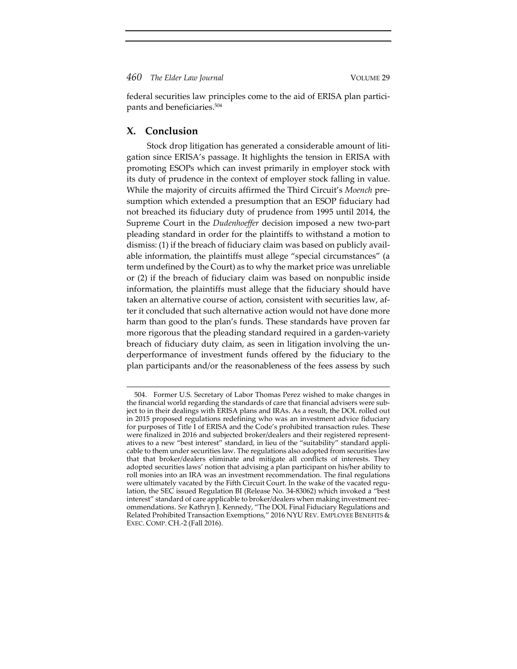federal securities law principles come to the aid of ERISA plan participants and beneficiaries.504

# **X. Conclusion**

Stock drop litigation has generated a considerable amount of liti‐ gation since ERISA's passage. It highlights the tension in ERISA with promoting ESOPs which can invest primarily in employer stock with its duty of prudence in the context of employer stock falling in value. While the majority of circuits affirmed the Third Circuit's *Moench* pre‐ sumption which extended a presumption that an ESOP fiduciary had not breached its fiduciary duty of prudence from 1995 until 2014, the Supreme Court in the *Dudenhoeffer* decision imposed a new two-part pleading standard in order for the plaintiffs to withstand a motion to dismiss: (1) if the breach of fiduciary claim was based on publicly avail‐ able information, the plaintiffs must allege "special circumstances" (a term undefined by the Court) as to why the market price was unreliable or (2) if the breach of fiduciary claim was based on nonpublic inside information, the plaintiffs must allege that the fiduciary should have taken an alternative course of action, consistent with securities law, after it concluded that such alternative action would not have done more harm than good to the plan's funds. These standards have proven far more rigorous that the pleading standard required in a garden-variety breach of fiduciary duty claim, as seen in litigation involving the un‐ derperformance of investment funds offered by the fiduciary to the plan participants and/or the reasonableness of the fees assess by such

<sup>504.</sup> Former U.S. Secretary of Labor Thomas Perez wished to make changes in the financial world regarding the standards of care that financial advisers were sub‐ ject to in their dealings with ERISA plans and IRAs. As a result, the DOL rolled out in 2015 proposed regulations redefining who was an investment advice fiduciary for purposes of Title I of ERISA and the Code's prohibited transaction rules. These were finalized in 2016 and subjected broker/dealers and their registered representatives to a new "best interest" standard, in lieu of the "suitability" standard appli‐ cable to them under securities law. The regulations also adopted from securities law that that broker/dealers eliminate and mitigate all conflicts of interests. They adopted securities laws' notion that advising a plan participant on his/her ability to roll monies into an IRA was an investment recommendation. The final regulations were ultimately vacated by the Fifth Circuit Court. In the wake of the vacated regulation, the SEC issued Regulation BI (Release No. 34‐83062) which invoked a "best interest" standard of care applicable to broker/dealers when making investment recommendations. *See* Kathryn J. Kennedy, "The DOL Final Fiduciary Regulations and Related Prohibited Transaction Exemptions," 2016 NYU REV. EMPLOYEE BENEFITS & EXEC. COMP. CH.‐2 (Fall 2016).